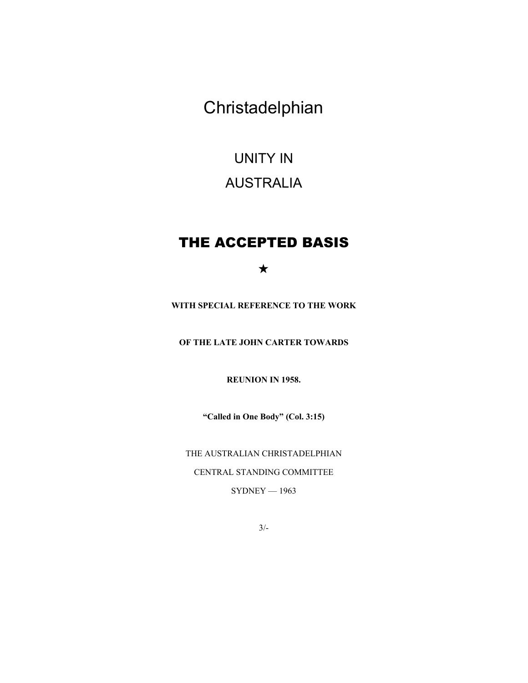Christadelphian

# UNITY IN AUSTRALIA

# THE ACCEPTED BASIS

# $\star$

**WITH SPECIAL REFERENCE TO THE WORK** 

**OF THE LATE JOHN CARTER TOWARDS** 

**REUNION IN 1958.** 

**"Called in One Body" (Col. 3:15)** 

THE AUSTRALIAN CHRISTADELPHIAN CENTRAL STANDING COMMITTEE  $SYDNEY - 1963$ 

3/-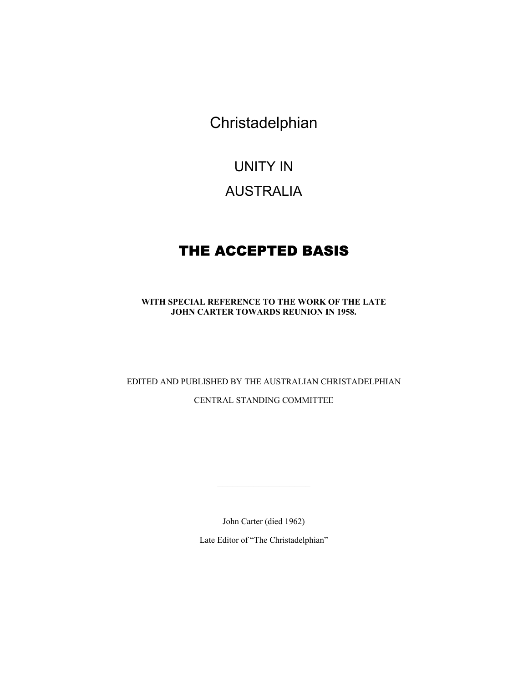Christadelphian

# UNITY IN

# AUSTRALIA

# THE ACCEPTED BASIS

**WITH SPECIAL REFERENCE TO THE WORK OF THE LATE JOHN CARTER TOWARDS REUNION IN 1958.** 

EDITED AND PUBLISHED BY THE AUSTRALIAN CHRISTADELPHIAN CENTRAL STANDING COMMITTEE

John Carter (died 1962)

 $\mathcal{L}_\text{max}$ 

Late Editor of "The Christadelphian"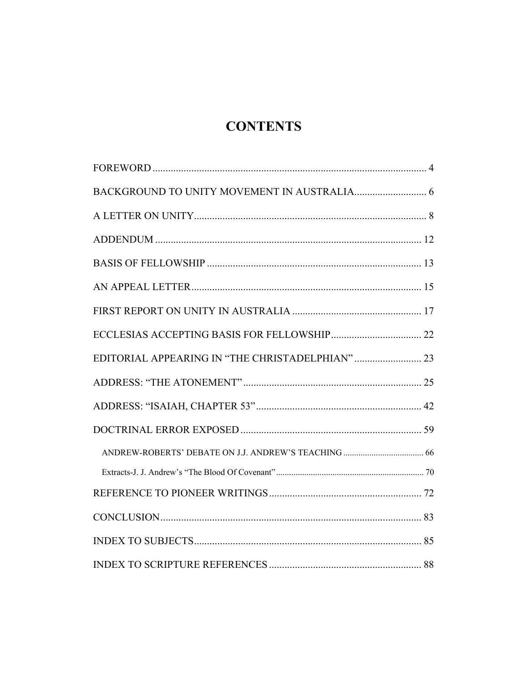# **CONTENTS**

| EDITORIAL APPEARING IN "THE CHRISTADELPHIAN"  23 |  |
|--------------------------------------------------|--|
|                                                  |  |
|                                                  |  |
|                                                  |  |
|                                                  |  |
|                                                  |  |
|                                                  |  |
|                                                  |  |
|                                                  |  |
|                                                  |  |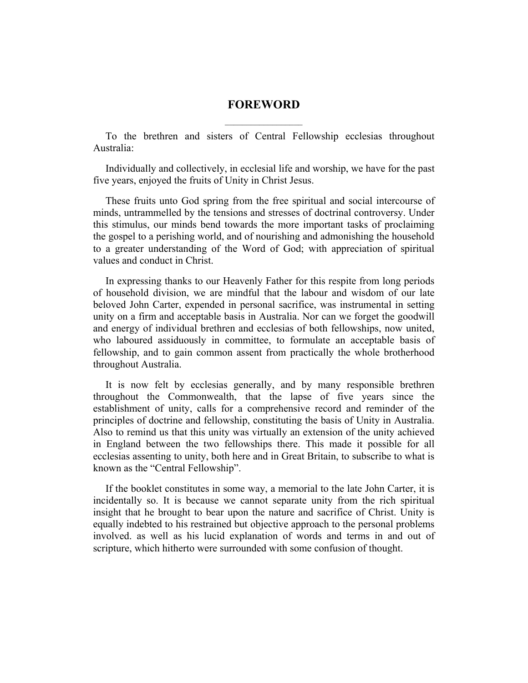# **FOREWORD**   $\overline{\phantom{a}}$  , where  $\overline{\phantom{a}}$

<span id="page-3-0"></span>To the brethren and sisters of Central Fellowship ecclesias throughout Australia:

Individually and collectively, in ecclesial life and worship, we have for the past five years, enjoyed the fruits of Unity in Christ Jesus.

These fruits unto God spring from the free spiritual and social intercourse of minds, untrammelled by the tensions and stresses of doctrinal controversy. Under this stimulus, our minds bend towards the more important tasks of proclaiming the gospel to a perishing world, and of nourishing and admonishing the household to a greater understanding of the Word of God; with appreciation of spiritual values and conduct in Christ.

In expressing thanks to our Heavenly Father for this respite from long periods of household division, we are mindful that the labour and wisdom of our late beloved John Carter, expended in personal sacrifice, was instrumental in setting unity on a firm and acceptable basis in Australia. Nor can we forget the goodwill and energy of individual brethren and ecclesias of both fellowships, now united, who laboured assiduously in committee, to formulate an acceptable basis of fellowship, and to gain common assent from practically the whole brotherhood throughout Australia.

It is now felt by ecclesias generally, and by many responsible brethren throughout the Commonwealth, that the lapse of five years since the establishment of unity, calls for a comprehensive record and reminder of the principles of doctrine and fellowship, constituting the basis of Unity in Australia. Also to remind us that this unity was virtually an extension of the unity achieved in England between the two fellowships there. This made it possible for all ecclesias assenting to unity, both here and in Great Britain, to subscribe to what is known as the "Central Fellowship".

If the booklet constitutes in some way, a memorial to the late John Carter, it is incidentally so. It is because we cannot separate unity from the rich spiritual insight that he brought to bear upon the nature and sacrifice of Christ. Unity is equally indebted to his restrained but objective approach to the personal problems involved. as well as his lucid explanation of words and terms in and out of scripture, which hitherto were surrounded with some confusion of thought.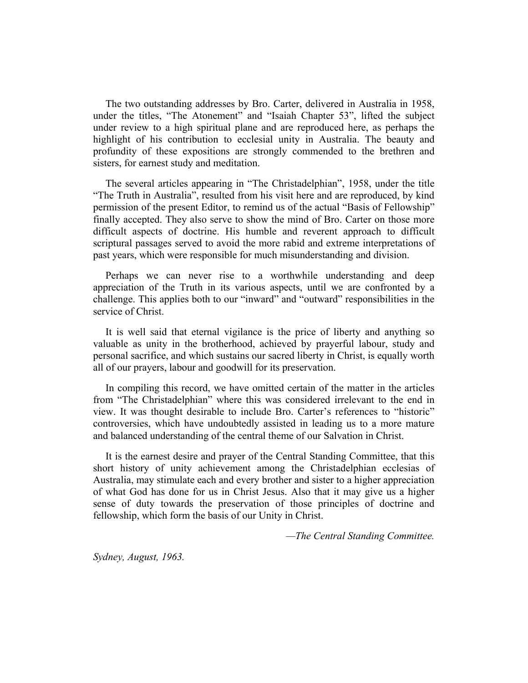The two outstanding addresses by Bro. Carter, delivered in Australia in 1958, under the titles, "The Atonement" and "Isaiah Chapter 53", lifted the subject under review to a high spiritual plane and are reproduced here, as perhaps the highlight of his contribution to ecclesial unity in Australia. The beauty and profundity of these expositions are strongly commended to the brethren and sisters, for earnest study and meditation.

The several articles appearing in "The Christadelphian", 1958, under the title "The Truth in Australia", resulted from his visit here and are reproduced, by kind permission of the present Editor, to remind us of the actual "Basis of Fellowship" finally accepted. They also serve to show the mind of Bro. Carter on those more difficult aspects of doctrine. His humble and reverent approach to difficult scriptural passages served to avoid the more rabid and extreme interpretations of past years, which were responsible for much misunderstanding and division.

Perhaps we can never rise to a worthwhile understanding and deep appreciation of the Truth in its various aspects, until we are confronted by a challenge. This applies both to our "inward" and "outward" responsibilities in the service of Christ.

It is well said that eternal vigilance is the price of liberty and anything so valuable as unity in the brotherhood, achieved by prayerful labour, study and personal sacrifice, and which sustains our sacred liberty in Christ, is equally worth all of our prayers, labour and goodwill for its preservation.

In compiling this record, we have omitted certain of the matter in the articles from "The Christadelphian" where this was considered irrelevant to the end in view. It was thought desirable to include Bro. Carter's references to "historic" controversies, which have undoubtedly assisted in leading us to a more mature and balanced understanding of the central theme of our Salvation in Christ.

It is the earnest desire and prayer of the Central Standing Committee, that this short history of unity achievement among the Christadelphian ecclesias of Australia, may stimulate each and every brother and sister to a higher appreciation of what God has done for us in Christ Jesus. Also that it may give us a higher sense of duty towards the preservation of those principles of doctrine and fellowship, which form the basis of our Unity in Christ.

*—The Central Standing Committee.* 

*Sydney, August, 1963.*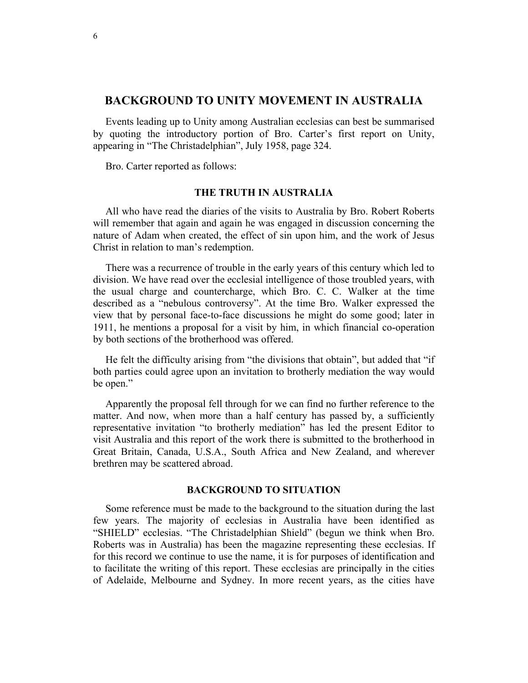# <span id="page-5-0"></span>**BACKGROUND TO UNITY MOVEMENT IN AUSTRALIA**

Events leading up to Unity among Australian ecclesias can best be summarised by quoting the introductory portion of Bro. Carter's first report on Unity, appearing in "The Christadelphian", July 1958, page 324.

Bro. Carter reported as follows:

# **THE TRUTH IN AUSTRALIA**

All who have read the diaries of the visits to Australia by Bro. Robert Roberts will remember that again and again he was engaged in discussion concerning the nature of Adam when created, the effect of sin upon him, and the work of Jesus Christ in relation to man's redemption.

There was a recurrence of trouble in the early years of this century which led to division. We have read over the ecclesial intelligence of those troubled years, with the usual charge and countercharge, which Bro. C. C. Walker at the time described as a "nebulous controversy". At the time Bro. Walker expressed the view that by personal face-to-face discussions he might do some good; later in 1911, he mentions a proposal for a visit by him, in which financial co-operation by both sections of the brotherhood was offered.

He felt the difficulty arising from "the divisions that obtain", but added that "if both parties could agree upon an invitation to brotherly mediation the way would be open."

Apparently the proposal fell through for we can find no further reference to the matter. And now, when more than a half century has passed by, a sufficiently representative invitation "to brotherly mediation" has led the present Editor to visit Australia and this report of the work there is submitted to the brotherhood in Great Britain, Canada, U.S.A., South Africa and New Zealand, and wherever brethren may be scattered abroad.

# **BACKGROUND TO SITUATION**

Some reference must be made to the background to the situation during the last few years. The majority of ecclesias in Australia have been identified as "SHIELD" ecclesias. "The Christadelphian Shield" (begun we think when Bro. Roberts was in Australia) has been the magazine representing these ecclesias. If for this record we continue to use the name, it is for purposes of identification and to facilitate the writing of this report. These ecclesias are principally in the cities of Adelaide, Melbourne and Sydney. In more recent years, as the cities have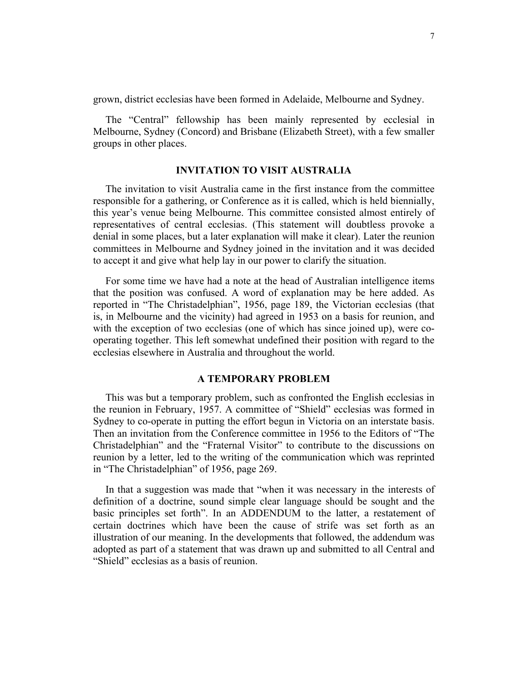grown, district ecclesias have been formed in Adelaide, Melbourne and Sydney.

The "Central" fellowship has been mainly represented by ecclesial in Melbourne, Sydney (Concord) and Brisbane (Elizabeth Street), with a few smaller groups in other places.

# **INVITATION TO VISIT AUSTRALIA**

The invitation to visit Australia came in the first instance from the committee responsible for a gathering, or Conference as it is called, which is held biennially, this year's venue being Melbourne. This committee consisted almost entirely of representatives of central ecclesias. (This statement will doubtless provoke a denial in some places, but a later explanation will make it clear). Later the reunion committees in Melbourne and Sydney joined in the invitation and it was decided to accept it and give what help lay in our power to clarify the situation.

For some time we have had a note at the head of Australian intelligence items that the position was confused. A word of explanation may be here added. As reported in "The Christadelphian", 1956, page 189, the Victorian ecclesias (that is, in Melbourne and the vicinity) had agreed in 1953 on a basis for reunion, and with the exception of two ecclesias (one of which has since joined up), were cooperating together. This left somewhat undefined their position with regard to the ecclesias elsewhere in Australia and throughout the world.

# **A TEMPORARY PROBLEM**

This was but a temporary problem, such as confronted the English ecclesias in the reunion in February, 1957. A committee of "Shield" ecclesias was formed in Sydney to co-operate in putting the effort begun in Victoria on an interstate basis. Then an invitation from the Conference committee in 1956 to the Editors of "The Christadelphian" and the "Fraternal Visitor" to contribute to the discussions on reunion by a letter, led to the writing of the communication which was reprinted in "The Christadelphian" of 1956, page 269.

In that a suggestion was made that "when it was necessary in the interests of definition of a doctrine, sound simple clear language should be sought and the basic principles set forth". In an ADDENDUM to the latter, a restatement of certain doctrines which have been the cause of strife was set forth as an illustration of our meaning. In the developments that followed, the addendum was adopted as part of a statement that was drawn up and submitted to all Central and "Shield" ecclesias as a basis of reunion.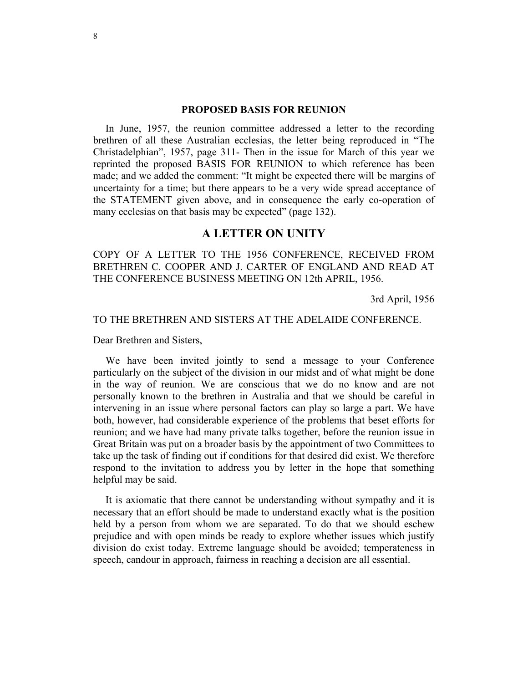#### **PROPOSED BASIS FOR REUNION**

<span id="page-7-0"></span>In June, 1957, the reunion committee addressed a letter to the recording brethren of all these Australian ecclesias, the letter being reproduced in "The Christadelphian", 1957, page 311- Then in the issue for March of this year we reprinted the proposed BASIS FOR REUNION to which reference has been made; and we added the comment: "It might be expected there will be margins of uncertainty for a time; but there appears to be a very wide spread acceptance of the STATEMENT given above, and in consequence the early co-operation of many ecclesias on that basis may be expected" (page 132).

# **A LETTER ON UNITY**

COPY OF A LETTER TO THE 1956 CONFERENCE, RECEIVED FROM BRETHREN C. COOPER AND J. CARTER OF ENGLAND AND READ AT THE CONFERENCE BUSINESS MEETING ON 12th APRIL, 1956.

3rd April, 1956

# TO THE BRETHREN AND SISTERS AT THE ADELAIDE CONFERENCE.

Dear Brethren and Sisters,

We have been invited jointly to send a message to your Conference particularly on the subject of the division in our midst and of what might be done in the way of reunion. We are conscious that we do no know and are not personally known to the brethren in Australia and that we should be careful in intervening in an issue where personal factors can play so large a part. We have both, however, had considerable experience of the problems that beset efforts for reunion; and we have had many private talks together, before the reunion issue in Great Britain was put on a broader basis by the appointment of two Committees to take up the task of finding out if conditions for that desired did exist. We therefore respond to the invitation to address you by letter in the hope that something helpful may be said.

It is axiomatic that there cannot be understanding without sympathy and it is necessary that an effort should be made to understand exactly what is the position held by a person from whom we are separated. To do that we should eschew prejudice and with open minds be ready to explore whether issues which justify division do exist today. Extreme language should be avoided; temperateness in speech, candour in approach, fairness in reaching a decision are all essential.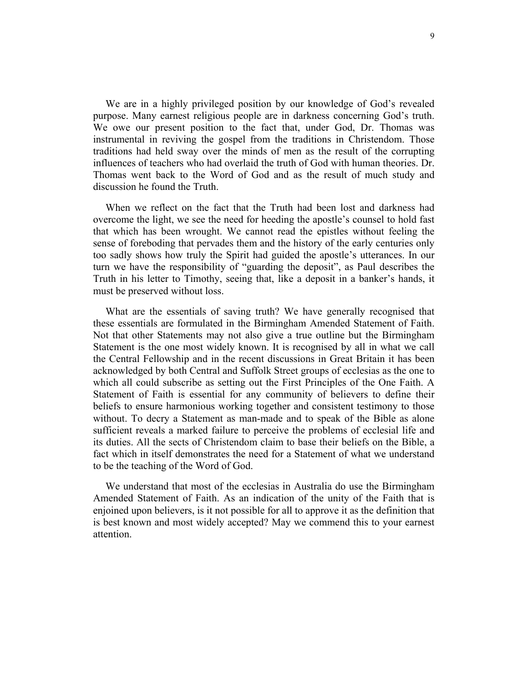We are in a highly privileged position by our knowledge of God's revealed purpose. Many earnest religious people are in darkness concerning God's truth. We owe our present position to the fact that, under God, Dr. Thomas was instrumental in reviving the gospel from the traditions in Christendom. Those traditions had held sway over the minds of men as the result of the corrupting influences of teachers who had overlaid the truth of God with human theories. Dr. Thomas went back to the Word of God and as the result of much study and discussion he found the Truth.

When we reflect on the fact that the Truth had been lost and darkness had overcome the light, we see the need for heeding the apostle's counsel to hold fast that which has been wrought. We cannot read the epistles without feeling the sense of foreboding that pervades them and the history of the early centuries only too sadly shows how truly the Spirit had guided the apostle's utterances. In our turn we have the responsibility of "guarding the deposit", as Paul describes the Truth in his letter to Timothy, seeing that, like a deposit in a banker's hands, it must be preserved without loss.

What are the essentials of saving truth? We have generally recognised that these essentials are formulated in the Birmingham Amended Statement of Faith. Not that other Statements may not also give a true outline but the Birmingham Statement is the one most widely known. It is recognised by all in what we call the Central Fellowship and in the recent discussions in Great Britain it has been acknowledged by both Central and Suffolk Street groups of ecclesias as the one to which all could subscribe as setting out the First Principles of the One Faith. A Statement of Faith is essential for any community of believers to define their beliefs to ensure harmonious working together and consistent testimony to those without. To decry a Statement as man-made and to speak of the Bible as alone sufficient reveals a marked failure to perceive the problems of ecclesial life and its duties. All the sects of Christendom claim to base their beliefs on the Bible, a fact which in itself demonstrates the need for a Statement of what we understand to be the teaching of the Word of God.

We understand that most of the ecclesias in Australia do use the Birmingham Amended Statement of Faith. As an indication of the unity of the Faith that is enjoined upon believers, is it not possible for all to approve it as the definition that is best known and most widely accepted? May we commend this to your earnest attention.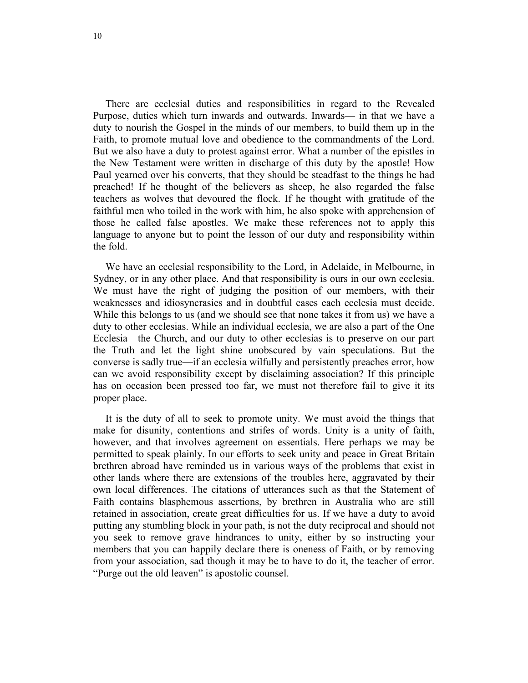There are ecclesial duties and responsibilities in regard to the Revealed Purpose, duties which turn inwards and outwards. Inwards— in that we have a duty to nourish the Gospel in the minds of our members, to build them up in the Faith, to promote mutual love and obedience to the commandments of the Lord. But we also have a duty to protest against error. What a number of the epistles in the New Testament were written in discharge of this duty by the apostle! How Paul yearned over his converts, that they should be steadfast to the things he had preached! If he thought of the believers as sheep, he also regarded the false teachers as wolves that devoured the flock. If he thought with gratitude of the faithful men who toiled in the work with him, he also spoke with apprehension of those he called false apostles. We make these references not to apply this language to anyone but to point the lesson of our duty and responsibility within the fold.

We have an ecclesial responsibility to the Lord, in Adelaide, in Melbourne, in Sydney, or in any other place. And that responsibility is ours in our own ecclesia. We must have the right of judging the position of our members, with their weaknesses and idiosyncrasies and in doubtful cases each ecclesia must decide. While this belongs to us (and we should see that none takes it from us) we have a duty to other ecclesias. While an individual ecclesia, we are also a part of the One Ecclesia—the Church, and our duty to other ecclesias is to preserve on our part the Truth and let the light shine unobscured by vain speculations. But the converse is sadly true—if an ecclesia wilfully and persistently preaches error, how can we avoid responsibility except by disclaiming association? If this principle has on occasion been pressed too far, we must not therefore fail to give it its proper place.

It is the duty of all to seek to promote unity. We must avoid the things that make for disunity, contentions and strifes of words. Unity is a unity of faith, however, and that involves agreement on essentials. Here perhaps we may be permitted to speak plainly. In our efforts to seek unity and peace in Great Britain brethren abroad have reminded us in various ways of the problems that exist in other lands where there are extensions of the troubles here, aggravated by their own local differences. The citations of utterances such as that the Statement of Faith contains blasphemous assertions, by brethren in Australia who are still retained in association, create great difficulties for us. If we have a duty to avoid putting any stumbling block in your path, is not the duty reciprocal and should not you seek to remove grave hindrances to unity, either by so instructing your members that you can happily declare there is oneness of Faith, or by removing from your association, sad though it may be to have to do it, the teacher of error. "Purge out the old leaven" is apostolic counsel.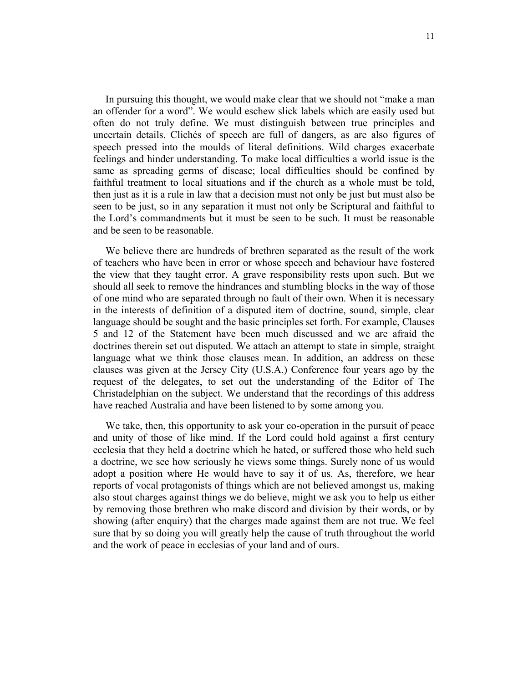In pursuing this thought, we would make clear that we should not "make a man an offender for a word". We would eschew slick labels which are easily used but often do not truly define. We must distinguish between true principles and uncertain details. Clichés of speech are full of dangers, as are also figures of speech pressed into the moulds of literal definitions. Wild charges exacerbate feelings and hinder understanding. To make local difficulties a world issue is the same as spreading germs of disease; local difficulties should be confined by faithful treatment to local situations and if the church as a whole must be told, then just as it is a rule in law that a decision must not only be just but must also be seen to be just, so in any separation it must not only be Scriptural and faithful to the Lord's commandments but it must be seen to be such. It must be reasonable and be seen to be reasonable.

We believe there are hundreds of brethren separated as the result of the work of teachers who have been in error or whose speech and behaviour have fostered the view that they taught error. A grave responsibility rests upon such. But we should all seek to remove the hindrances and stumbling blocks in the way of those of one mind who are separated through no fault of their own. When it is necessary in the interests of definition of a disputed item of doctrine, sound, simple, clear language should be sought and the basic principles set forth. For example, Clauses 5 and 12 of the Statement have been much discussed and we are afraid the doctrines therein set out disputed. We attach an attempt to state in simple, straight language what we think those clauses mean. In addition, an address on these clauses was given at the Jersey City (U.S.A.) Conference four years ago by the request of the delegates, to set out the understanding of the Editor of The Christadelphian on the subject. We understand that the recordings of this address have reached Australia and have been listened to by some among you.

We take, then, this opportunity to ask your co-operation in the pursuit of peace and unity of those of like mind. If the Lord could hold against a first century ecclesia that they held a doctrine which he hated, or suffered those who held such a doctrine, we see how seriously he views some things. Surely none of us would adopt a position where He would have to say it of us. As, therefore, we hear reports of vocal protagonists of things which are not believed amongst us, making also stout charges against things we do believe, might we ask you to help us either by removing those brethren who make discord and division by their words, or by showing (after enquiry) that the charges made against them are not true. We feel sure that by so doing you will greatly help the cause of truth throughout the world and the work of peace in ecclesias of your land and of ours.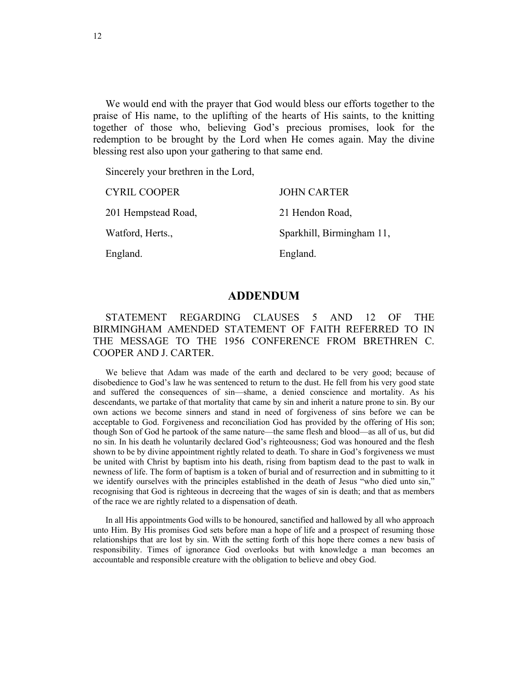<span id="page-11-0"></span>We would end with the prayer that God would bless our efforts together to the praise of His name, to the uplifting of the hearts of His saints, to the knitting together of those who, believing God's precious promises, look for the redemption to be brought by the Lord when He comes again. May the divine blessing rest also upon your gathering to that same end.

Sincerely your brethren in the Lord,

| <b>CYRIL COOPER</b> | <b>JOHN CARTER</b>        |
|---------------------|---------------------------|
| 201 Hempstead Road, | 21 Hendon Road,           |
| Watford, Herts.,    | Sparkhill, Birmingham 11, |
| England.            | England.                  |

# **ADDENDUM**

# STATEMENT REGARDING CLAUSES 5 AND 12 OF THE BIRMINGHAM AMENDED STATEMENT OF FAITH REFERRED TO IN THE MESSAGE TO THE 1956 CONFERENCE FROM BRETHREN C. COOPER AND J. CARTER.

We believe that Adam was made of the earth and declared to be very good; because of disobedience to God's law he was sentenced to return to the dust. He fell from his very good state and suffered the consequences of sin—shame, a denied conscience and mortality. As his descendants, we partake of that mortality that came by sin and inherit a nature prone to sin. By our own actions we become sinners and stand in need of forgiveness of sins before we can be acceptable to God. Forgiveness and reconciliation God has provided by the offering of His son; though Son of God he partook of the same nature—the same flesh and blood—as all of us, but did no sin. In his death he voluntarily declared God's righteousness; God was honoured and the flesh shown to be by divine appointment rightly related to death. To share in God's forgiveness we must be united with Christ by baptism into his death, rising from baptism dead to the past to walk in newness of life. The form of baptism is a token of burial and of resurrection and in submitting to it we identify ourselves with the principles established in the death of Jesus "who died unto sin," recognising that God is righteous in decreeing that the wages of sin is death; and that as members of the race we are rightly related to a dispensation of death.

In all His appointments God wills to be honoured, sanctified and hallowed by all who approach unto Him. By His promises God sets before man a hope of life and a prospect of resuming those relationships that are lost by sin. With the setting forth of this hope there comes a new basis of responsibility. Times of ignorance God overlooks but with knowledge a man becomes an accountable and responsible creature with the obligation to believe and obey God.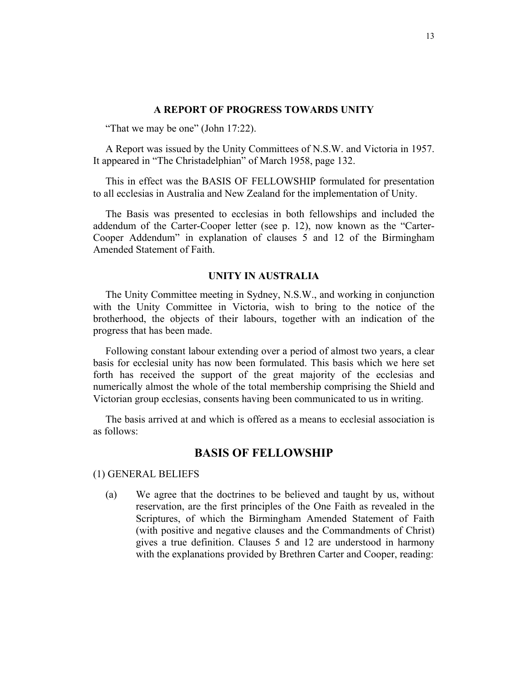#### **A REPORT OF PROGRESS TOWARDS UNITY**

<span id="page-12-0"></span>"That we may be one" (John 17:22).

A Report was issued by the Unity Committees of N.S.W. and Victoria in 1957. It appeared in "The Christadelphian" of March 1958, page 132.

This in effect was the BASIS OF FELLOWSHIP formulated for presentation to all ecclesias in Australia and New Zealand for the implementation of Unity.

The Basis was presented to ecclesias in both fellowships and included the addendum of the Carter-Cooper letter (see p. 12), now known as the "Carter-Cooper Addendum" in explanation of clauses 5 and 12 of the Birmingham Amended Statement of Faith.

#### **UNITY IN AUSTRALIA**

The Unity Committee meeting in Sydney, N.S.W., and working in conjunction with the Unity Committee in Victoria, wish to bring to the notice of the brotherhood, the objects of their labours, together with an indication of the progress that has been made.

Following constant labour extending over a period of almost two years, a clear basis for ecclesial unity has now been formulated. This basis which we here set forth has received the support of the great majority of the ecclesias and numerically almost the whole of the total membership comprising the Shield and Victorian group ecclesias, consents having been communicated to us in writing.

The basis arrived at and which is offered as a means to ecclesial association is as follows:

# **BASIS OF FELLOWSHIP**

(1) GENERAL BELIEFS

(a) We agree that the doctrines to be believed and taught by us, without reservation, are the first principles of the One Faith as revealed in the Scriptures, of which the Birmingham Amended Statement of Faith (with positive and negative clauses and the Commandments of Christ) gives a true definition. Clauses 5 and 12 are understood in harmony with the explanations provided by Brethren Carter and Cooper, reading: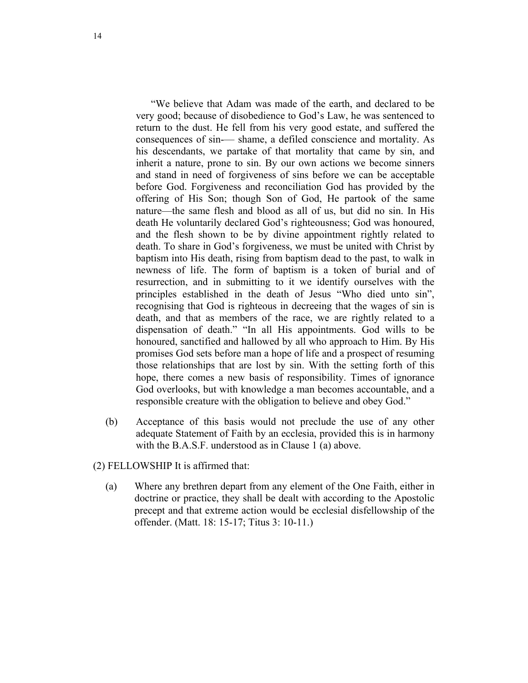"We believe that Adam was made of the earth, and declared to be very good; because of disobedience to God's Law, he was sentenced to return to the dust. He fell from his very good estate, and suffered the consequences of sin-— shame, a defiled conscience and mortality. As his descendants, we partake of that mortality that came by sin, and inherit a nature, prone to sin. By our own actions we become sinners and stand in need of forgiveness of sins before we can be acceptable before God. Forgiveness and reconciliation God has provided by the offering of His Son; though Son of God, He partook of the same nature—the same flesh and blood as all of us, but did no sin. In His death He voluntarily declared God's righteousness; God was honoured, and the flesh shown to be by divine appointment rightly related to death. To share in God's forgiveness, we must be united with Christ by baptism into His death, rising from baptism dead to the past, to walk in newness of life. The form of baptism is a token of burial and of resurrection, and in submitting to it we identify ourselves with the principles established in the death of Jesus "Who died unto sin", recognising that God is righteous in decreeing that the wages of sin is death, and that as members of the race, we are rightly related to a dispensation of death." "In all His appointments. God wills to be honoured, sanctified and hallowed by all who approach to Him. By His promises God sets before man a hope of life and a prospect of resuming those relationships that are lost by sin. With the setting forth of this hope, there comes a new basis of responsibility. Times of ignorance God overlooks, but with knowledge a man becomes accountable, and a responsible creature with the obligation to believe and obey God."

(b) Acceptance of this basis would not preclude the use of any other adequate Statement of Faith by an ecclesia, provided this is in harmony with the B.A.S.F. understood as in Clause 1 (a) above.

(2) FELLOWSHIP It is affirmed that:

(a) Where any brethren depart from any element of the One Faith, either in doctrine or practice, they shall be dealt with according to the Apostolic precept and that extreme action would be ecclesial disfellowship of the offender. (Matt. 18: 15-17; Titus 3: 10-11.)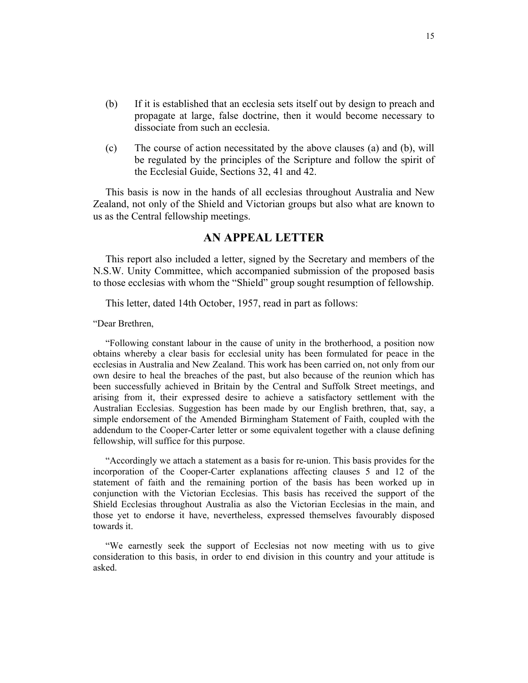- <span id="page-14-0"></span>(b) If it is established that an ecclesia sets itself out by design to preach and propagate at large, false doctrine, then it would become necessary to dissociate from such an ecclesia.
- (c) The course of action necessitated by the above clauses (a) and (b), will be regulated by the principles of the Scripture and follow the spirit of the Ecclesial Guide, Sections 32, 41 and 42.

This basis is now in the hands of all ecclesias throughout Australia and New Zealand, not only of the Shield and Victorian groups but also what are known to us as the Central fellowship meetings.

# **AN APPEAL LETTER**

This report also included a letter, signed by the Secretary and members of the N.S.W. Unity Committee, which accompanied submission of the proposed basis to those ecclesias with whom the "Shield" group sought resumption of fellowship.

This letter, dated 14th October, 1957, read in part as follows:

"Dear Brethren,

"Following constant labour in the cause of unity in the brotherhood, a position now obtains whereby a clear basis for ecclesial unity has been formulated for peace in the ecclesias in Australia and New Zealand. This work has been carried on, not only from our own desire to heal the breaches of the past, but also because of the reunion which has been successfully achieved in Britain by the Central and Suffolk Street meetings, and arising from it, their expressed desire to achieve a satisfactory settlement with the Australian Ecclesias. Suggestion has been made by our English brethren, that, say, a simple endorsement of the Amended Birmingham Statement of Faith, coupled with the addendum to the Cooper-Carter letter or some equivalent together with a clause defining fellowship, will suffice for this purpose.

"Accordingly we attach a statement as a basis for re-union. This basis provides for the incorporation of the Cooper-Carter explanations affecting clauses 5 and 12 of the statement of faith and the remaining portion of the basis has been worked up in conjunction with the Victorian Ecclesias. This basis has received the support of the Shield Ecclesias throughout Australia as also the Victorian Ecclesias in the main, and those yet to endorse it have, nevertheless, expressed themselves favourably disposed towards it.

"We earnestly seek the support of Ecclesias not now meeting with us to give consideration to this basis, in order to end division in this country and your attitude is asked.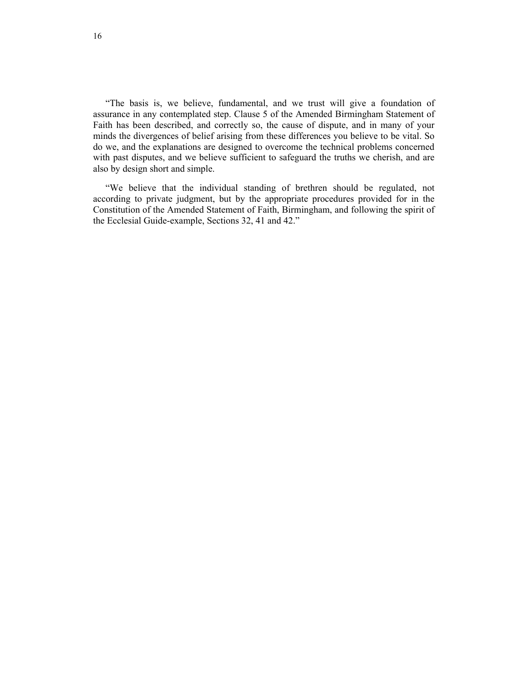"The basis is, we believe, fundamental, and we trust will give a foundation of assurance in any contemplated step. Clause 5 of the Amended Birmingham Statement of Faith has been described, and correctly so, the cause of dispute, and in many of your minds the divergences of belief arising from these differences you believe to be vital. So do we, and the explanations are designed to overcome the technical problems concerned with past disputes, and we believe sufficient to safeguard the truths we cherish, and are also by design short and simple.

"We believe that the individual standing of brethren should be regulated, not according to private judgment, but by the appropriate procedures provided for in the Constitution of the Amended Statement of Faith, Birmingham, and following the spirit of the Ecclesial Guide-example, Sections 32, 41 and 42."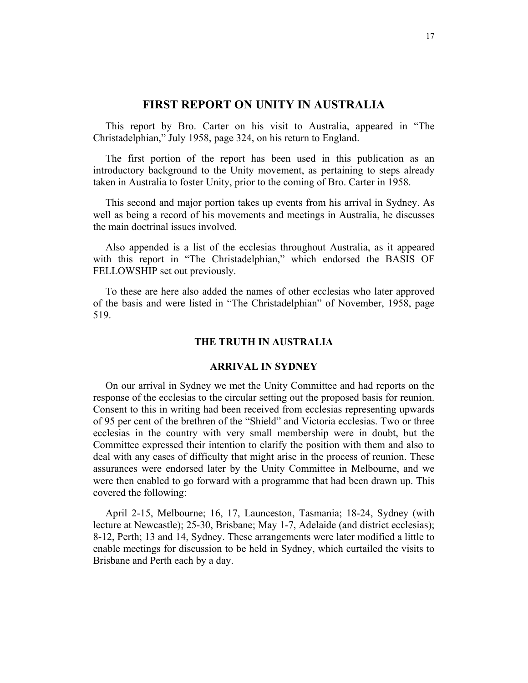# **FIRST REPORT ON UNITY IN AUSTRALIA**

<span id="page-16-0"></span>This report by Bro. Carter on his visit to Australia, appeared in "The Christadelphian," July 1958, page 324, on his return to England.

The first portion of the report has been used in this publication as an introductory background to the Unity movement, as pertaining to steps already taken in Australia to foster Unity, prior to the coming of Bro. Carter in 1958.

This second and major portion takes up events from his arrival in Sydney. As well as being a record of his movements and meetings in Australia, he discusses the main doctrinal issues involved.

Also appended is a list of the ecclesias throughout Australia, as it appeared with this report in "The Christadelphian," which endorsed the BASIS OF FELLOWSHIP set out previously.

To these are here also added the names of other ecclesias who later approved of the basis and were listed in "The Christadelphian" of November, 1958, page 519.

# **THE TRUTH IN AUSTRALIA**

# **ARRIVAL IN SYDNEY**

On our arrival in Sydney we met the Unity Committee and had reports on the response of the ecclesias to the circular setting out the proposed basis for reunion. Consent to this in writing had been received from ecclesias representing upwards of 95 per cent of the brethren of the "Shield" and Victoria ecclesias. Two or three ecclesias in the country with very small membership were in doubt, but the Committee expressed their intention to clarify the position with them and also to deal with any cases of difficulty that might arise in the process of reunion. These assurances were endorsed later by the Unity Committee in Melbourne, and we were then enabled to go forward with a programme that had been drawn up. This covered the following:

April 2-15, Melbourne; 16, 17, Launceston, Tasmania; 18-24, Sydney (with lecture at Newcastle); 25-30, Brisbane; May 1-7, Adelaide (and district ecclesias); 8-12, Perth; 13 and 14, Sydney. These arrangements were later modified a little to enable meetings for discussion to be held in Sydney, which curtailed the visits to Brisbane and Perth each by a day.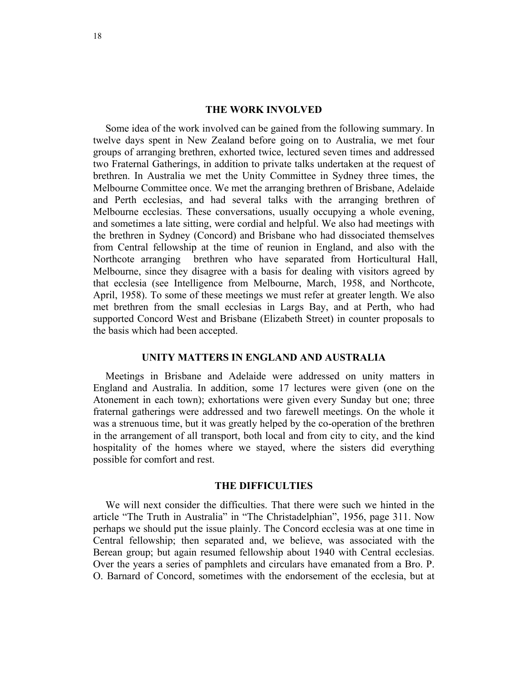#### **THE WORK INVOLVED**

Some idea of the work involved can be gained from the following summary. In twelve days spent in New Zealand before going on to Australia, we met four groups of arranging brethren, exhorted twice, lectured seven times and addressed two Fraternal Gatherings, in addition to private talks undertaken at the request of brethren. In Australia we met the Unity Committee in Sydney three times, the Melbourne Committee once. We met the arranging brethren of Brisbane, Adelaide and Perth ecclesias, and had several talks with the arranging brethren of Melbourne ecclesias. These conversations, usually occupying a whole evening, and sometimes a late sitting, were cordial and helpful. We also had meetings with the brethren in Sydney (Concord) and Brisbane who had dissociated themselves from Central fellowship at the time of reunion in England, and also with the Northcote arranging brethren who have separated from Horticultural Hall, Melbourne, since they disagree with a basis for dealing with visitors agreed by that ecclesia (see Intelligence from Melbourne, March, 1958, and Northcote, April, 1958). To some of these meetings we must refer at greater length. We also met brethren from the small ecclesias in Largs Bay, and at Perth, who had supported Concord West and Brisbane (Elizabeth Street) in counter proposals to the basis which had been accepted.

# **UNITY MATTERS IN ENGLAND AND AUSTRALIA**

Meetings in Brisbane and Adelaide were addressed on unity matters in England and Australia. In addition, some 17 lectures were given (one on the Atonement in each town); exhortations were given every Sunday but one; three fraternal gatherings were addressed and two farewell meetings. On the whole it was a strenuous time, but it was greatly helped by the co-operation of the brethren in the arrangement of all transport, both local and from city to city, and the kind hospitality of the homes where we stayed, where the sisters did everything possible for comfort and rest.

# **THE DIFFICULTIES**

We will next consider the difficulties. That there were such we hinted in the article "The Truth in Australia" in "The Christadelphian", 1956, page 311. Now perhaps we should put the issue plainly. The Concord ecclesia was at one time in Central fellowship; then separated and, we believe, was associated with the Berean group; but again resumed fellowship about 1940 with Central ecclesias. Over the years a series of pamphlets and circulars have emanated from a Bro. P. O. Barnard of Concord, sometimes with the endorsement of the ecclesia, but at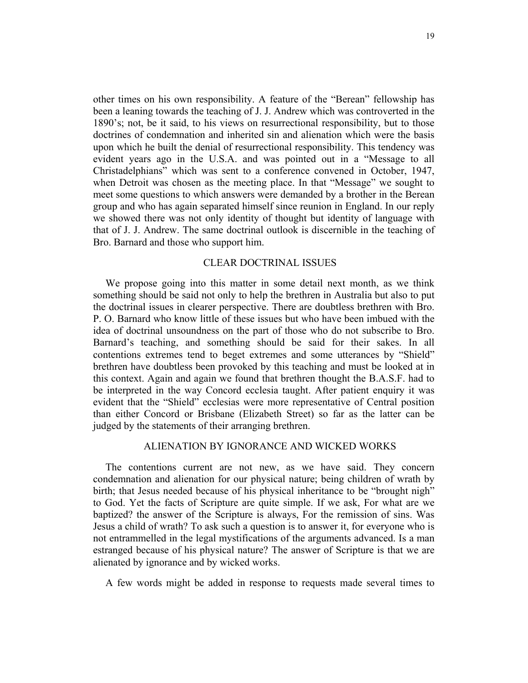other times on his own responsibility. A feature of the "Berean" fellowship has been a leaning towards the teaching of J. J. Andrew which was controverted in the 1890's; not, be it said, to his views on resurrectional responsibility, but to those doctrines of condemnation and inherited sin and alienation which were the basis upon which he built the denial of resurrectional responsibility. This tendency was evident years ago in the U.S.A. and was pointed out in a "Message to all Christadelphians" which was sent to a conference convened in October, 1947, when Detroit was chosen as the meeting place. In that "Message" we sought to meet some questions to which answers were demanded by a brother in the Berean group and who has again separated himself since reunion in England. In our reply we showed there was not only identity of thought but identity of language with that of J. J. Andrew. The same doctrinal outlook is discernible in the teaching of Bro. Barnard and those who support him.

# CLEAR DOCTRINAL ISSUES

We propose going into this matter in some detail next month, as we think something should be said not only to help the brethren in Australia but also to put the doctrinal issues in clearer perspective. There are doubtless brethren with Bro. P. O. Barnard who know little of these issues but who have been imbued with the idea of doctrinal unsoundness on the part of those who do not subscribe to Bro. Barnard's teaching, and something should be said for their sakes. In all contentions extremes tend to beget extremes and some utterances by "Shield" brethren have doubtless been provoked by this teaching and must be looked at in this context. Again and again we found that brethren thought the B.A.S.F. had to be interpreted in the way Concord ecclesia taught. After patient enquiry it was evident that the "Shield" ecclesias were more representative of Central position than either Concord or Brisbane (Elizabeth Street) so far as the latter can be judged by the statements of their arranging brethren.

#### ALIENATION BY IGNORANCE AND WICKED WORKS

The contentions current are not new, as we have said. They concern condemnation and alienation for our physical nature; being children of wrath by birth; that Jesus needed because of his physical inheritance to be "brought nigh" to God. Yet the facts of Scripture are quite simple. If we ask, For what are we baptized? the answer of the Scripture is always, For the remission of sins. Was Jesus a child of wrath? To ask such a question is to answer it, for everyone who is not entrammelled in the legal mystifications of the arguments advanced. Is a man estranged because of his physical nature? The answer of Scripture is that we are alienated by ignorance and by wicked works.

A few words might be added in response to requests made several times to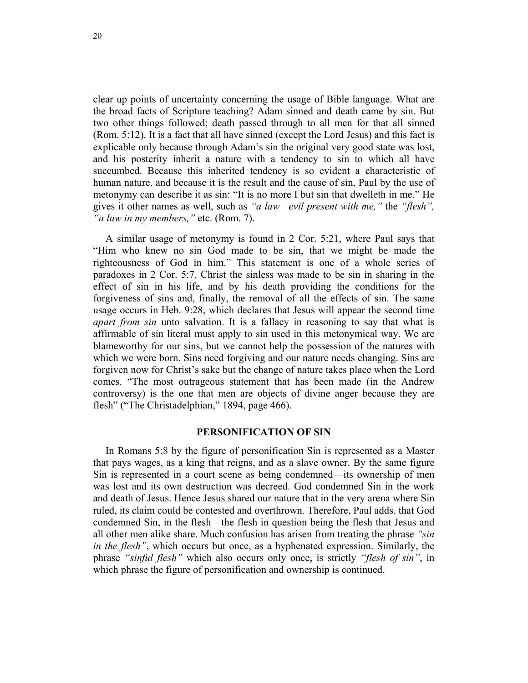clear up points of uncertainty concerning the usage of Bible language. What are the broad facts of Scripture teaching? Adam sinned and death came by sin. But two other things followed; death passed through to all men for that all sinned (Rom. 5:12). It is a fact that all have sinned (except the Lord Jesus) and this fact is explicable only because through Adam's sin the original very good state was lost, and his posterity inherit a nature with a tendency to sin to which all have succumbed. Because this inherited tendency is so evident a characteristic of human nature, and because it is the result and the cause of sin, Paul by the use of metonymy can describe it as sin: "It is no more I but sin that dwelleth in me." He gives it other names as well, such as *"a law—evil present with me,"* the *"flesh", "a law in my members,"* etc. (Rom. 7).

A similar usage of metonymy is found in 2 Cor. 5:21, where Paul says that "Him who knew no sin God made to be sin, that we might be made the righteousness of God in him." This statement is one of a whole series of paradoxes in 2 Cor. 5:7. Christ the sinless was made to be sin in sharing in the effect of sin in his life, and by his death providing the conditions for the forgiveness of sins and, finally, the removal of all the effects of sin. The same usage occurs in Heb. 9:28, which declares that Jesus will appear the second time *apart from sin* unto salvation. It is a fallacy in reasoning to say that what is affirmable of sin literal must apply to sin used in this metonymical way. We are blameworthy for our sins, but we cannot help the possession of the natures with which we were born. Sins need forgiving and our nature needs changing. Sins are forgiven now for Christ's sake but the change of nature takes place when the Lord comes. "The most outrageous statement that has been made (in the Andrew controversy) is the one that men are objects of divine anger because they are flesh" ("The Christadelphian," 1894, page 466).

# **PERSONIFICATION OF SIN**

In Romans 5:8 by the figure of personification Sin is represented as a Master that pays wages, as a king that reigns, and as a slave owner. By the same figure Sin is represented in a court scene as being condemned—its ownership of men was lost and its own destruction was decreed. God condemned Sin in the work and death of Jesus. Hence Jesus shared our nature that in the very arena where Sin ruled, its claim could be contested and overthrown. Therefore, Paul adds. that God condemned Sin, in the flesh—the flesh in question being the flesh that Jesus and all other men alike share. Much confusion has arisen from treating the phrase *"sin in the flesh"*, which occurs but once, as a hyphenated expression. Similarly, the phrase *"sinful flesh"* which also occurs only once, is strictly *"flesh of sin"*, in which phrase the figure of personification and ownership is continued.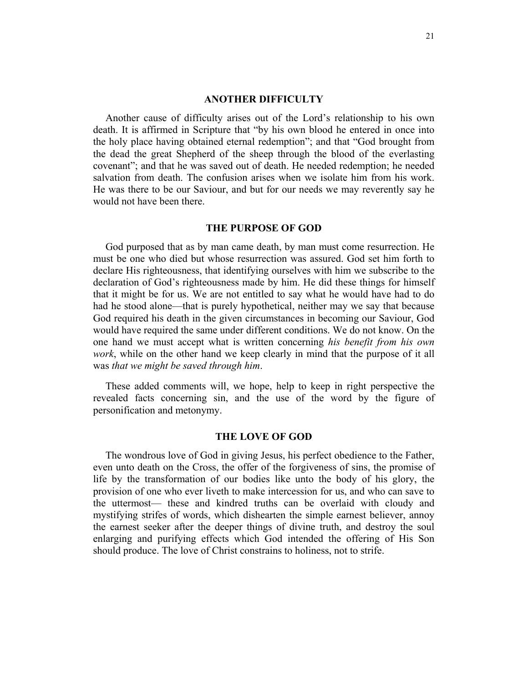#### **ANOTHER DIFFICULTY**

Another cause of difficulty arises out of the Lord's relationship to his own death. It is affirmed in Scripture that "by his own blood he entered in once into the holy place having obtained eternal redemption"; and that "God brought from the dead the great Shepherd of the sheep through the blood of the everlasting covenant"; and that he was saved out of death. He needed redemption; he needed salvation from death. The confusion arises when we isolate him from his work. He was there to be our Saviour, and but for our needs we may reverently say he would not have been there.

#### **THE PURPOSE OF GOD**

God purposed that as by man came death, by man must come resurrection. He must be one who died but whose resurrection was assured. God set him forth to declare His righteousness, that identifying ourselves with him we subscribe to the declaration of God's righteousness made by him. He did these things for himself that it might be for us. We are not entitled to say what he would have had to do had he stood alone—that is purely hypothetical, neither may we say that because God required his death in the given circumstances in becoming our Saviour, God would have required the same under different conditions. We do not know. On the one hand we must accept what is written concerning *his benefit from his own work*, while on the other hand we keep clearly in mind that the purpose of it all was *that we might be saved through him*.

These added comments will, we hope, help to keep in right perspective the revealed facts concerning sin, and the use of the word by the figure of personification and metonymy.

# **THE LOVE OF GOD**

The wondrous love of God in giving Jesus, his perfect obedience to the Father, even unto death on the Cross, the offer of the forgiveness of sins, the promise of life by the transformation of our bodies like unto the body of his glory, the provision of one who ever liveth to make intercession for us, and who can save to the uttermost— these and kindred truths can be overlaid with cloudy and mystifying strifes of words, which dishearten the simple earnest believer, annoy the earnest seeker after the deeper things of divine truth, and destroy the soul enlarging and purifying effects which God intended the offering of His Son should produce. The love of Christ constrains to holiness, not to strife.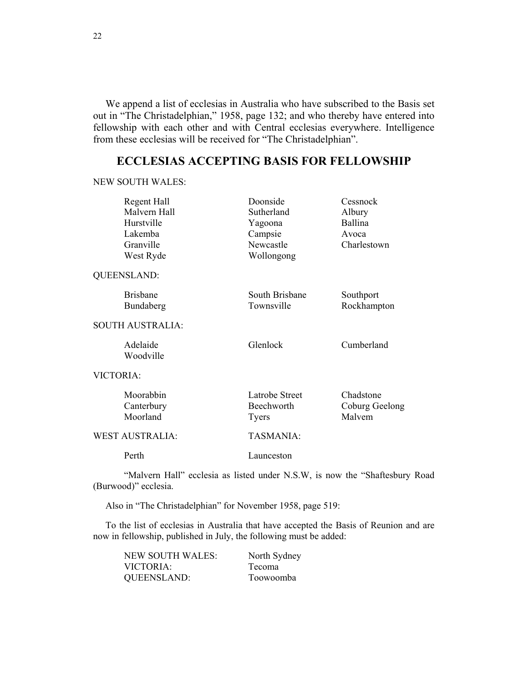<span id="page-21-0"></span>We append a list of ecclesias in Australia who have subscribed to the Basis set out in "The Christadelphian," 1958, page 132; and who thereby have entered into fellowship with each other and with Central ecclesias everywhere. Intelligence from these ecclesias will be received for "The Christadelphian".

# **ECCLESIAS ACCEPTING BASIS FOR FELLOWSHIP**

NEW SOUTH WALES:

| Regent Hall             | Doonside       | Cessnock       |
|-------------------------|----------------|----------------|
| Malvern Hall            | Sutherland     | Albury         |
| Hurstville              | Yagoona        | Ballina        |
| Lakemba                 | Campsie        | Avoca          |
| Granville               | Newcastle      | Charlestown    |
| West Ryde               | Wollongong     |                |
| QUEENSLAND:             |                |                |
| <b>Brisbane</b>         | South Brisbane | Southport      |
| Bundaberg               | Townsville     | Rockhampton    |
| <b>SOUTH AUSTRALIA:</b> |                |                |
| Adelaide                | Glenlock       | Cumberland     |
| Woodville               |                |                |
| VICTORIA:               |                |                |
| Moorabbin               | Latrobe Street | Chadstone      |
| Canterbury              | Beechworth     | Coburg Geelong |
| Moorland                | Tyers          | Malvem         |
| WEST AUSTRALIA:         | TASMANIA:      |                |

Perth Launceston

"Malvern Hall" ecclesia as listed under N.S.W, is now the "Shaftesbury Road (Burwood)" ecclesia.

Also in "The Christadelphian" for November 1958, page 519:

To the list of ecclesias in Australia that have accepted the Basis of Reunion and are now in fellowship, published in July, the following must be added:

| NEW SOUTH WALES:   | North Sydney  |
|--------------------|---------------|
| VICTORIA:          | <b>Tecoma</b> |
| <b>QUEENSLAND:</b> | Toowoomba     |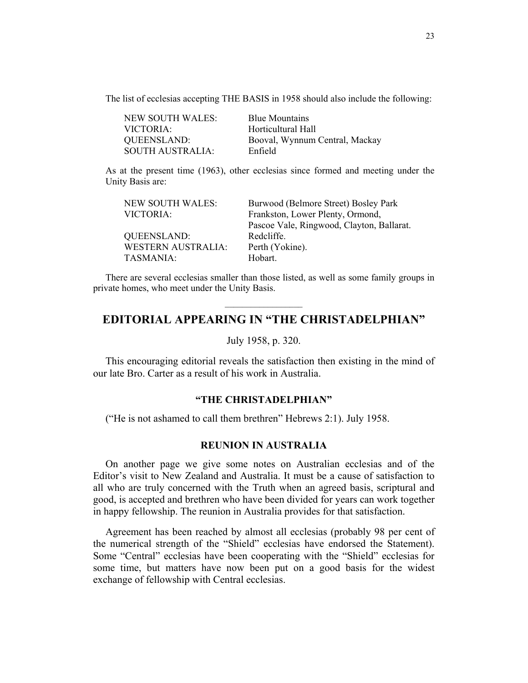<span id="page-22-0"></span>The list of ecclesias accepting THE BASIS in 1958 should also include the following:

| <b>NEW SOUTH WALES:</b> | <b>Blue Mountains</b>          |
|-------------------------|--------------------------------|
| VICTORIA:               | Horticultural Hall             |
| QUEENSLAND:             | Booval, Wynnum Central, Mackay |
| <b>SOUTH AUSTRALIA:</b> | Enfield                        |

As at the present time (1963), other ecclesias since formed and meeting under the Unity Basis are:

| <b>NEW SOUTH WALES:</b>   | Burwood (Belmore Street) Bosley Park      |
|---------------------------|-------------------------------------------|
| VICTORIA:                 | Frankston, Lower Plenty, Ormond,          |
|                           | Pascoe Vale, Ringwood, Clayton, Ballarat. |
| <b>QUEENSLAND:</b>        | Redcliffe.                                |
| <b>WESTERN AUSTRALIA:</b> | Perth (Yokine).                           |
| TASMANIA:                 | Hobart.                                   |
|                           |                                           |

There are several ecclesias smaller than those listed, as well as some family groups in private homes, who meet under the Unity Basis.

# **EDITORIAL APPEARING IN "THE CHRISTADELPHIAN"**

July 1958, p. 320.

This encouraging editorial reveals the satisfaction then existing in the mind of our late Bro. Carter as a result of his work in Australia.

# **"THE CHRISTADELPHIAN"**

("He is not ashamed to call them brethren" Hebrews 2:1). July 1958.

# **REUNION IN AUSTRALIA**

On another page we give some notes on Australian ecclesias and of the Editor's visit to New Zealand and Australia. It must be a cause of satisfaction to all who are truly concerned with the Truth when an agreed basis, scriptural and good, is accepted and brethren who have been divided for years can work together in happy fellowship. The reunion in Australia provides for that satisfaction.

Agreement has been reached by almost all ecclesias (probably 98 per cent of the numerical strength of the "Shield" ecclesias have endorsed the Statement). Some "Central" ecclesias have been cooperating with the "Shield" ecclesias for some time, but matters have now been put on a good basis for the widest exchange of fellowship with Central ecclesias.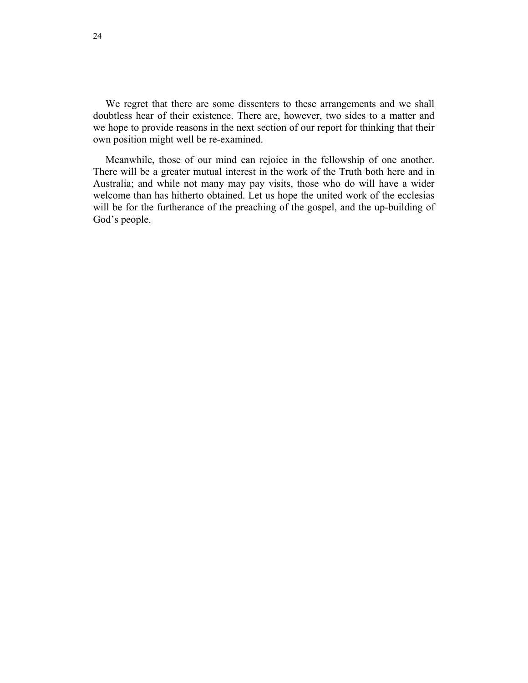We regret that there are some dissenters to these arrangements and we shall doubtless hear of their existence. There are, however, two sides to a matter and we hope to provide reasons in the next section of our report for thinking that their own position might well be re-examined.

Meanwhile, those of our mind can rejoice in the fellowship of one another. There will be a greater mutual interest in the work of the Truth both here and in Australia; and while not many may pay visits, those who do will have a wider welcome than has hitherto obtained. Let us hope the united work of the ecclesias will be for the furtherance of the preaching of the gospel, and the up-building of God's people.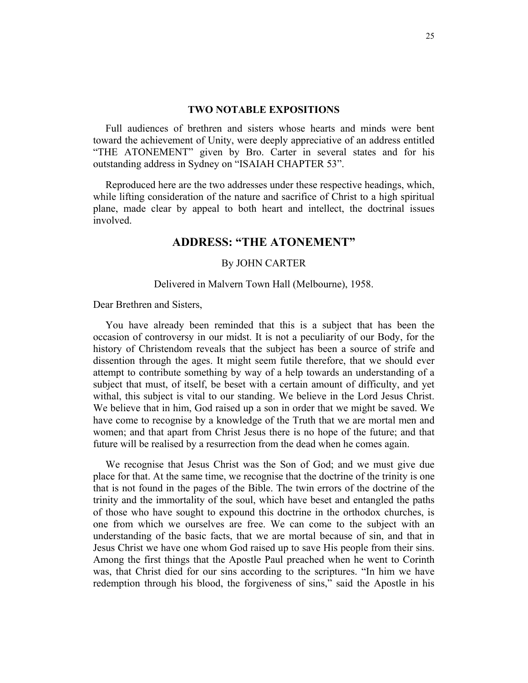#### **TWO NOTABLE EXPOSITIONS**

<span id="page-24-0"></span>Full audiences of brethren and sisters whose hearts and minds were bent toward the achievement of Unity, were deeply appreciative of an address entitled "THE ATONEMENT" given by Bro. Carter in several states and for his outstanding address in Sydney on "ISAIAH CHAPTER 53".

Reproduced here are the two addresses under these respective headings, which, while lifting consideration of the nature and sacrifice of Christ to a high spiritual plane, made clear by appeal to both heart and intellect, the doctrinal issues involved.

# **ADDRESS: "THE ATONEMENT"**

# By JOHN CARTER

# Delivered in Malvern Town Hall (Melbourne), 1958.

Dear Brethren and Sisters,

You have already been reminded that this is a subject that has been the occasion of controversy in our midst. It is not a peculiarity of our Body, for the history of Christendom reveals that the subject has been a source of strife and dissention through the ages. It might seem futile therefore, that we should ever attempt to contribute something by way of a help towards an understanding of a subject that must, of itself, be beset with a certain amount of difficulty, and yet withal, this subject is vital to our standing. We believe in the Lord Jesus Christ. We believe that in him, God raised up a son in order that we might be saved. We have come to recognise by a knowledge of the Truth that we are mortal men and women; and that apart from Christ Jesus there is no hope of the future; and that future will be realised by a resurrection from the dead when he comes again.

We recognise that Jesus Christ was the Son of God; and we must give due place for that. At the same time, we recognise that the doctrine of the trinity is one that is not found in the pages of the Bible. The twin errors of the doctrine of the trinity and the immortality of the soul, which have beset and entangled the paths of those who have sought to expound this doctrine in the orthodox churches, is one from which we ourselves are free. We can come to the subject with an understanding of the basic facts, that we are mortal because of sin, and that in Jesus Christ we have one whom God raised up to save His people from their sins. Among the first things that the Apostle Paul preached when he went to Corinth was, that Christ died for our sins according to the scriptures. "In him we have redemption through his blood, the forgiveness of sins," said the Apostle in his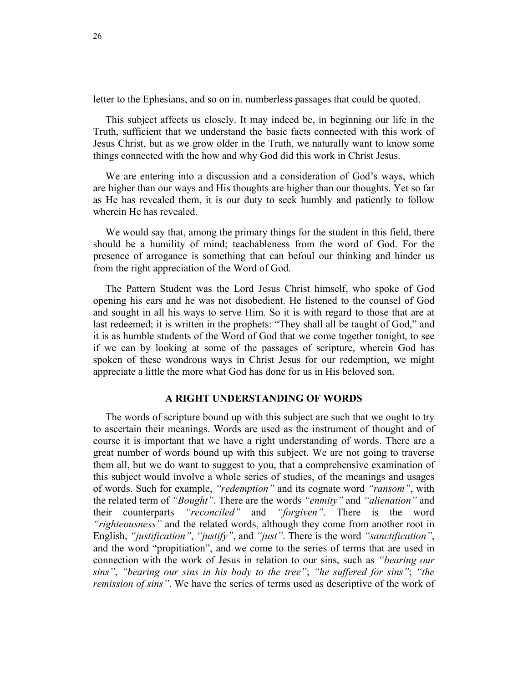letter to the Ephesians, and so on in. numberless passages that could be quoted.

This subject affects us closely. It may indeed be, in beginning our life in the Truth, sufficient that we understand the basic facts connected with this work of Jesus Christ, but as we grow older in the Truth, we naturally want to know some things connected with the how and why God did this work in Christ Jesus.

We are entering into a discussion and a consideration of God's ways, which are higher than our ways and His thoughts are higher than our thoughts. Yet so far as He has revealed them, it is our duty to seek humbly and patiently to follow wherein He has revealed.

We would say that, among the primary things for the student in this field, there should be a humility of mind; teachableness from the word of God. For the presence of arrogance is something that can befoul our thinking and hinder us from the right appreciation of the Word of God.

The Pattern Student was the Lord Jesus Christ himself, who spoke of God opening his ears and he was not disobedient. He listened to the counsel of God and sought in all his ways to serve Him. So it is with regard to those that are at last redeemed; it is written in the prophets: "They shall all be taught of God," and it is as humble students of the Word of God that we come together tonight, to see if we can by looking at some of the passages of scripture, wherein God has spoken of these wondrous ways in Christ Jesus for our redemption, we might appreciate a little the more what God has done for us in His beloved son.

# **A RIGHT UNDERSTANDING OF WORDS**

The words of scripture bound up with this subject are such that we ought to try to ascertain their meanings. Words are used as the instrument of thought and of course it is important that we have a right understanding of words. There are a great number of words bound up with this subject. We are not going to traverse them all, but we do want to suggest to you, that a comprehensive examination of this subject would involve a whole series of studies, of the meanings and usages of words. Such for example, *"redemption"* and its cognate word *"ransom"*, with the related term of *"Bought"*. There are the words *"enmity"* and *"alienation"* and their counterparts *"reconciled"* and *"forgiven"*. There is the word *"righteousness"* and the related words, although they come from another root in English, *"justification"*, *"justify"*, and *"just"*. There is the word *"sanctification"*, and the word "propitiation", and we come to the series of terms that are used in connection with the work of Jesus in relation to our sins, such as *"bearing our sins"*, *"bearing our sins in his body to the tree"*; *"he suffered for sins"*; *"the remission of sins"*. We have the series of terms used as descriptive of the work of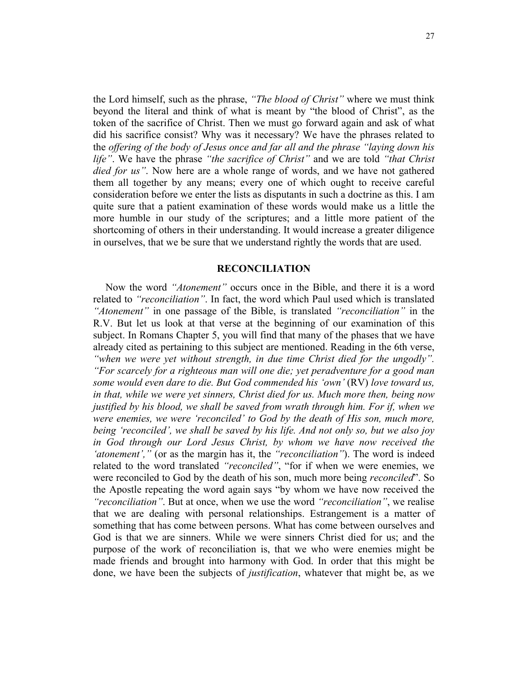the Lord himself, such as the phrase, *"The blood of Christ"* where we must think beyond the literal and think of what is meant by "the blood of Christ", as the token of the sacrifice of Christ. Then we must go forward again and ask of what did his sacrifice consist? Why was it necessary? We have the phrases related to the *offering of the body of Jesus once and far all and the phrase "laying down his life"*. We have the phrase *"the sacrifice of Christ"* and we are told *"that Christ died for us"*. Now here are a whole range of words, and we have not gathered them all together by any means; every one of which ought to receive careful consideration before we enter the lists as disputants in such a doctrine as this. I am quite sure that a patient examination of these words would make us a little the more humble in our study of the scriptures; and a little more patient of the shortcoming of others in their understanding. It would increase a greater diligence in ourselves, that we be sure that we understand rightly the words that are used.

#### **RECONCILIATION**

Now the word *"Atonement"* occurs once in the Bible, and there it is a word related to *"reconciliation"*. In fact, the word which Paul used which is translated *"Atonement"* in one passage of the Bible, is translated *"reconciliation"* in the R.V. But let us look at that verse at the beginning of our examination of this subject. In Romans Chapter 5, you will find that many of the phases that we have already cited as pertaining to this subject are mentioned. Reading in the 6th verse, "when we were yet without strength, in due time Christ died for the ungodly". *"For scarcely for a righteous man will one die; yet peradventure for a good man some would even dare to die. But God commended his 'own'* (RV) *love toward us, in that, while we were yet sinners, Christ died for us. Much more then, being now justified by his blood, we shall be saved from wrath through him. For if, when we were enemies, we were 'reconciled' to God by the death of His son, much more, being 'reconciled', we shall be saved by his life. And not only so, but we also joy in God through our Lord Jesus Christ, by whom we have now received the 'atonement',"* (or as the margin has it, the *"reconciliation"*). The word is indeed related to the word translated *"reconciled"*, "for if when we were enemies, we were reconciled to God by the death of his son, much more being *reconciled*". So the Apostle repeating the word again says "by whom we have now received the *"reconciliation"*. But at once, when we use the word *"reconciliation"*, we realise that we are dealing with personal relationships. Estrangement is a matter of something that has come between persons. What has come between ourselves and God is that we are sinners. While we were sinners Christ died for us; and the purpose of the work of reconciliation is, that we who were enemies might be made friends and brought into harmony with God. In order that this might be done, we have been the subjects of *justification*, whatever that might be, as we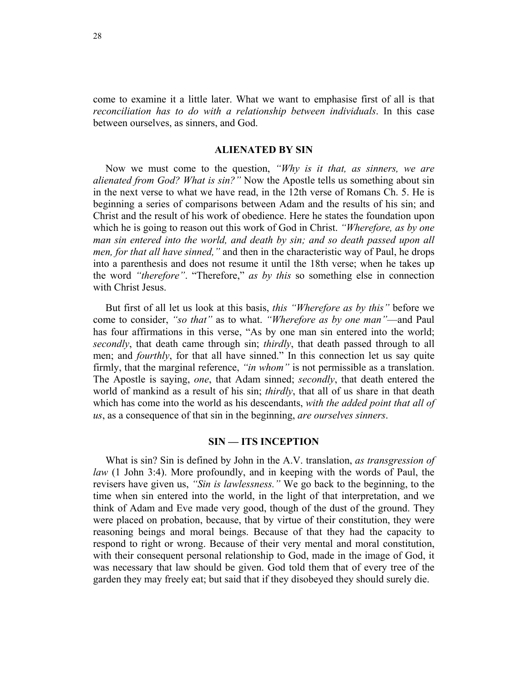come to examine it a little later. What we want to emphasise first of all is that *reconciliation has to do with a relationship between individuals*. In this case between ourselves, as sinners, and God.

### **ALIENATED BY SIN**

Now we must come to the question, *"Why is it that, as sinners, we are alienated from God? What is sin?"* Now the Apostle tells us something about sin in the next verse to what we have read, in the 12th verse of Romans Ch. 5. He is beginning a series of comparisons between Adam and the results of his sin; and Christ and the result of his work of obedience. Here he states the foundation upon which he is going to reason out this work of God in Christ. *"Wherefore, as by one man sin entered into the world, and death by sin; and so death passed upon all men, for that all have sinned,"* and then in the characteristic way of Paul, he drops into a parenthesis and does not resume it until the 18th verse; when he takes up the word *"therefore"*. "Therefore," *as by this* so something else in connection with Christ Jesus.

But first of all let us look at this basis, *this "Wherefore as by this"* before we come to consider, *"so that"* as to what. *"Wherefore as by one man"*—and Paul has four affirmations in this verse, "As by one man sin entered into the world; *secondly*, that death came through sin; *thirdly*, that death passed through to all men; and *fourthly*, for that all have sinned." In this connection let us say quite firmly, that the marginal reference, *"in whom"* is not permissible as a translation. The Apostle is saying, *one*, that Adam sinned; *secondly*, that death entered the world of mankind as a result of his sin; *thirdly*, that all of us share in that death which has come into the world as his descendants, *with the added point that all of us*, as a consequence of that sin in the beginning, *are ourselves sinners*.

# **SIN — ITS INCEPTION**

What is sin? Sin is defined by John in the A.V. translation, *as transgression of law* (1 John 3:4). More profoundly, and in keeping with the words of Paul, the revisers have given us, *"Sin is lawlessness."* We go back to the beginning, to the time when sin entered into the world, in the light of that interpretation, and we think of Adam and Eve made very good, though of the dust of the ground. They were placed on probation, because, that by virtue of their constitution, they were reasoning beings and moral beings. Because of that they had the capacity to respond to right or wrong. Because of their very mental and moral constitution, with their consequent personal relationship to God, made in the image of God, it was necessary that law should be given. God told them that of every tree of the garden they may freely eat; but said that if they disobeyed they should surely die.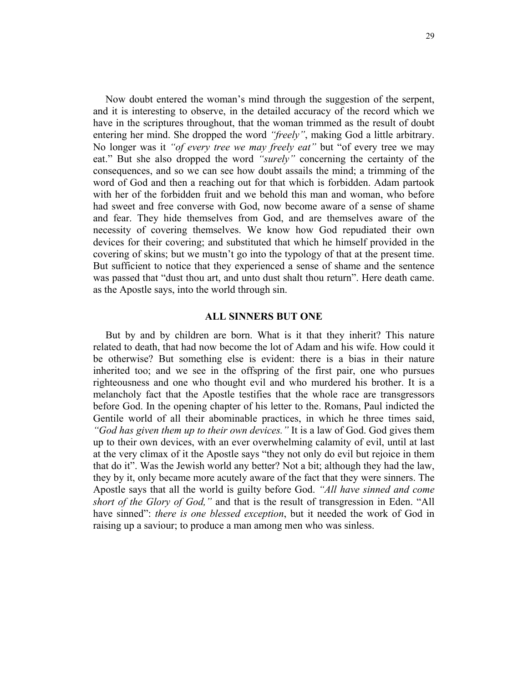Now doubt entered the woman's mind through the suggestion of the serpent, and it is interesting to observe, in the detailed accuracy of the record which we have in the scriptures throughout, that the woman trimmed as the result of doubt entering her mind. She dropped the word *"freely"*, making God a little arbitrary. No longer was it *"of every tree we may freely eat"* but "of every tree we may eat." But she also dropped the word *"surely"* concerning the certainty of the consequences, and so we can see how doubt assails the mind; a trimming of the word of God and then a reaching out for that which is forbidden. Adam partook with her of the forbidden fruit and we behold this man and woman, who before had sweet and free converse with God, now become aware of a sense of shame and fear. They hide themselves from God, and are themselves aware of the necessity of covering themselves. We know how God repudiated their own devices for their covering; and substituted that which he himself provided in the covering of skins; but we mustn't go into the typology of that at the present time. But sufficient to notice that they experienced a sense of shame and the sentence was passed that "dust thou art, and unto dust shalt thou return". Here death came. as the Apostle says, into the world through sin.

#### **ALL SINNERS BUT ONE**

But by and by children are born. What is it that they inherit? This nature related to death, that had now become the lot of Adam and his wife. How could it be otherwise? But something else is evident: there is a bias in their nature inherited too; and we see in the offspring of the first pair, one who pursues righteousness and one who thought evil and who murdered his brother. It is a melancholy fact that the Apostle testifies that the whole race are transgressors before God. In the opening chapter of his letter to the. Romans, Paul indicted the Gentile world of all their abominable practices, in which he three times said, *"God has given them up to their own devices."* It is a law of God. God gives them up to their own devices, with an ever overwhelming calamity of evil, until at last at the very climax of it the Apostle says "they not only do evil but rejoice in them that do it". Was the Jewish world any better? Not a bit; although they had the law, they by it, only became more acutely aware of the fact that they were sinners. The Apostle says that all the world is guilty before God. *"All have sinned and come short of the Glory of God,"* and that is the result of transgression in Eden. "All have sinned": *there is one blessed exception*, but it needed the work of God in raising up a saviour; to produce a man among men who was sinless.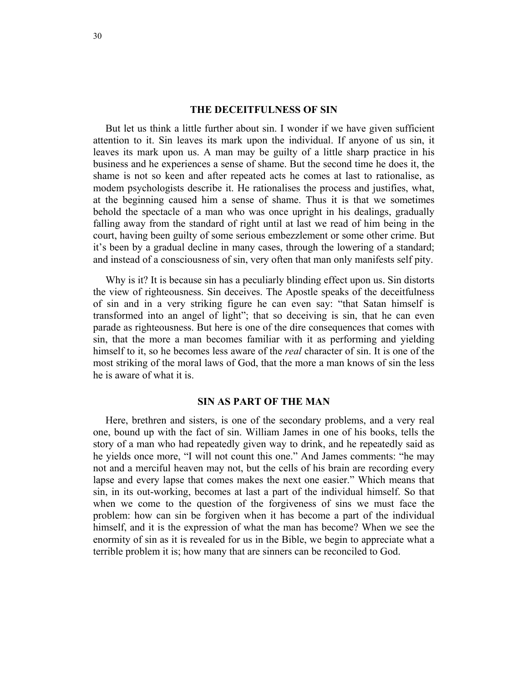#### **THE DECEITFULNESS OF SIN**

But let us think a little further about sin. I wonder if we have given sufficient attention to it. Sin leaves its mark upon the individual. If anyone of us sin, it leaves its mark upon us. A man may be guilty of a little sharp practice in his business and he experiences a sense of shame. But the second time he does it, the shame is not so keen and after repeated acts he comes at last to rationalise, as modem psychologists describe it. He rationalises the process and justifies, what, at the beginning caused him a sense of shame. Thus it is that we sometimes behold the spectacle of a man who was once upright in his dealings, gradually falling away from the standard of right until at last we read of him being in the court, having been guilty of some serious embezzlement or some other crime. But it's been by a gradual decline in many cases, through the lowering of a standard; and instead of a consciousness of sin, very often that man only manifests self pity.

Why is it? It is because sin has a peculiarly blinding effect upon us. Sin distorts the view of righteousness. Sin deceives. The Apostle speaks of the deceitfulness of sin and in a very striking figure he can even say: "that Satan himself is transformed into an angel of light"; that so deceiving is sin, that he can even parade as righteousness. But here is one of the dire consequences that comes with sin, that the more a man becomes familiar with it as performing and yielding himself to it, so he becomes less aware of the *real* character of sin. It is one of the most striking of the moral laws of God, that the more a man knows of sin the less he is aware of what it is.

#### **SIN AS PART OF THE MAN**

Here, brethren and sisters, is one of the secondary problems, and a very real one, bound up with the fact of sin. William James in one of his books, tells the story of a man who had repeatedly given way to drink, and he repeatedly said as he yields once more, "I will not count this one." And James comments: "he may not and a merciful heaven may not, but the cells of his brain are recording every lapse and every lapse that comes makes the next one easier." Which means that sin, in its out-working, becomes at last a part of the individual himself. So that when we come to the question of the forgiveness of sins we must face the problem: how can sin be forgiven when it has become a part of the individual himself, and it is the expression of what the man has become? When we see the enormity of sin as it is revealed for us in the Bible, we begin to appreciate what a terrible problem it is; how many that are sinners can be reconciled to God.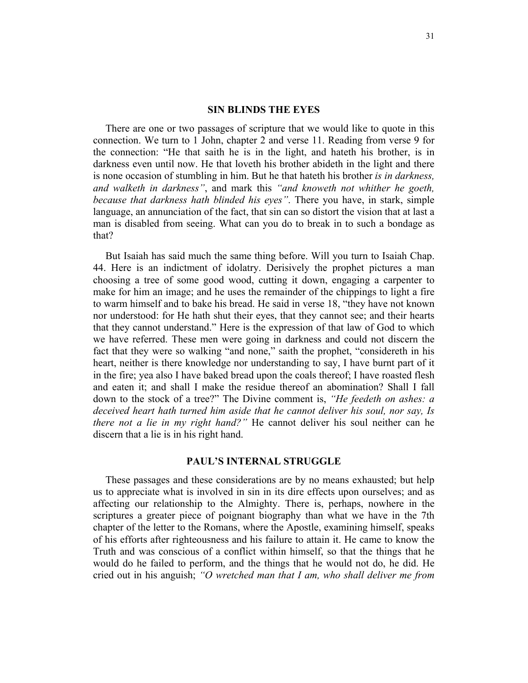#### **SIN BLINDS THE EYES**

There are one or two passages of scripture that we would like to quote in this connection. We turn to 1 John, chapter 2 and verse 11. Reading from verse 9 for the connection: "He that saith he is in the light, and hateth his brother, is in darkness even until now. He that loveth his brother abideth in the light and there is none occasion of stumbling in him. But he that hateth his brother *is in darkness, and walketh in darkness"*, and mark this *"and knoweth not whither he goeth, because that darkness hath blinded his eyes"*. There you have, in stark, simple language, an annunciation of the fact, that sin can so distort the vision that at last a man is disabled from seeing. What can you do to break in to such a bondage as that?

But Isaiah has said much the same thing before. Will you turn to Isaiah Chap. 44. Here is an indictment of idolatry. Derisively the prophet pictures a man choosing a tree of some good wood, cutting it down, engaging a carpenter to make for him an image; and he uses the remainder of the chippings to light a fire to warm himself and to bake his bread. He said in verse 18, "they have not known nor understood: for He hath shut their eyes, that they cannot see; and their hearts that they cannot understand." Here is the expression of that law of God to which we have referred. These men were going in darkness and could not discern the fact that they were so walking "and none," saith the prophet, "considereth in his heart, neither is there knowledge nor understanding to say, I have burnt part of it in the fire; yea also I have baked bread upon the coals thereof; I have roasted flesh and eaten it; and shall I make the residue thereof an abomination? Shall I fall down to the stock of a tree?" The Divine comment is, *"He feedeth on ashes: a deceived heart hath turned him aside that he cannot deliver his soul, nor say, Is there not a lie in my right hand?"* He cannot deliver his soul neither can he discern that a lie is in his right hand.

#### **PAUL'S INTERNAL STRUGGLE**

These passages and these considerations are by no means exhausted; but help us to appreciate what is involved in sin in its dire effects upon ourselves; and as affecting our relationship to the Almighty. There is, perhaps, nowhere in the scriptures a greater piece of poignant biography than what we have in the 7th chapter of the letter to the Romans, where the Apostle, examining himself, speaks of his efforts after righteousness and his failure to attain it. He came to know the Truth and was conscious of a conflict within himself, so that the things that he would do he failed to perform, and the things that he would not do, he did. He cried out in his anguish; *"O wretched man that I am, who shall deliver me from*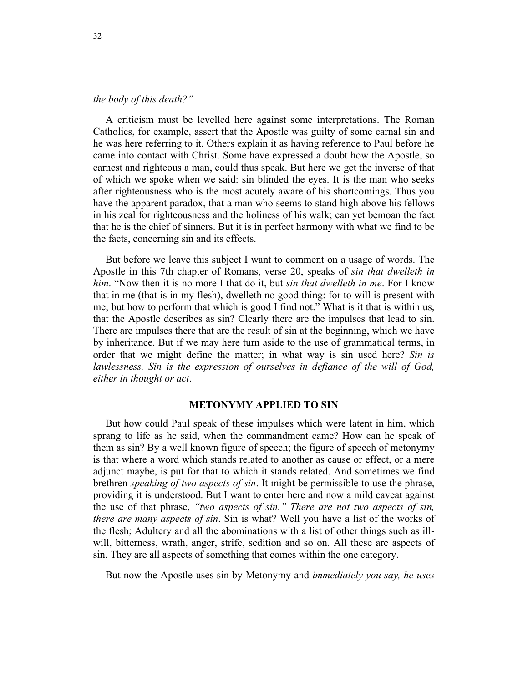# *the body of this death?"*

A criticism must be levelled here against some interpretations. The Roman Catholics, for example, assert that the Apostle was guilty of some carnal sin and he was here referring to it. Others explain it as having reference to Paul before he came into contact with Christ. Some have expressed a doubt how the Apostle, so earnest and righteous a man, could thus speak. But here we get the inverse of that of which we spoke when we said: sin blinded the eyes. It is the man who seeks after righteousness who is the most acutely aware of his shortcomings. Thus you have the apparent paradox, that a man who seems to stand high above his fellows in his zeal for righteousness and the holiness of his walk; can yet bemoan the fact that he is the chief of sinners. But it is in perfect harmony with what we find to be the facts, concerning sin and its effects.

But before we leave this subject I want to comment on a usage of words. The Apostle in this 7th chapter of Romans, verse 20, speaks of *sin that dwelleth in him*. "Now then it is no more I that do it, but *sin that dwelleth in me*. For I know that in me (that is in my flesh), dwelleth no good thing: for to will is present with me; but how to perform that which is good I find not." What is it that is within us, that the Apostle describes as sin? Clearly there are the impulses that lead to sin. There are impulses there that are the result of sin at the beginning, which we have by inheritance. But if we may here turn aside to the use of grammatical terms, in order that we might define the matter; in what way is sin used here? *Sin is lawlessness. Sin is the expression of ourselves in defiance of the will of God, either in thought or act*.

#### **METONYMY APPLIED TO SIN**

But how could Paul speak of these impulses which were latent in him, which sprang to life as he said, when the commandment came? How can he speak of them as sin? By a well known figure of speech; the figure of speech of metonymy is that where a word which stands related to another as cause or effect, or a mere adjunct maybe, is put for that to which it stands related. And sometimes we find brethren *speaking of two aspects of sin*. It might be permissible to use the phrase, providing it is understood. But I want to enter here and now a mild caveat against the use of that phrase, *"two aspects of sin." There are not two aspects of sin, there are many aspects of sin*. Sin is what? Well you have a list of the works of the flesh; Adultery and all the abominations with a list of other things such as illwill, bitterness, wrath, anger, strife, sedition and so on. All these are aspects of sin. They are all aspects of something that comes within the one category.

But now the Apostle uses sin by Metonymy and *immediately you say, he uses*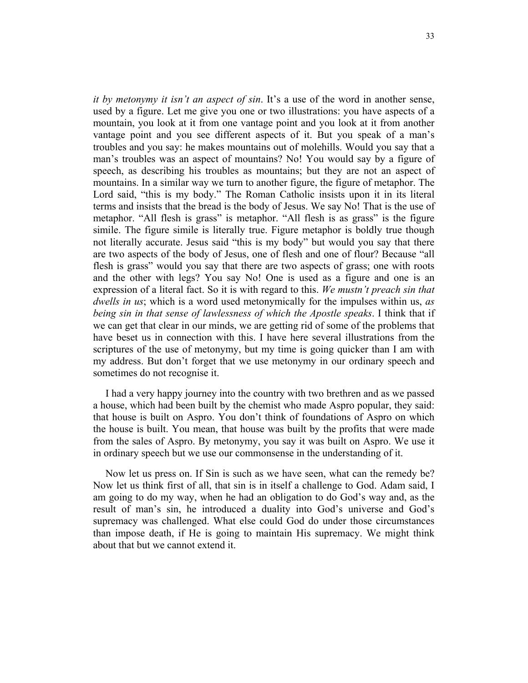*it by metonymy it isn't an aspect of sin*. It's a use of the word in another sense, used by a figure. Let me give you one or two illustrations: you have aspects of a mountain, you look at it from one vantage point and you look at it from another vantage point and you see different aspects of it. But you speak of a man's troubles and you say: he makes mountains out of molehills. Would you say that a man's troubles was an aspect of mountains? No! You would say by a figure of speech, as describing his troubles as mountains; but they are not an aspect of mountains. In a similar way we turn to another figure, the figure of metaphor. The Lord said, "this is my body." The Roman Catholic insists upon it in its literal terms and insists that the bread is the body of Jesus. We say No! That is the use of metaphor. "All flesh is grass" is metaphor. "All flesh is as grass" is the figure simile. The figure simile is literally true. Figure metaphor is boldly true though not literally accurate. Jesus said "this is my body" but would you say that there are two aspects of the body of Jesus, one of flesh and one of flour? Because "all flesh is grass" would you say that there are two aspects of grass; one with roots and the other with legs? You say No! One is used as a figure and one is an expression of a literal fact. So it is with regard to this. *We mustn't preach sin that dwells in us*; which is a word used metonymically for the impulses within us, *as being sin in that sense of lawlessness of which the Apostle speaks*. I think that if we can get that clear in our minds, we are getting rid of some of the problems that have beset us in connection with this. I have here several illustrations from the scriptures of the use of metonymy, but my time is going quicker than I am with my address. But don't forget that we use metonymy in our ordinary speech and sometimes do not recognise it.

I had a very happy journey into the country with two brethren and as we passed a house, which had been built by the chemist who made Aspro popular, they said: that house is built on Aspro. You don't think of foundations of Aspro on which the house is built. You mean, that house was built by the profits that were made from the sales of Aspro. By metonymy, you say it was built on Aspro. We use it in ordinary speech but we use our commonsense in the understanding of it.

Now let us press on. If Sin is such as we have seen, what can the remedy be? Now let us think first of all, that sin is in itself a challenge to God. Adam said, I am going to do my way, when he had an obligation to do God's way and, as the result of man's sin, he introduced a duality into God's universe and God's supremacy was challenged. What else could God do under those circumstances than impose death, if He is going to maintain His supremacy. We might think about that but we cannot extend it.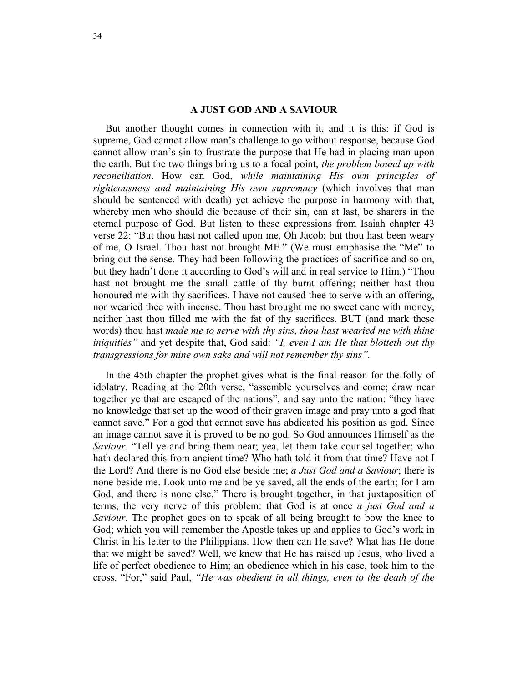# **A JUST GOD AND A SAVIOUR**

But another thought comes in connection with it, and it is this: if God is supreme, God cannot allow man's challenge to go without response, because God cannot allow man's sin to frustrate the purpose that He had in placing man upon the earth. But the two things bring us to a focal point, *the problem bound up with reconciliation*. How can God, *while maintaining His own principles of righteousness and maintaining His own supremacy* (which involves that man should be sentenced with death) yet achieve the purpose in harmony with that, whereby men who should die because of their sin, can at last, be sharers in the eternal purpose of God. But listen to these expressions from Isaiah chapter 43 verse 22: "But thou hast not called upon me, Oh Jacob; but thou hast been weary of me, O Israel. Thou hast not brought ME." (We must emphasise the "Me" to bring out the sense. They had been following the practices of sacrifice and so on, but they hadn't done it according to God's will and in real service to Him.) "Thou hast not brought me the small cattle of thy burnt offering; neither hast thou honoured me with thy sacrifices. I have not caused thee to serve with an offering, nor wearied thee with incense. Thou hast brought me no sweet cane with money, neither hast thou filled me with the fat of thy sacrifices. BUT (and mark these words) thou hast *made me to serve with thy sins, thou hast wearied me with thine iniquities"* and yet despite that, God said: *"I, even I am He that blotteth out thy transgressions for mine own sake and will not remember thy sins".*

In the 45th chapter the prophet gives what is the final reason for the folly of idolatry. Reading at the 20th verse, "assemble yourselves and come; draw near together ye that are escaped of the nations", and say unto the nation: "they have no knowledge that set up the wood of their graven image and pray unto a god that cannot save." For a god that cannot save has abdicated his position as god. Since an image cannot save it is proved to be no god. So God announces Himself as the *Saviour*. "Tell ye and bring them near; yea, let them take counsel together; who hath declared this from ancient time? Who hath told it from that time? Have not I the Lord? And there is no God else beside me; *a Just God and a Saviour*; there is none beside me. Look unto me and be ye saved, all the ends of the earth; for I am God, and there is none else." There is brought together, in that juxtaposition of terms, the very nerve of this problem: that God is at once *a just God and a Saviour*. The prophet goes on to speak of all being brought to bow the knee to God; which you will remember the Apostle takes up and applies to God's work in Christ in his letter to the Philippians. How then can He save? What has He done that we might be saved? Well, we know that He has raised up Jesus, who lived a life of perfect obedience to Him; an obedience which in his case, took him to the cross. "For," said Paul, *"He was obedient in all things, even to the death of the*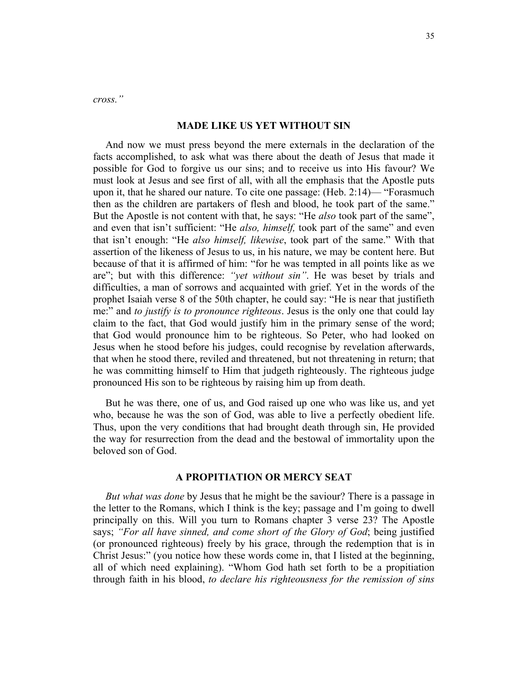*cross."* 

# **MADE LIKE US YET WITHOUT SIN**

And now we must press beyond the mere externals in the declaration of the facts accomplished, to ask what was there about the death of Jesus that made it possible for God to forgive us our sins; and to receive us into His favour? We must look at Jesus and see first of all, with all the emphasis that the Apostle puts upon it, that he shared our nature. To cite one passage: (Heb. 2:14)— "Forasmuch then as the children are partakers of flesh and blood, he took part of the same." But the Apostle is not content with that, he says: "He *also* took part of the same", and even that isn't sufficient: "He *also, himself,* took part of the same" and even that isn't enough: "He *also himself, likewise*, took part of the same." With that assertion of the likeness of Jesus to us, in his nature, we may be content here. But because of that it is affirmed of him: "for he was tempted in all points like as we are"; but with this difference: *"yet without sin"*. He was beset by trials and difficulties, a man of sorrows and acquainted with grief. Yet in the words of the prophet Isaiah verse 8 of the 50th chapter, he could say: "He is near that justifieth me:" and *to justify is to pronounce righteous*. Jesus is the only one that could lay claim to the fact, that God would justify him in the primary sense of the word; that God would pronounce him to be righteous. So Peter, who had looked on Jesus when he stood before his judges, could recognise by revelation afterwards, that when he stood there, reviled and threatened, but not threatening in return; that he was committing himself to Him that judgeth righteously. The righteous judge pronounced His son to be righteous by raising him up from death.

But he was there, one of us, and God raised up one who was like us, and yet who, because he was the son of God, was able to live a perfectly obedient life. Thus, upon the very conditions that had brought death through sin, He provided the way for resurrection from the dead and the bestowal of immortality upon the beloved son of God.

# **A PROPITIATION OR MERCY SEAT**

*But what was done* by Jesus that he might be the saviour? There is a passage in the letter to the Romans, which I think is the key; passage and I'm going to dwell principally on this. Will you turn to Romans chapter 3 verse 23? The Apostle says; *"For all have sinned, and come short of the Glory of God*; being justified (or pronounced righteous) freely by his grace, through the redemption that is in Christ Jesus:" (you notice how these words come in, that I listed at the beginning, all of which need explaining). "Whom God hath set forth to be a propitiation through faith in his blood, *to declare his righteousness for the remission of sins*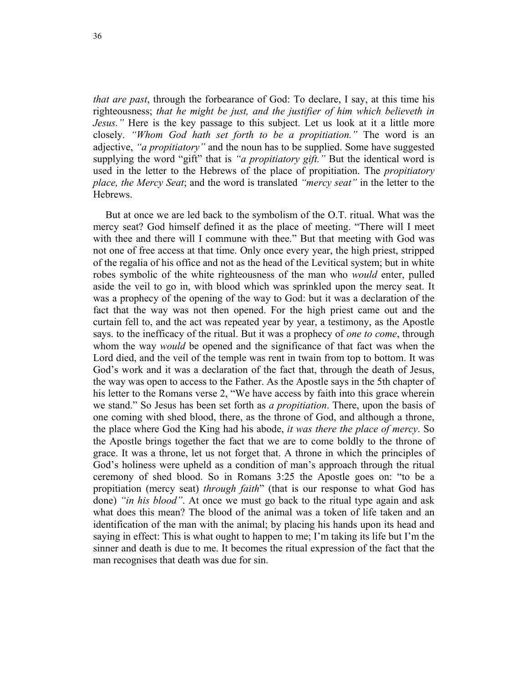*that are past*, through the forbearance of God: To declare, I say, at this time his righteousness; *that he might be just, and the justifier of him which believeth in Jesus."* Here is the key passage to this subject. Let us look at it a little more closely. *"Whom God hath set forth to be a propitiation."* The word is an adjective, *"a propitiatory"* and the noun has to be supplied. Some have suggested supplying the word "gift" that is *"a propitiatory gift."* But the identical word is used in the letter to the Hebrews of the place of propitiation. The *propitiatory place, the Mercy Seat*; and the word is translated *"mercy seat"* in the letter to the Hebrews.

But at once we are led back to the symbolism of the O.T. ritual. What was the mercy seat? God himself defined it as the place of meeting. "There will I meet with thee and there will I commune with thee." But that meeting with God was not one of free access at that time. Only once every year, the high priest, stripped of the regalia of his office and not as the head of the Levitical system; but in white robes symbolic of the white righteousness of the man who *would* enter, pulled aside the veil to go in, with blood which was sprinkled upon the mercy seat. It was a prophecy of the opening of the way to God: but it was a declaration of the fact that the way was not then opened. For the high priest came out and the curtain fell to, and the act was repeated year by year, a testimony, as the Apostle says. to the inefficacy of the ritual. But it was a prophecy of *one to come*, through whom the way *would* be opened and the significance of that fact was when the Lord died, and the veil of the temple was rent in twain from top to bottom. It was God's work and it was a declaration of the fact that, through the death of Jesus, the way was open to access to the Father. As the Apostle says in the 5th chapter of his letter to the Romans verse 2, "We have access by faith into this grace wherein we stand." So Jesus has been set forth as *a propitiation*. There, upon the basis of one coming with shed blood, there, as the throne of God, and although a throne, the place where God the King had his abode, *it was there the place of mercy*. So the Apostle brings together the fact that we are to come boldly to the throne of grace. It was a throne, let us not forget that. A throne in which the principles of God's holiness were upheld as a condition of man's approach through the ritual ceremony of shed blood. So in Romans 3:25 the Apostle goes on: "to be a propitiation (mercy seat) *through faith*" (that is our response to what God has done) *"in his blood"*. At once we must go back to the ritual type again and ask what does this mean? The blood of the animal was a token of life taken and an identification of the man with the animal; by placing his hands upon its head and saying in effect: This is what ought to happen to me; I'm taking its life but I'm the sinner and death is due to me. It becomes the ritual expression of the fact that the man recognises that death was due for sin.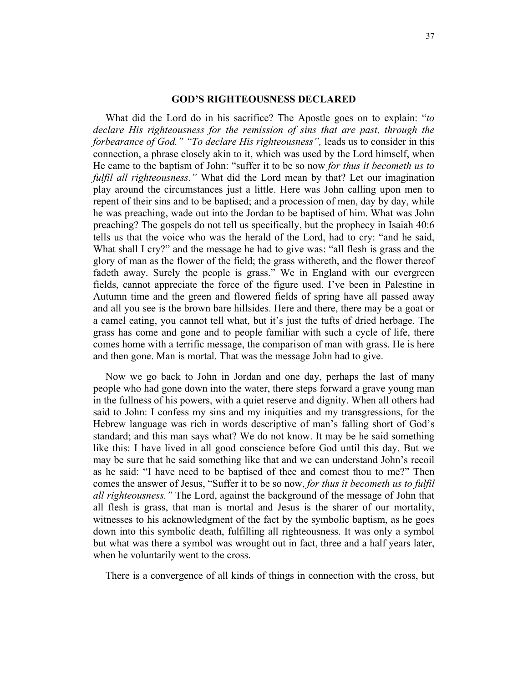## **GOD'S RIGHTEOUSNESS DECLARED**

What did the Lord do in his sacrifice? The Apostle goes on to explain: "*to declare His righteousness for the remission of sins that are past, through the forbearance of God." "To declare His righteousness",* leads us to consider in this connection, a phrase closely akin to it, which was used by the Lord himself, when He came to the baptism of John: "suffer it to be so now *for thus it becometh us to fulfil all righteousness."* What did the Lord mean by that? Let our imagination play around the circumstances just a little. Here was John calling upon men to repent of their sins and to be baptised; and a procession of men, day by day, while he was preaching, wade out into the Jordan to be baptised of him. What was John preaching? The gospels do not tell us specifically, but the prophecy in Isaiah 40:6 tells us that the voice who was the herald of the Lord, had to cry: "and he said, What shall I cry?" and the message he had to give was: "all flesh is grass and the glory of man as the flower of the field; the grass withereth, and the flower thereof fadeth away. Surely the people is grass." We in England with our evergreen fields, cannot appreciate the force of the figure used. I've been in Palestine in Autumn time and the green and flowered fields of spring have all passed away and all you see is the brown bare hillsides. Here and there, there may be a goat or a camel eating, you cannot tell what, but it's just the tufts of dried herbage. The grass has come and gone and to people familiar with such a cycle of life, there comes home with a terrific message, the comparison of man with grass. He is here and then gone. Man is mortal. That was the message John had to give.

Now we go back to John in Jordan and one day, perhaps the last of many people who had gone down into the water, there steps forward a grave young man in the fullness of his powers, with a quiet reserve and dignity. When all others had said to John: I confess my sins and my iniquities and my transgressions, for the Hebrew language was rich in words descriptive of man's falling short of God's standard; and this man says what? We do not know. It may be he said something like this: I have lived in all good conscience before God until this day. But we may be sure that he said something like that and we can understand John's recoil as he said: "I have need to be baptised of thee and comest thou to me?" Then comes the answer of Jesus, "Suffer it to be so now, *for thus it becometh us to fulfil all righteousness."* The Lord, against the background of the message of John that all flesh is grass, that man is mortal and Jesus is the sharer of our mortality, witnesses to his acknowledgment of the fact by the symbolic baptism, as he goes down into this symbolic death, fulfilling all righteousness. It was only a symbol but what was there a symbol was wrought out in fact, three and a half years later, when he voluntarily went to the cross.

There is a convergence of all kinds of things in connection with the cross, but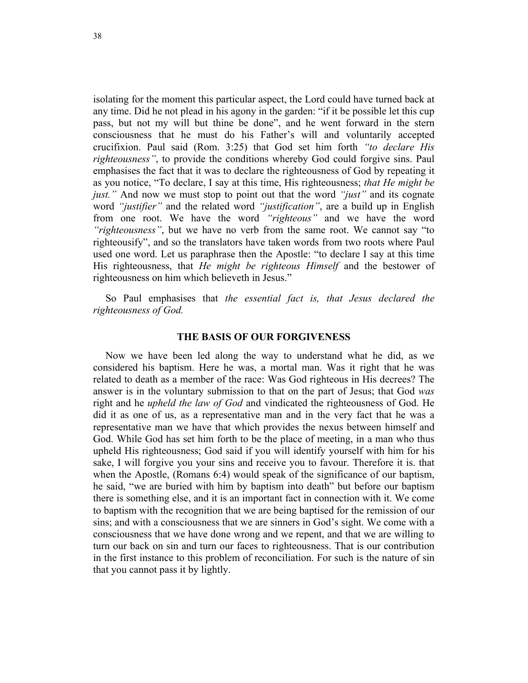isolating for the moment this particular aspect, the Lord could have turned back at any time. Did he not plead in his agony in the garden: "if it be possible let this cup pass, but not my will but thine be done", and he went forward in the stern consciousness that he must do his Father's will and voluntarily accepted crucifixion. Paul said (Rom. 3:25) that God set him forth *"to declare His righteousness"*, to provide the conditions whereby God could forgive sins. Paul emphasises the fact that it was to declare the righteousness of God by repeating it as you notice, "To declare, I say at this time, His righteousness; *that He might be just."* And now we must stop to point out that the word *"just"* and its cognate word *"justifier"* and the related word *"justification"*, are a build up in English from one root. We have the word *"righteous"* and we have the word *"righteousness"*, but we have no verb from the same root. We cannot say "to righteousify", and so the translators have taken words from two roots where Paul used one word. Let us paraphrase then the Apostle: "to declare I say at this time His righteousness, that *He might be righteous Himself* and the bestower of righteousness on him which believeth in Jesus."

So Paul emphasises that *the essential fact is, that Jesus declared the righteousness of God.* 

#### **THE BASIS OF OUR FORGIVENESS**

Now we have been led along the way to understand what he did, as we considered his baptism. Here he was, a mortal man. Was it right that he was related to death as a member of the race: Was God righteous in His decrees? The answer is in the voluntary submission to that on the part of Jesus; that God *was*  right and he *upheld the law of God* and vindicated the righteousness of God. He did it as one of us, as a representative man and in the very fact that he was a representative man we have that which provides the nexus between himself and God. While God has set him forth to be the place of meeting, in a man who thus upheld His righteousness; God said if you will identify yourself with him for his sake, I will forgive you your sins and receive you to favour. Therefore it is. that when the Apostle, (Romans 6:4) would speak of the significance of our baptism, he said, "we are buried with him by baptism into death" but before our baptism there is something else, and it is an important fact in connection with it. We come to baptism with the recognition that we are being baptised for the remission of our sins; and with a consciousness that we are sinners in God's sight. We come with a consciousness that we have done wrong and we repent, and that we are willing to turn our back on sin and turn our faces to righteousness. That is our contribution in the first instance to this problem of reconciliation. For such is the nature of sin that you cannot pass it by lightly.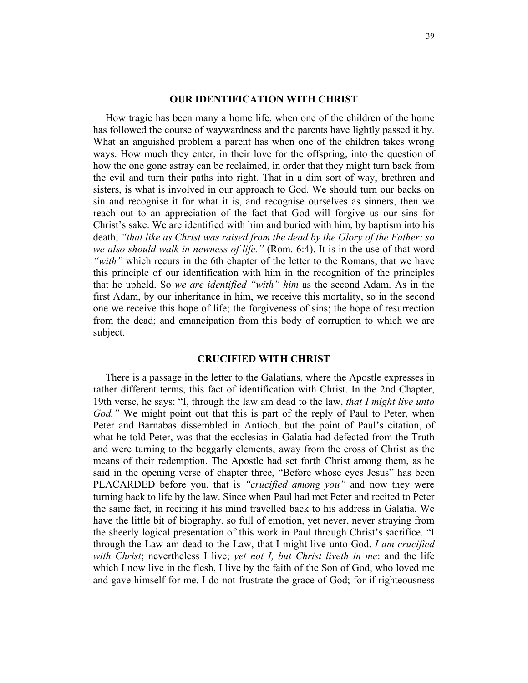## **OUR IDENTIFICATION WITH CHRIST**

How tragic has been many a home life, when one of the children of the home has followed the course of waywardness and the parents have lightly passed it by. What an anguished problem a parent has when one of the children takes wrong ways. How much they enter, in their love for the offspring, into the question of how the one gone astray can be reclaimed, in order that they might turn back from the evil and turn their paths into right. That in a dim sort of way, brethren and sisters, is what is involved in our approach to God. We should turn our backs on sin and recognise it for what it is, and recognise ourselves as sinners, then we reach out to an appreciation of the fact that God will forgive us our sins for Christ's sake. We are identified with him and buried with him, by baptism into his death, *"that like as Christ was raised from the dead by the Glory of the Father: so we also should walk in newness of life."* (Rom. 6:4). It is in the use of that word *"with"* which recurs in the 6th chapter of the letter to the Romans, that we have this principle of our identification with him in the recognition of the principles that he upheld. So *we are identified "with" him* as the second Adam. As in the first Adam, by our inheritance in him, we receive this mortality, so in the second one we receive this hope of life; the forgiveness of sins; the hope of resurrection from the dead; and emancipation from this body of corruption to which we are subject.

## **CRUCIFIED WITH CHRIST**

There is a passage in the letter to the Galatians, where the Apostle expresses in rather different terms, this fact of identification with Christ. In the 2nd Chapter, 19th verse, he says: "I, through the law am dead to the law, *that I might live unto God.*" We might point out that this is part of the reply of Paul to Peter, when Peter and Barnabas dissembled in Antioch, but the point of Paul's citation, of what he told Peter, was that the ecclesias in Galatia had defected from the Truth and were turning to the beggarly elements, away from the cross of Christ as the means of their redemption. The Apostle had set forth Christ among them, as he said in the opening verse of chapter three, "Before whose eyes Jesus" has been PLACARDED before you, that is *"crucified among you"* and now they were turning back to life by the law. Since when Paul had met Peter and recited to Peter the same fact, in reciting it his mind travelled back to his address in Galatia. We have the little bit of biography, so full of emotion, yet never, never straying from the sheerly logical presentation of this work in Paul through Christ's sacrifice. "I through the Law am dead to the Law, that I might live unto God. *I am crucified with Christ*; nevertheless I live; *yet not I, but Christ liveth in me*: and the life which I now live in the flesh, I live by the faith of the Son of God, who loved me and gave himself for me. I do not frustrate the grace of God; for if righteousness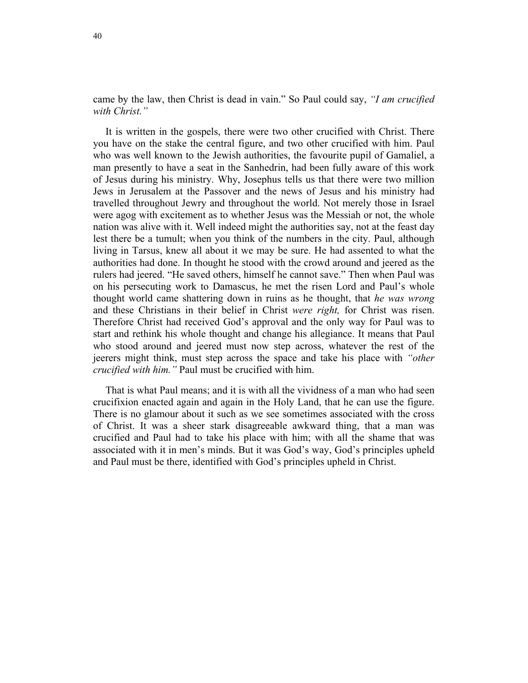came by the law, then Christ is dead in vain." So Paul could say, *"I am crucified with Christ."* 

It is written in the gospels, there were two other crucified with Christ. There you have on the stake the central figure, and two other crucified with him. Paul who was well known to the Jewish authorities, the favourite pupil of Gamaliel, a man presently to have a seat in the Sanhedrin, had been fully aware of this work of Jesus during his ministry. Why, Josephus tells us that there were two million Jews in Jerusalem at the Passover and the news of Jesus and his ministry had travelled throughout Jewry and throughout the world. Not merely those in Israel were agog with excitement as to whether Jesus was the Messiah or not, the whole nation was alive with it. Well indeed might the authorities say, not at the feast day lest there be a tumult; when you think of the numbers in the city. Paul, although living in Tarsus, knew all about it we may be sure. He had assented to what the authorities had done. In thought he stood with the crowd around and jeered as the rulers had jeered. "He saved others, himself he cannot save." Then when Paul was on his persecuting work to Damascus, he met the risen Lord and Paul's whole thought world came shattering down in ruins as he thought, that *he was wrong* and these Christians in their belief in Christ *were right,* for Christ was risen. Therefore Christ had received God's approval and the only way for Paul was to start and rethink his whole thought and change his allegiance. It means that Paul who stood around and jeered must now step across, whatever the rest of the jeerers might think, must step across the space and take his place with *"other crucified with him."* Paul must be crucified with him.

That is what Paul means; and it is with all the vividness of a man who had seen crucifixion enacted again and again in the Holy Land, that he can use the figure. There is no glamour about it such as we see sometimes associated with the cross of Christ. It was a sheer stark disagreeable awkward thing, that a man was crucified and Paul had to take his place with him; with all the shame that was associated with it in men's minds. But it was God's way, God's principles upheld and Paul must be there, identified with God's principles upheld in Christ.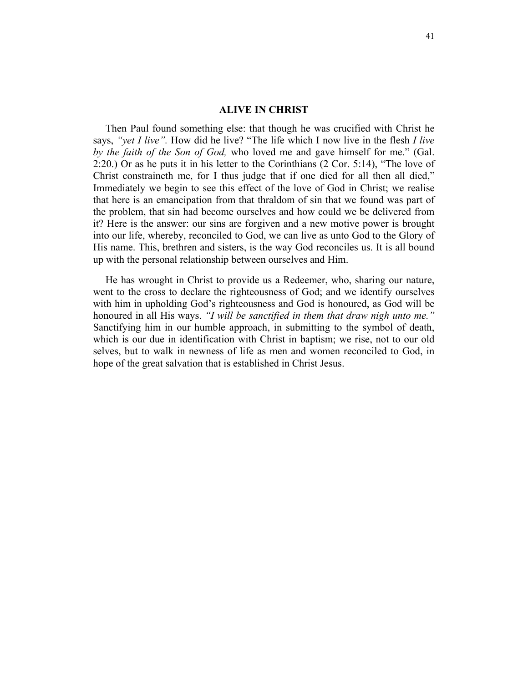#### **ALIVE IN CHRIST**

Then Paul found something else: that though he was crucified with Christ he says, *"yet I live".* How did he live? "The life which I now live in the flesh *I live by the faith of the Son of God,* who loved me and gave himself for me." (Gal. 2:20.) Or as he puts it in his letter to the Corinthians (2 Cor. 5:14), "The love of Christ constraineth me, for I thus judge that if one died for all then all died," Immediately we begin to see this effect of the love of God in Christ; we realise that here is an emancipation from that thraldom of sin that we found was part of the problem, that sin had become ourselves and how could we be delivered from it? Here is the answer: our sins are forgiven and a new motive power is brought into our life, whereby, reconciled to God, we can live as unto God to the Glory of His name. This, brethren and sisters, is the way God reconciles us. It is all bound up with the personal relationship between ourselves and Him.

He has wrought in Christ to provide us a Redeemer, who, sharing our nature, went to the cross to declare the righteousness of God; and we identify ourselves with him in upholding God's righteousness and God is honoured, as God will be honoured in all His ways. *"I will be sanctified in them that draw nigh unto me."* Sanctifying him in our humble approach, in submitting to the symbol of death, which is our due in identification with Christ in baptism; we rise, not to our old selves, but to walk in newness of life as men and women reconciled to God, in hope of the great salvation that is established in Christ Jesus.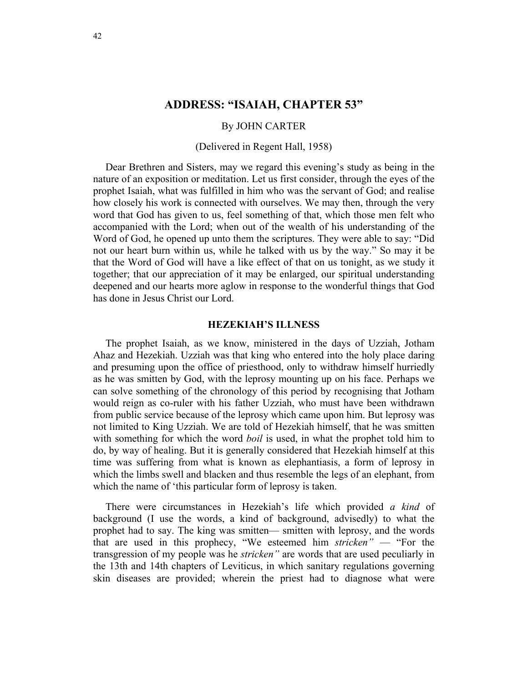# **ADDRESS: "ISAIAH, CHAPTER 53"**

#### By JOHN CARTER

#### (Delivered in Regent Hall, 1958)

Dear Brethren and Sisters, may we regard this evening's study as being in the nature of an exposition or meditation. Let us first consider, through the eyes of the prophet Isaiah, what was fulfilled in him who was the servant of God; and realise how closely his work is connected with ourselves. We may then, through the very word that God has given to us, feel something of that, which those men felt who accompanied with the Lord; when out of the wealth of his understanding of the Word of God, he opened up unto them the scriptures. They were able to say: "Did not our heart burn within us, while he talked with us by the way." So may it be that the Word of God will have a like effect of that on us tonight, as we study it together; that our appreciation of it may be enlarged, our spiritual understanding deepened and our hearts more aglow in response to the wonderful things that God has done in Jesus Christ our Lord.

## **HEZEKIAH'S ILLNESS**

The prophet Isaiah, as we know, ministered in the days of Uzziah, Jotham Ahaz and Hezekiah. Uzziah was that king who entered into the holy place daring and presuming upon the office of priesthood, only to withdraw himself hurriedly as he was smitten by God, with the leprosy mounting up on his face. Perhaps we can solve something of the chronology of this period by recognising that Jotham would reign as co-ruler with his father Uzziah, who must have been withdrawn from public service because of the leprosy which came upon him. But leprosy was not limited to King Uzziah. We are told of Hezekiah himself, that he was smitten with something for which the word *boil* is used, in what the prophet told him to do, by way of healing. But it is generally considered that Hezekiah himself at this time was suffering from what is known as elephantiasis, a form of leprosy in which the limbs swell and blacken and thus resemble the legs of an elephant, from which the name of 'this particular form of leprosy is taken.

There were circumstances in Hezekiah's life which provided *a kind* of background (I use the words, a kind of background, advisedly) to what the prophet had to say. The king was smitten— smitten with leprosy, and the words that are used in this prophecy, "We esteemed him *stricken"* — "For the transgression of my people was he *stricken"* are words that are used peculiarly in the 13th and 14th chapters of Leviticus, in which sanitary regulations governing skin diseases are provided; wherein the priest had to diagnose what were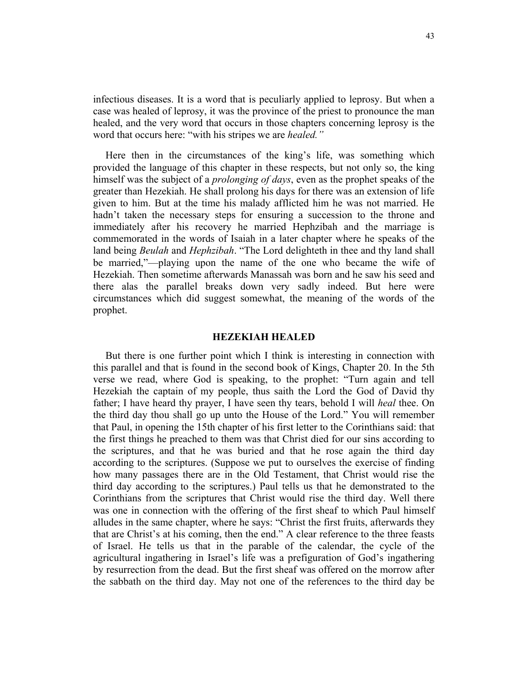infectious diseases. It is a word that is peculiarly applied to leprosy. But when a case was healed of leprosy, it was the province of the priest to pronounce the man healed, and the very word that occurs in those chapters concerning leprosy is the word that occurs here: "with his stripes we are *healed."* 

Here then in the circumstances of the king's life, was something which provided the language of this chapter in these respects, but not only so, the king himself was the subject of a *prolonging of days*, even as the prophet speaks of the greater than Hezekiah. He shall prolong his days for there was an extension of life given to him. But at the time his malady afflicted him he was not married. He hadn't taken the necessary steps for ensuring a succession to the throne and immediately after his recovery he married Hephzibah and the marriage is commemorated in the words of Isaiah in a later chapter where he speaks of the land being *Beulah* and *Hephzibah*. "The Lord delighteth in thee and thy land shall be married,"—playing upon the name of the one who became the wife of Hezekiah. Then sometime afterwards Manassah was born and he saw his seed and there alas the parallel breaks down very sadly indeed. But here were circumstances which did suggest somewhat, the meaning of the words of the prophet.

## **HEZEKIAH HEALED**

But there is one further point which I think is interesting in connection with this parallel and that is found in the second book of Kings, Chapter 20. In the 5th verse we read, where God is speaking, to the prophet: "Turn again and tell Hezekiah the captain of my people, thus saith the Lord the God of David thy father; I have heard thy prayer, I have seen thy tears, behold I will *heal* thee. On the third day thou shall go up unto the House of the Lord." You will remember that Paul, in opening the 15th chapter of his first letter to the Corinthians said: that the first things he preached to them was that Christ died for our sins according to the scriptures, and that he was buried and that he rose again the third day according to the scriptures. (Suppose we put to ourselves the exercise of finding how many passages there are in the Old Testament, that Christ would rise the third day according to the scriptures.) Paul tells us that he demonstrated to the Corinthians from the scriptures that Christ would rise the third day. Well there was one in connection with the offering of the first sheaf to which Paul himself alludes in the same chapter, where he says: "Christ the first fruits, afterwards they that are Christ's at his coming, then the end." A clear reference to the three feasts of Israel. He tells us that in the parable of the calendar, the cycle of the agricultural ingathering in Israel's life was a prefiguration of God's ingathering by resurrection from the dead. But the first sheaf was offered on the morrow after the sabbath on the third day. May not one of the references to the third day be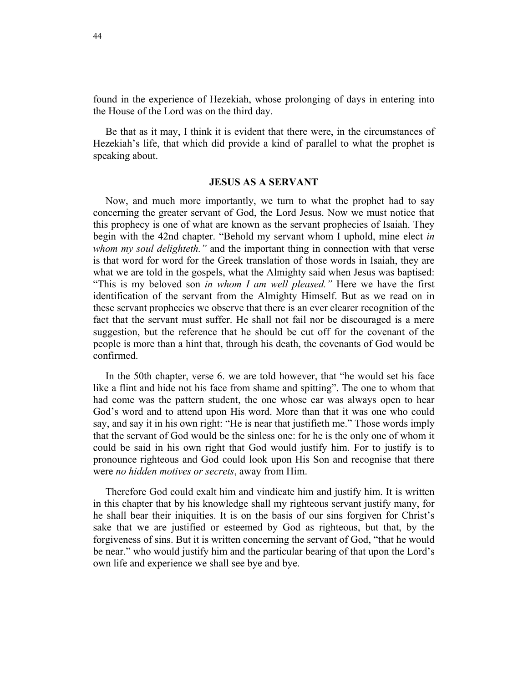found in the experience of Hezekiah, whose prolonging of days in entering into the House of the Lord was on the third day.

Be that as it may, I think it is evident that there were, in the circumstances of Hezekiah's life, that which did provide a kind of parallel to what the prophet is speaking about.

## **JESUS AS A SERVANT**

Now, and much more importantly, we turn to what the prophet had to say concerning the greater servant of God, the Lord Jesus. Now we must notice that this prophecy is one of what are known as the servant prophecies of Isaiah. They begin with the 42nd chapter. "Behold my servant whom I uphold, mine elect *in whom my soul delighteth."* and the important thing in connection with that verse is that word for word for the Greek translation of those words in Isaiah, they are what we are told in the gospels, what the Almighty said when Jesus was baptised: "This is my beloved son *in whom I am well pleased."* Here we have the first identification of the servant from the Almighty Himself. But as we read on in these servant prophecies we observe that there is an ever clearer recognition of the fact that the servant must suffer. He shall not fail nor be discouraged is a mere suggestion, but the reference that he should be cut off for the covenant of the people is more than a hint that, through his death, the covenants of God would be confirmed.

In the 50th chapter, verse 6. we are told however, that "he would set his face like a flint and hide not his face from shame and spitting". The one to whom that had come was the pattern student, the one whose ear was always open to hear God's word and to attend upon His word. More than that it was one who could say, and say it in his own right: "He is near that justifieth me." Those words imply that the servant of God would be the sinless one: for he is the only one of whom it could be said in his own right that God would justify him. For to justify is to pronounce righteous and God could look upon His Son and recognise that there were *no hidden motives or secrets*, away from Him.

Therefore God could exalt him and vindicate him and justify him. It is written in this chapter that by his knowledge shall my righteous servant justify many, for he shall bear their iniquities. It is on the basis of our sins forgiven for Christ's sake that we are justified or esteemed by God as righteous, but that, by the forgiveness of sins. But it is written concerning the servant of God, "that he would be near." who would justify him and the particular bearing of that upon the Lord's own life and experience we shall see bye and bye.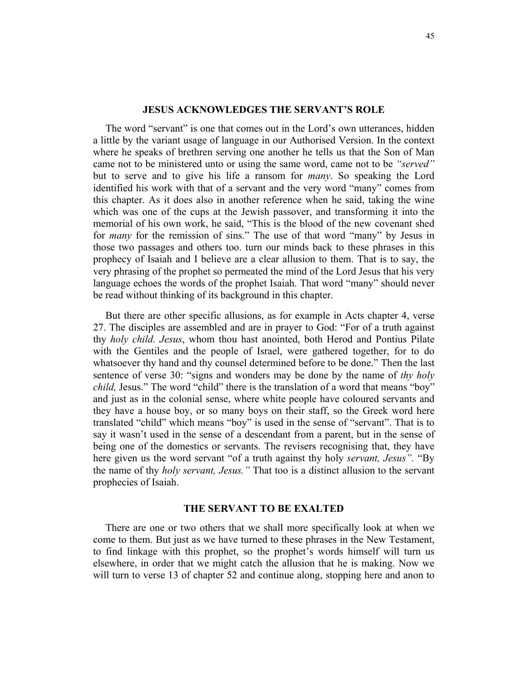### **JESUS ACKNOWLEDGES THE SERVANT'S ROLE**

The word "servant" is one that comes out in the Lord's own utterances, hidden a little by the variant usage of language in our Authorised Version. In the context where he speaks of brethren serving one another he tells us that the Son of Man came not to be ministered unto or using the same word, came not to be *"served"* but to serve and to give his life a ransom for *many*. So speaking the Lord identified his work with that of a servant and the very word "many" comes from this chapter. As it does also in another reference when he said, taking the wine which was one of the cups at the Jewish passover, and transforming it into the memorial of his own work, he said, "This is the blood of the new covenant shed for *many* for the remission of sins." The use of that word "many" by Jesus in those two passages and others too. turn our minds back to these phrases in this prophecy of Isaiah and I believe are a clear allusion to them. That is to say, the very phrasing of the prophet so permeated the mind of the Lord Jesus that his very language echoes the words of the prophet Isaiah. That word "many" should never be read without thinking of its background in this chapter.

But there are other specific allusions, as for example in Acts chapter 4, verse 27. The disciples are assembled and are in prayer to God: "For of a truth against thy *holy child. Jesus*, whom thou hast anointed, both Herod and Pontius Pilate with the Gentiles and the people of Israel, were gathered together, for to do whatsoever thy hand and thy counsel determined before to be done." Then the last sentence of verse 30: "signs and wonders may be done by the name of *thy holy child,* Jesus." The word "child" there is the translation of a word that means "boy" and just as in the colonial sense, where white people have coloured servants and they have a house boy, or so many boys on their staff, so the Greek word here translated "child" which means "boy" is used in the sense of "servant". That is to say it wasn't used in the sense of a descendant from a parent, but in the sense of being one of the domestics or servants. The revisers recognising that, they have here given us the word servant "of a truth against thy holy *servant, Jesus".* "By the name of thy *holy servant, Jesus."* That too is a distinct allusion to the servant prophecies of Isaiah.

#### **THE SERVANT TO BE EXALTED**

There are one or two others that we shall more specifically look at when we come to them. But just as we have turned to these phrases in the New Testament, to find linkage with this prophet, so the prophet's words himself will turn us elsewhere, in order that we might catch the allusion that he is making. Now we will turn to verse 13 of chapter 52 and continue along, stopping here and anon to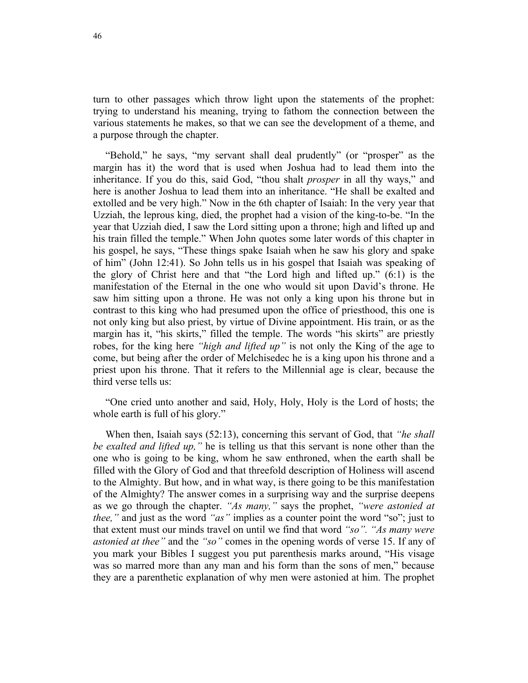turn to other passages which throw light upon the statements of the prophet: trying to understand his meaning, trying to fathom the connection between the various statements he makes, so that we can see the development of a theme, and a purpose through the chapter.

"Behold," he says, "my servant shall deal prudently" (or "prosper" as the margin has it) the word that is used when Joshua had to lead them into the inheritance. If you do this, said God, "thou shalt *prosper* in all thy ways," and here is another Joshua to lead them into an inheritance. "He shall be exalted and extolled and be very high." Now in the 6th chapter of Isaiah: In the very year that Uzziah, the leprous king, died, the prophet had a vision of the king-to-be. "In the year that Uzziah died, I saw the Lord sitting upon a throne; high and lifted up and his train filled the temple." When John quotes some later words of this chapter in his gospel, he says, "These things spake Isaiah when he saw his glory and spake of him" (John 12:41). So John tells us in his gospel that Isaiah was speaking of the glory of Christ here and that "the Lord high and lifted up." (6:1) is the manifestation of the Eternal in the one who would sit upon David's throne. He saw him sitting upon a throne. He was not only a king upon his throne but in contrast to this king who had presumed upon the office of priesthood, this one is not only king but also priest, by virtue of Divine appointment. His train, or as the margin has it, "his skirts," filled the temple. The words "his skirts" are priestly robes, for the king here *"high and lifted up"* is not only the King of the age to come, but being after the order of Melchisedec he is a king upon his throne and a priest upon his throne. That it refers to the Millennial age is clear, because the third verse tells us:

"One cried unto another and said, Holy, Holy, Holy is the Lord of hosts; the whole earth is full of his glory."

When then, Isaiah says (52:13), concerning this servant of God, that *"he shall be exalted and lifted up,"* he is telling us that this servant is none other than the one who is going to be king, whom he saw enthroned, when the earth shall be filled with the Glory of God and that threefold description of Holiness will ascend to the Almighty. But how, and in what way, is there going to be this manifestation of the Almighty? The answer comes in a surprising way and the surprise deepens as we go through the chapter. *"As many,"* says the prophet, *"were astonied at thee,"* and just as the word *"as"* implies as a counter point the word "so"; just to that extent must our minds travel on until we find that word *"so". "As many were astonied at thee"* and the *"so"* comes in the opening words of verse 15. If any of you mark your Bibles I suggest you put parenthesis marks around, "His visage was so marred more than any man and his form than the sons of men," because they are a parenthetic explanation of why men were astonied at him. The prophet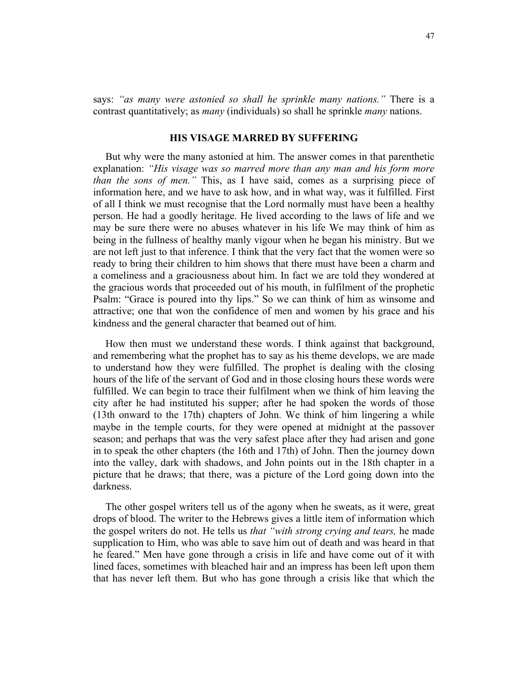says: *"as many were astonied so shall he sprinkle many nations."* There is a contrast quantitatively; as *many* (individuals) so shall he sprinkle *many* nations.

#### **HIS VISAGE MARRED BY SUFFERING**

But why were the many astonied at him. The answer comes in that parenthetic explanation: *"His visage was so marred more than any man and his form more than the sons of men."* This, as I have said, comes as a surprising piece of information here, and we have to ask how, and in what way, was it fulfilled. First of all I think we must recognise that the Lord normally must have been a healthy person. He had a goodly heritage. He lived according to the laws of life and we may be sure there were no abuses whatever in his life We may think of him as being in the fullness of healthy manly vigour when he began his ministry. But we are not left just to that inference. I think that the very fact that the women were so ready to bring their children to him shows that there must have been a charm and a comeliness and a graciousness about him. In fact we are told they wondered at the gracious words that proceeded out of his mouth, in fulfilment of the prophetic Psalm: "Grace is poured into thy lips." So we can think of him as winsome and attractive; one that won the confidence of men and women by his grace and his kindness and the general character that beamed out of him.

How then must we understand these words. I think against that background, and remembering what the prophet has to say as his theme develops, we are made to understand how they were fulfilled. The prophet is dealing with the closing hours of the life of the servant of God and in those closing hours these words were fulfilled. We can begin to trace their fulfilment when we think of him leaving the city after he had instituted his supper; after he had spoken the words of those (13th onward to the 17th) chapters of John. We think of him lingering a while maybe in the temple courts, for they were opened at midnight at the passover season; and perhaps that was the very safest place after they had arisen and gone in to speak the other chapters (the 16th and 17th) of John. Then the journey down into the valley, dark with shadows, and John points out in the 18th chapter in a picture that he draws; that there, was a picture of the Lord going down into the darkness.

The other gospel writers tell us of the agony when he sweats, as it were, great drops of blood. The writer to the Hebrews gives a little item of information which the gospel writers do not. He tells us *that "with strong crying and tears,* he made supplication to Him, who was able to save him out of death and was heard in that he feared." Men have gone through a crisis in life and have come out of it with lined faces, sometimes with bleached hair and an impress has been left upon them that has never left them. But who has gone through a crisis like that which the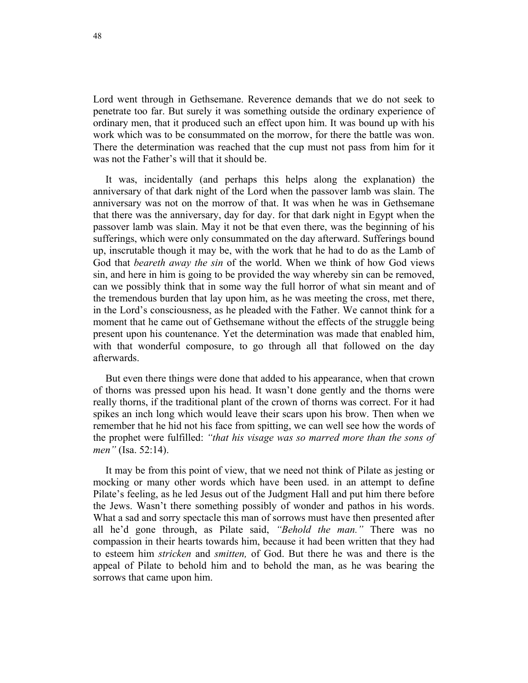Lord went through in Gethsemane. Reverence demands that we do not seek to penetrate too far. But surely it was something outside the ordinary experience of ordinary men, that it produced such an effect upon him. It was bound up with his work which was to be consummated on the morrow, for there the battle was won. There the determination was reached that the cup must not pass from him for it was not the Father's will that it should be.

It was, incidentally (and perhaps this helps along the explanation) the anniversary of that dark night of the Lord when the passover lamb was slain. The anniversary was not on the morrow of that. It was when he was in Gethsemane that there was the anniversary, day for day. for that dark night in Egypt when the passover lamb was slain. May it not be that even there, was the beginning of his sufferings, which were only consummated on the day afterward. Sufferings bound up, inscrutable though it may be, with the work that he had to do as the Lamb of God that *beareth away the sin* of the world. When we think of how God views sin, and here in him is going to be provided the way whereby sin can be removed, can we possibly think that in some way the full horror of what sin meant and of the tremendous burden that lay upon him, as he was meeting the cross, met there, in the Lord's consciousness, as he pleaded with the Father. We cannot think for a moment that he came out of Gethsemane without the effects of the struggle being present upon his countenance. Yet the determination was made that enabled him, with that wonderful composure, to go through all that followed on the day afterwards.

But even there things were done that added to his appearance, when that crown of thorns was pressed upon his head. It wasn't done gently and the thorns were really thorns, if the traditional plant of the crown of thorns was correct. For it had spikes an inch long which would leave their scars upon his brow. Then when we remember that he hid not his face from spitting, we can well see how the words of the prophet were fulfilled: *"that his visage was so marred more than the sons of men"* (Isa. 52:14).

It may be from this point of view, that we need not think of Pilate as jesting or mocking or many other words which have been used. in an attempt to define Pilate's feeling, as he led Jesus out of the Judgment Hall and put him there before the Jews. Wasn't there something possibly of wonder and pathos in his words. What a sad and sorry spectacle this man of sorrows must have then presented after all he'd gone through, as Pilate said, *"Behold the man."* There was no compassion in their hearts towards him, because it had been written that they had to esteem him *stricken* and *smitten,* of God. But there he was and there is the appeal of Pilate to behold him and to behold the man, as he was bearing the sorrows that came upon him.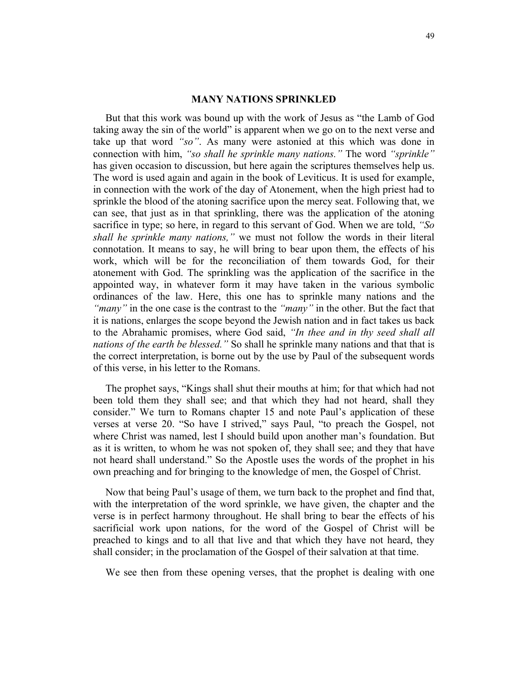#### **MANY NATIONS SPRINKLED**

But that this work was bound up with the work of Jesus as "the Lamb of God taking away the sin of the world" is apparent when we go on to the next verse and take up that word *"so"*. As many were astonied at this which was done in connection with him, *"so shall he sprinkle many nations."* The word *"sprinkle"* has given occasion to discussion, but here again the scriptures themselves help us. The word is used again and again in the book of Leviticus. It is used for example, in connection with the work of the day of Atonement, when the high priest had to sprinkle the blood of the atoning sacrifice upon the mercy seat. Following that, we can see, that just as in that sprinkling, there was the application of the atoning sacrifice in type; so here, in regard to this servant of God. When we are told, *"So shall he sprinkle many nations,"* we must not follow the words in their literal connotation. It means to say, he will bring to bear upon them, the effects of his work, which will be for the reconciliation of them towards God, for their atonement with God. The sprinkling was the application of the sacrifice in the appointed way, in whatever form it may have taken in the various symbolic ordinances of the law. Here, this one has to sprinkle many nations and the *"many"* in the one case is the contrast to the *"many"* in the other. But the fact that it is nations, enlarges the scope beyond the Jewish nation and in fact takes us back to the Abrahamic promises, where God said, *"In thee and in thy seed shall all nations of the earth be blessed."* So shall he sprinkle many nations and that that is the correct interpretation, is borne out by the use by Paul of the subsequent words of this verse, in his letter to the Romans.

The prophet says, "Kings shall shut their mouths at him; for that which had not been told them they shall see; and that which they had not heard, shall they consider." We turn to Romans chapter 15 and note Paul's application of these verses at verse 20. "So have I strived," says Paul, "to preach the Gospel, not where Christ was named, lest I should build upon another man's foundation. But as it is written, to whom he was not spoken of, they shall see; and they that have not heard shall understand." So the Apostle uses the words of the prophet in his own preaching and for bringing to the knowledge of men, the Gospel of Christ.

Now that being Paul's usage of them, we turn back to the prophet and find that, with the interpretation of the word sprinkle, we have given, the chapter and the verse is in perfect harmony throughout. He shall bring to bear the effects of his sacrificial work upon nations, for the word of the Gospel of Christ will be preached to kings and to all that live and that which they have not heard, they shall consider; in the proclamation of the Gospel of their salvation at that time.

We see then from these opening verses, that the prophet is dealing with one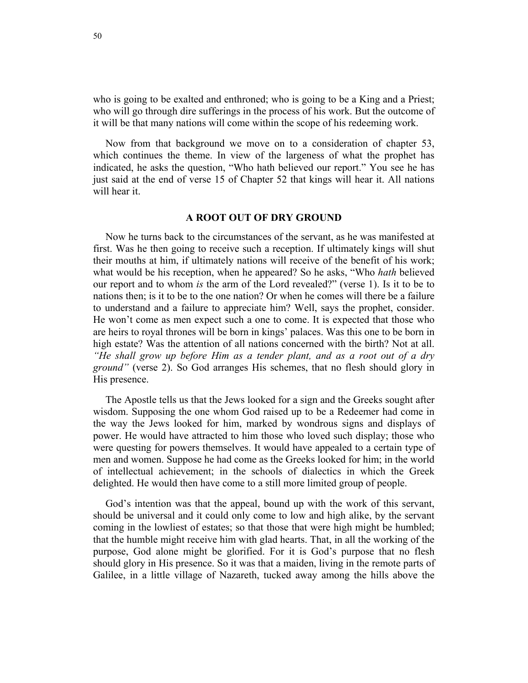who is going to be exalted and enthroned; who is going to be a King and a Priest; who will go through dire sufferings in the process of his work. But the outcome of it will be that many nations will come within the scope of his redeeming work.

Now from that background we move on to a consideration of chapter 53, which continues the theme. In view of the largeness of what the prophet has indicated, he asks the question, "Who hath believed our report." You see he has just said at the end of verse 15 of Chapter 52 that kings will hear it. All nations will hear it.

## **A ROOT OUT OF DRY GROUND**

Now he turns back to the circumstances of the servant, as he was manifested at first. Was he then going to receive such a reception. If ultimately kings will shut their mouths at him, if ultimately nations will receive of the benefit of his work; what would be his reception, when he appeared? So he asks, "Who *hath* believed our report and to whom *is* the arm of the Lord revealed?" (verse 1). Is it to be to nations then; is it to be to the one nation? Or when he comes will there be a failure to understand and a failure to appreciate him? Well, says the prophet, consider. He won't come as men expect such a one to come. It is expected that those who are heirs to royal thrones will be born in kings' palaces. Was this one to be born in high estate? Was the attention of all nations concerned with the birth? Not at all. *"He shall grow up before Him as a tender plant, and as a root out of a dry ground"* (verse 2). So God arranges His schemes, that no flesh should glory in His presence.

The Apostle tells us that the Jews looked for a sign and the Greeks sought after wisdom. Supposing the one whom God raised up to be a Redeemer had come in the way the Jews looked for him, marked by wondrous signs and displays of power. He would have attracted to him those who loved such display; those who were questing for powers themselves. It would have appealed to a certain type of men and women. Suppose he had come as the Greeks looked for him; in the world of intellectual achievement; in the schools of dialectics in which the Greek delighted. He would then have come to a still more limited group of people.

God's intention was that the appeal, bound up with the work of this servant, should be universal and it could only come to low and high alike, by the servant coming in the lowliest of estates; so that those that were high might be humbled; that the humble might receive him with glad hearts. That, in all the working of the purpose, God alone might be glorified. For it is God's purpose that no flesh should glory in His presence. So it was that a maiden, living in the remote parts of Galilee, in a little village of Nazareth, tucked away among the hills above the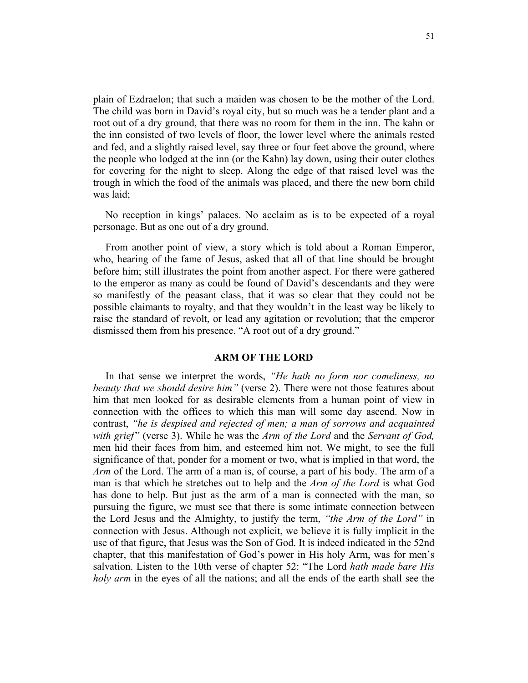plain of Ezdraelon; that such a maiden was chosen to be the mother of the Lord. The child was born in David's royal city, but so much was he a tender plant and a root out of a dry ground, that there was no room for them in the inn. The kahn or the inn consisted of two levels of floor, the lower level where the animals rested and fed, and a slightly raised level, say three or four feet above the ground, where the people who lodged at the inn (or the Kahn) lay down, using their outer clothes for covering for the night to sleep. Along the edge of that raised level was the trough in which the food of the animals was placed, and there the new born child was laid;

No reception in kings' palaces. No acclaim as is to be expected of a royal personage. But as one out of a dry ground.

From another point of view, a story which is told about a Roman Emperor, who, hearing of the fame of Jesus, asked that all of that line should be brought before him; still illustrates the point from another aspect. For there were gathered to the emperor as many as could be found of David's descendants and they were so manifestly of the peasant class, that it was so clear that they could not be possible claimants to royalty, and that they wouldn't in the least way be likely to raise the standard of revolt, or lead any agitation or revolution; that the emperor dismissed them from his presence. "A root out of a dry ground."

# **ARM OF THE LORD**

In that sense we interpret the words, *"He hath no form nor comeliness, no beauty that we should desire him"* (verse 2). There were not those features about him that men looked for as desirable elements from a human point of view in connection with the offices to which this man will some day ascend. Now in contrast, *"he is despised and rejected of men; a man of sorrows and acquainted with grief"* (verse 3). While he was the *Arm of the Lord* and the *Servant of God,*  men hid their faces from him, and esteemed him not. We might, to see the full significance of that, ponder for a moment or two, what is implied in that word, the *Arm* of the Lord. The arm of a man is, of course, a part of his body. The arm of a man is that which he stretches out to help and the *Arm of the Lord* is what God has done to help. But just as the arm of a man is connected with the man, so pursuing the figure, we must see that there is some intimate connection between the Lord Jesus and the Almighty, to justify the term, *"the Arm of the Lord"* in connection with Jesus. Although not explicit, we believe it is fully implicit in the use of that figure, that Jesus was the Son of God. It is indeed indicated in the 52nd chapter, that this manifestation of God's power in His holy Arm, was for men's salvation. Listen to the 10th verse of chapter 52: "The Lord *hath made bare His holy arm* in the eyes of all the nations; and all the ends of the earth shall see the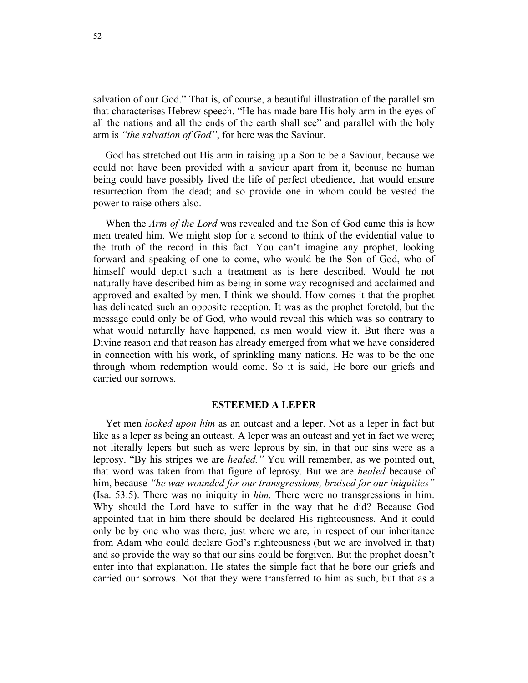salvation of our God." That is, of course, a beautiful illustration of the parallelism that characterises Hebrew speech. "He has made bare His holy arm in the eyes of all the nations and all the ends of the earth shall see" and parallel with the holy arm is *"the salvation of God"*, for here was the Saviour.

God has stretched out His arm in raising up a Son to be a Saviour, because we could not have been provided with a saviour apart from it, because no human being could have possibly lived the life of perfect obedience, that would ensure resurrection from the dead; and so provide one in whom could be vested the power to raise others also.

When the *Arm of the Lord* was revealed and the Son of God came this is how men treated him. We might stop for a second to think of the evidential value to the truth of the record in this fact. You can't imagine any prophet, looking forward and speaking of one to come, who would be the Son of God, who of himself would depict such a treatment as is here described. Would he not naturally have described him as being in some way recognised and acclaimed and approved and exalted by men. I think we should. How comes it that the prophet has delineated such an opposite reception. It was as the prophet foretold, but the message could only be of God, who would reveal this which was so contrary to what would naturally have happened, as men would view it. But there was a Divine reason and that reason has already emerged from what we have considered in connection with his work, of sprinkling many nations. He was to be the one through whom redemption would come. So it is said, He bore our griefs and carried our sorrows.

#### **ESTEEMED A LEPER**

Yet men *looked upon him* as an outcast and a leper. Not as a leper in fact but like as a leper as being an outcast. A leper was an outcast and yet in fact we were; not literally lepers but such as were leprous by sin, in that our sins were as a leprosy. "By his stripes we are *healed."* You will remember, as we pointed out, that word was taken from that figure of leprosy. But we are *healed* because of him, because *"he was wounded for our transgressions, bruised for our iniquities"*  (Isa. 53:5). There was no iniquity in *him.* There were no transgressions in him. Why should the Lord have to suffer in the way that he did? Because God appointed that in him there should be declared His righteousness. And it could only be by one who was there, just where we are, in respect of our inheritance from Adam who could declare God's righteousness (but we are involved in that) and so provide the way so that our sins could be forgiven. But the prophet doesn't enter into that explanation. He states the simple fact that he bore our griefs and carried our sorrows. Not that they were transferred to him as such, but that as a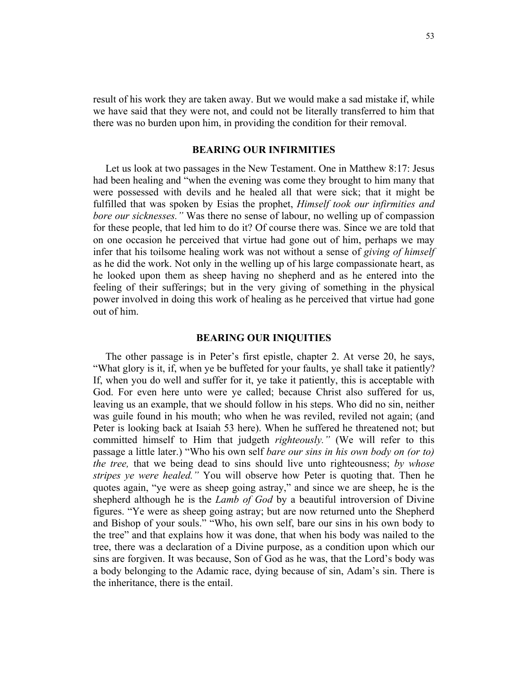result of his work they are taken away. But we would make a sad mistake if, while we have said that they were not, and could not be literally transferred to him that there was no burden upon him, in providing the condition for their removal.

#### **BEARING OUR INFIRMITIES**

Let us look at two passages in the New Testament. One in Matthew 8:17: Jesus had been healing and "when the evening was come they brought to him many that were possessed with devils and he healed all that were sick; that it might be fulfilled that was spoken by Esias the prophet, *Himself took our infirmities and bore our sicknesses."* Was there no sense of labour, no welling up of compassion for these people, that led him to do it? Of course there was. Since we are told that on one occasion he perceived that virtue had gone out of him, perhaps we may infer that his toilsome healing work was not without a sense of *giving of himself* as he did the work. Not only in the welling up of his large compassionate heart, as he looked upon them as sheep having no shepherd and as he entered into the feeling of their sufferings; but in the very giving of something in the physical power involved in doing this work of healing as he perceived that virtue had gone out of him.

## **BEARING OUR INIQUITIES**

The other passage is in Peter's first epistle, chapter 2. At verse 20, he says, "What glory is it, if, when ye be buffeted for your faults, ye shall take it patiently? If, when you do well and suffer for it, ye take it patiently, this is acceptable with God. For even here unto were ye called; because Christ also suffered for us, leaving us an example, that we should follow in his steps. Who did no sin, neither was guile found in his mouth; who when he was reviled, reviled not again; (and Peter is looking back at Isaiah 53 here). When he suffered he threatened not; but committed himself to Him that judgeth *righteously."* (We will refer to this passage a little later.) "Who his own self *bare our sins in his own body on (or to) the tree,* that we being dead to sins should live unto righteousness; *by whose stripes ye were healed."* You will observe how Peter is quoting that. Then he quotes again, "ye were as sheep going astray," and since we are sheep, he is the shepherd although he is the *Lamb of God* by a beautiful introversion of Divine figures. "Ye were as sheep going astray; but are now returned unto the Shepherd and Bishop of your souls." "Who, his own self, bare our sins in his own body to the tree" and that explains how it was done, that when his body was nailed to the tree, there was a declaration of a Divine purpose, as a condition upon which our sins are forgiven. It was because, Son of God as he was, that the Lord's body was a body belonging to the Adamic race, dying because of sin, Adam's sin. There is the inheritance, there is the entail.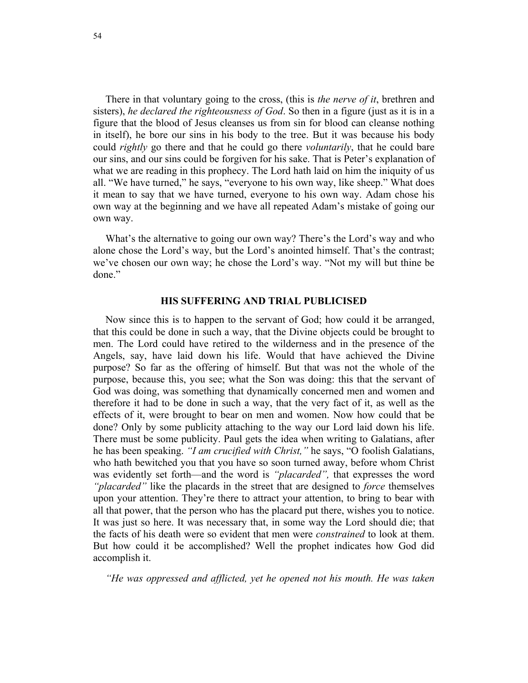There in that voluntary going to the cross, (this is *the nerve of it*, brethren and sisters), *he declared the righteousness of God*. So then in a figure (just as it is in a figure that the blood of Jesus cleanses us from sin for blood can cleanse nothing in itself), he bore our sins in his body to the tree. But it was because his body could *rightly* go there and that he could go there *voluntarily*, that he could bare our sins, and our sins could be forgiven for his sake. That is Peter's explanation of what we are reading in this prophecy. The Lord hath laid on him the iniquity of us all. "We have turned," he says, "everyone to his own way, like sheep." What does it mean to say that we have turned, everyone to his own way. Adam chose his own way at the beginning and we have all repeated Adam's mistake of going our own way.

What's the alternative to going our own way? There's the Lord's way and who alone chose the Lord's way, but the Lord's anointed himself. That's the contrast; we've chosen our own way; he chose the Lord's way. "Not my will but thine be done."

### **HIS SUFFERING AND TRIAL PUBLICISED**

Now since this is to happen to the servant of God; how could it be arranged, that this could be done in such a way, that the Divine objects could be brought to men. The Lord could have retired to the wilderness and in the presence of the Angels, say, have laid down his life. Would that have achieved the Divine purpose? So far as the offering of himself. But that was not the whole of the purpose, because this, you see; what the Son was doing: this that the servant of God was doing, was something that dynamically concerned men and women and therefore it had to be done in such a way, that the very fact of it, as well as the effects of it, were brought to bear on men and women. Now how could that be done? Only by some publicity attaching to the way our Lord laid down his life. There must be some publicity. Paul gets the idea when writing to Galatians, after he has been speaking. *"I am crucified with Christ,"* he says, "O foolish Galatians, who hath bewitched you that you have so soon turned away, before whom Christ was evidently set forth—and the word is *"placarded",* that expresses the word *"placarded"* like the placards in the street that are designed to *force* themselves upon your attention. They're there to attract your attention, to bring to bear with all that power, that the person who has the placard put there, wishes you to notice. It was just so here. It was necessary that, in some way the Lord should die; that the facts of his death were so evident that men were *constrained* to look at them. But how could it be accomplished? Well the prophet indicates how God did accomplish it.

*"He was oppressed and afflicted, yet he opened not his mouth. He was taken*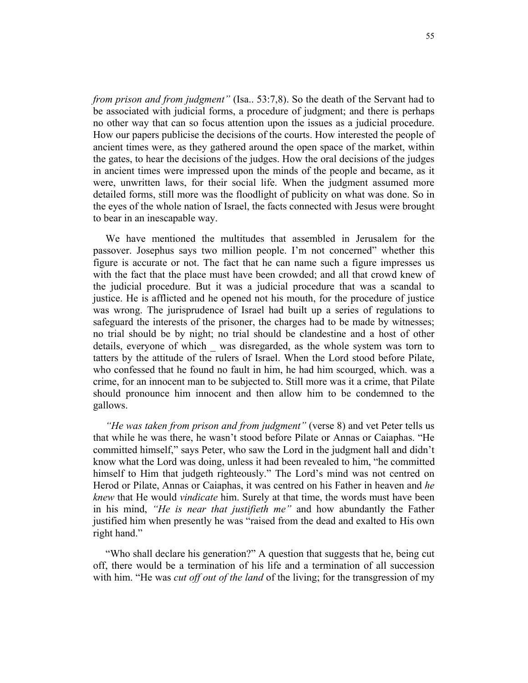*from prison and from judgment"* (Isa.. 53:7,8). So the death of the Servant had to be associated with judicial forms, a procedure of judgment; and there is perhaps no other way that can so focus attention upon the issues as a judicial procedure. How our papers publicise the decisions of the courts. How interested the people of ancient times were, as they gathered around the open space of the market, within the gates, to hear the decisions of the judges. How the oral decisions of the judges in ancient times were impressed upon the minds of the people and became, as it were, unwritten laws, for their social life. When the judgment assumed more detailed forms, still more was the floodlight of publicity on what was done. So in the eyes of the whole nation of Israel, the facts connected with Jesus were brought to bear in an inescapable way.

We have mentioned the multitudes that assembled in Jerusalem for the passover. Josephus says two million people. I'm not concerned" whether this figure is accurate or not. The fact that he can name such a figure impresses us with the fact that the place must have been crowded; and all that crowd knew of the judicial procedure. But it was a judicial procedure that was a scandal to justice. He is afflicted and he opened not his mouth, for the procedure of justice was wrong. The jurisprudence of Israel had built up a series of regulations to safeguard the interests of the prisoner, the charges had to be made by witnesses; no trial should be by night; no trial should be clandestine and a host of other details, everyone of which was disregarded, as the whole system was torn to tatters by the attitude of the rulers of Israel. When the Lord stood before Pilate, who confessed that he found no fault in him, he had him scourged, which. was a crime, for an innocent man to be subjected to. Still more was it a crime, that Pilate should pronounce him innocent and then allow him to be condemned to the gallows.

*"He was taken from prison and from judgment"* (verse 8) and vet Peter tells us that while he was there, he wasn't stood before Pilate or Annas or Caiaphas. "He committed himself," says Peter, who saw the Lord in the judgment hall and didn't know what the Lord was doing, unless it had been revealed to him, "he committed himself to Him that judgeth righteously." The Lord's mind was not centred on Herod or Pilate, Annas or Caiaphas, it was centred on his Father in heaven and *he knew* that He would *vindicate* him. Surely at that time, the words must have been in his mind, *"He is near that justifieth me"* and how abundantly the Father justified him when presently he was "raised from the dead and exalted to His own right hand."

"Who shall declare his generation?" A question that suggests that he, being cut off, there would be a termination of his life and a termination of all succession with him. "He was *cut off out of the land* of the living; for the transgression of my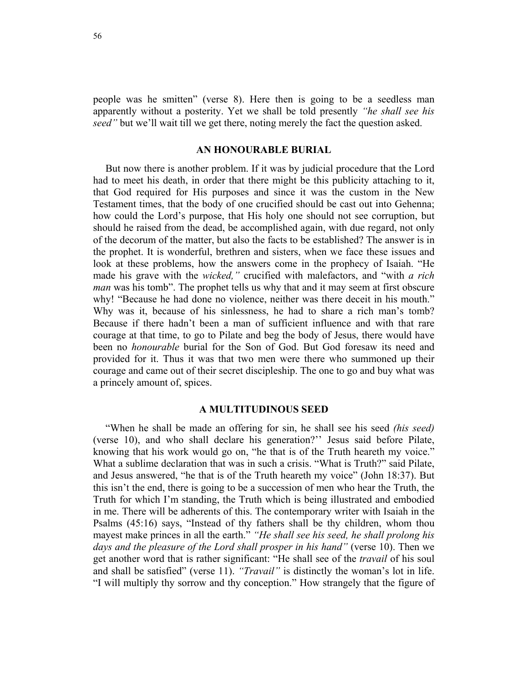people was he smitten" (verse 8). Here then is going to be a seedless man apparently without a posterity. Yet we shall be told presently *"he shall see his seed"* but we'll wait till we get there, noting merely the fact the question asked.

#### **AN HONOURABLE BURIAL**

But now there is another problem. If it was by judicial procedure that the Lord had to meet his death, in order that there might be this publicity attaching to it, that God required for His purposes and since it was the custom in the New Testament times, that the body of one crucified should be cast out into Gehenna; how could the Lord's purpose, that His holy one should not see corruption, but should he raised from the dead, be accomplished again, with due regard, not only of the decorum of the matter, but also the facts to be established? The answer is in the prophet. It is wonderful, brethren and sisters, when we face these issues and look at these problems, how the answers come in the prophecy of Isaiah. "He made his grave with the *wicked,"* crucified with malefactors, and "with *a rich man* was his tomb". The prophet tells us why that and it may seem at first obscure why! "Because he had done no violence, neither was there deceit in his mouth." Why was it, because of his sinlessness, he had to share a rich man's tomb? Because if there hadn't been a man of sufficient influence and with that rare courage at that time, to go to Pilate and beg the body of Jesus, there would have been no *honourable* burial for the Son of God. But God foresaw its need and provided for it. Thus it was that two men were there who summoned up their courage and came out of their secret discipleship. The one to go and buy what was a princely amount of, spices.

#### **A MULTITUDINOUS SEED**

"When he shall be made an offering for sin, he shall see his seed *(his seed)*  (verse 10), and who shall declare his generation?'' Jesus said before Pilate, knowing that his work would go on, "he that is of the Truth heareth my voice." What a sublime declaration that was in such a crisis. "What is Truth?" said Pilate, and Jesus answered, "he that is of the Truth heareth my voice" (John 18:37). But this isn't the end, there is going to be a succession of men who hear the Truth, the Truth for which I'm standing, the Truth which is being illustrated and embodied in me. There will be adherents of this. The contemporary writer with Isaiah in the Psalms (45:16) says, "Instead of thy fathers shall be thy children, whom thou mayest make princes in all the earth." *"He shall see his seed, he shall prolong his days and the pleasure of the Lord shall prosper in his hand"* (verse 10). Then we get another word that is rather significant: "He shall see of the *travail* of his soul and shall be satisfied" (verse 11). *"Travail"* is distinctly the woman's lot in life. "I will multiply thy sorrow and thy conception." How strangely that the figure of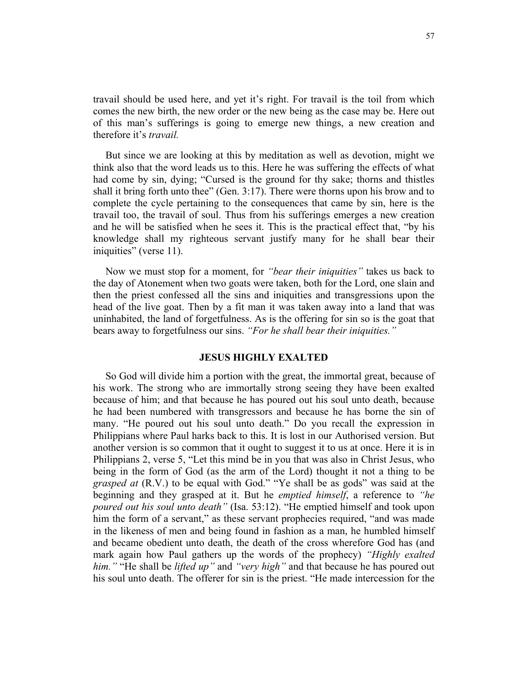travail should be used here, and yet it's right. For travail is the toil from which comes the new birth, the new order or the new being as the case may be. Here out of this man's sufferings is going to emerge new things, a new creation and therefore it's *travail.* 

But since we are looking at this by meditation as well as devotion, might we think also that the word leads us to this. Here he was suffering the effects of what had come by sin, dying; "Cursed is the ground for thy sake; thorns and thistles shall it bring forth unto thee" (Gen. 3:17). There were thorns upon his brow and to complete the cycle pertaining to the consequences that came by sin, here is the travail too, the travail of soul. Thus from his sufferings emerges a new creation and he will be satisfied when he sees it. This is the practical effect that, "by his knowledge shall my righteous servant justify many for he shall bear their iniquities" (verse 11).

Now we must stop for a moment, for *"bear their iniquities"* takes us back to the day of Atonement when two goats were taken, both for the Lord, one slain and then the priest confessed all the sins and iniquities and transgressions upon the head of the live goat. Then by a fit man it was taken away into a land that was uninhabited, the land of forgetfulness. As is the offering for sin so is the goat that bears away to forgetfulness our sins. *"For he shall bear their iniquities."*

## **JESUS HIGHLY EXALTED**

So God will divide him a portion with the great, the immortal great, because of his work. The strong who are immortally strong seeing they have been exalted because of him; and that because he has poured out his soul unto death, because he had been numbered with transgressors and because he has borne the sin of many. "He poured out his soul unto death." Do you recall the expression in Philippians where Paul harks back to this. It is lost in our Authorised version. But another version is so common that it ought to suggest it to us at once. Here it is in Philippians 2, verse 5, "Let this mind be in you that was also in Christ Jesus, who being in the form of God (as the arm of the Lord) thought it not a thing to be *grasped at* (R.V.) to be equal with God." "Ye shall be as gods" was said at the beginning and they grasped at it. But he *emptied himself*, a reference to *"he poured out his soul unto death"* (Isa. 53:12). "He emptied himself and took upon him the form of a servant," as these servant prophecies required, "and was made in the likeness of men and being found in fashion as a man, he humbled himself and became obedient unto death, the death of the cross wherefore God has (and mark again how Paul gathers up the words of the prophecy) *"Highly exalted him."* "He shall be *lifted up"* and *"very high"* and that because he has poured out his soul unto death. The offerer for sin is the priest. "He made intercession for the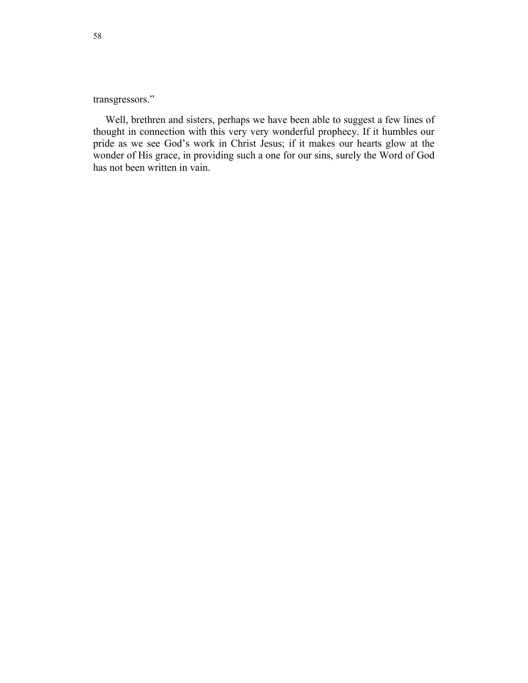transgressors."

Well, brethren and sisters, perhaps we have been able to suggest a few lines of thought in connection with this very very wonderful prophecy. If it humbles our pride as we see God's work in Christ Jesus; if it makes our hearts glow at the wonder of His grace, in providing such a one for our sins, surely the Word of God has not been written in vain.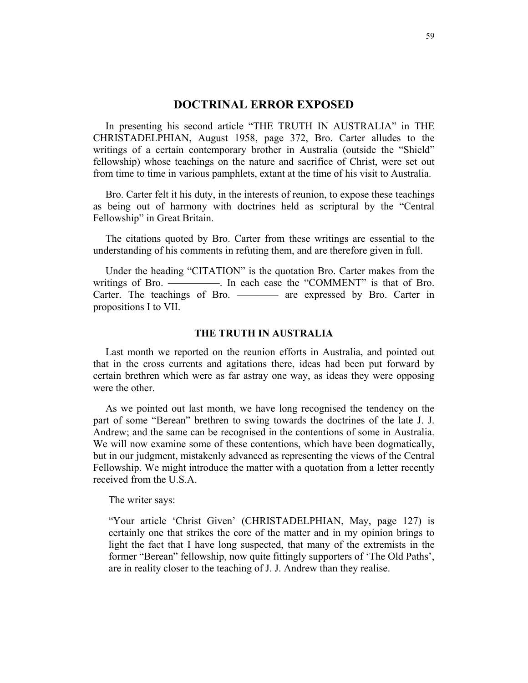# **DOCTRINAL ERROR EXPOSED**

In presenting his second article "THE TRUTH IN AUSTRALIA" in THE CHRISTADELPHIAN, August 1958, page 372, Bro. Carter alludes to the writings of a certain contemporary brother in Australia (outside the "Shield" fellowship) whose teachings on the nature and sacrifice of Christ, were set out from time to time in various pamphlets, extant at the time of his visit to Australia.

Bro. Carter felt it his duty, in the interests of reunion, to expose these teachings as being out of harmony with doctrines held as scriptural by the "Central Fellowship" in Great Britain.

The citations quoted by Bro. Carter from these writings are essential to the understanding of his comments in refuting them, and are therefore given in full.

Under the heading "CITATION" is the quotation Bro. Carter makes from the writings of Bro. —————. In each case the "COMMENT" is that of Bro. Carter. The teachings of Bro. ——— are expressed by Bro. Carter in propositions I to VII.

# **THE TRUTH IN AUSTRALIA**

Last month we reported on the reunion efforts in Australia, and pointed out that in the cross currents and agitations there, ideas had been put forward by certain brethren which were as far astray one way, as ideas they were opposing were the other.

As we pointed out last month, we have long recognised the tendency on the part of some "Berean" brethren to swing towards the doctrines of the late J. J. Andrew; and the same can be recognised in the contentions of some in Australia. We will now examine some of these contentions, which have been dogmatically, but in our judgment, mistakenly advanced as representing the views of the Central Fellowship. We might introduce the matter with a quotation from a letter recently received from the U.S.A.

The writer says:

"Your article 'Christ Given' (CHRISTADELPHIAN, May, page 127) is certainly one that strikes the core of the matter and in my opinion brings to light the fact that I have long suspected, that many of the extremists in the former "Berean" fellowship, now quite fittingly supporters of 'The Old Paths', are in reality closer to the teaching of J. J. Andrew than they realise.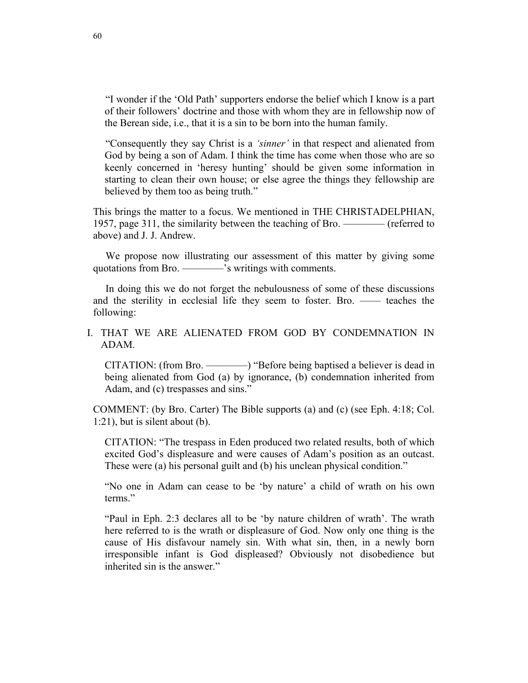"I wonder if the 'Old Path' supporters endorse the belief which I know is a part of their followers' doctrine and those with whom they are in fellowship now of the Berean side, i.e., that it is a sin to be born into the human family.

"Consequently they say Christ is a *'sinner'* in that respect and alienated from God by being a son of Adam. I think the time has come when those who are so keenly concerned in 'heresy hunting' should be given some information in starting to clean their own house; or else agree the things they fellowship are believed by them too as being truth."

This brings the matter to a focus. We mentioned in THE CHRISTADELPHIAN, 1957, page 311, the similarity between the teaching of Bro. ———— (referred to above) and J. J. Andrew.

We propose now illustrating our assessment of this matter by giving some quotations from Bro. ————'s writings with comments.

In doing this we do not forget the nebulousness of some of these discussions and the sterility in ecclesial life they seem to foster. Bro. —— teaches the following:

# I. THAT WE ARE ALIENATED FROM GOD BY CONDEMNATION IN ADAM.

CITATION: (from Bro. ————) "Before being baptised a believer is dead in being alienated from God (a) by ignorance, (b) condemnation inherited from Adam, and (c) trespasses and sins."

COMMENT: (by Bro. Carter) The Bible supports (a) and (c) (see Eph. 4:18; Col. 1:21), but is silent about (b).

CITATION: "The trespass in Eden produced two related results, both of which excited God's displeasure and were causes of Adam's position as an outcast. These were (a) his personal guilt and (b) his unclean physical condition."

"No one in Adam can cease to be 'by nature' a child of wrath on his own terms."

"Paul in Eph. 2:3 declares all to be 'by nature children of wrath'. The wrath here referred to is the wrath or displeasure of God. Now only one thing is the cause of His disfavour namely sin. With what sin, then, in a newly born irresponsible infant is God displeased? Obviously not disobedience but inherited sin is the answer."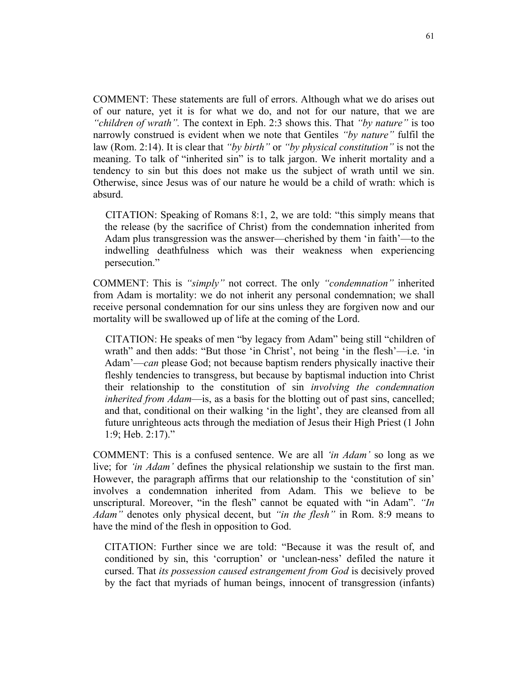COMMENT: These statements are full of errors. Although what we do arises out of our nature, yet it is for what we do, and not for our nature, that we are *"children of wrath".* The context in Eph. 2:3 shows this. That *"by nature"* is too narrowly construed is evident when we note that Gentiles *"by nature"* fulfil the law (Rom. 2:14). It is clear that *"by birth"* or *"by physical constitution"* is not the meaning. To talk of "inherited sin" is to talk jargon. We inherit mortality and a tendency to sin but this does not make us the subject of wrath until we sin. Otherwise, since Jesus was of our nature he would be a child of wrath: which is absurd.

CITATION: Speaking of Romans 8:1, 2, we are told: "this simply means that the release (by the sacrifice of Christ) from the condemnation inherited from Adam plus transgression was the answer—cherished by them 'in faith'—to the indwelling deathfulness which was their weakness when experiencing persecution."

COMMENT: This is *"simply"* not correct. The only *"condemnation"* inherited from Adam is mortality: we do not inherit any personal condemnation; we shall receive personal condemnation for our sins unless they are forgiven now and our mortality will be swallowed up of life at the coming of the Lord.

CITATION: He speaks of men "by legacy from Adam" being still "children of wrath" and then adds: "But those 'in Christ', not being 'in the flesh'—i.e. 'in Adam'—*can* please God; not because baptism renders physically inactive their fleshly tendencies to transgress, but because by baptismal induction into Christ their relationship to the constitution of sin *involving the condemnation inherited from Adam*—is, as a basis for the blotting out of past sins, cancelled; and that, conditional on their walking 'in the light', they are cleansed from all future unrighteous acts through the mediation of Jesus their High Priest (1 John 1:9; Heb. 2:17)."

COMMENT: This is a confused sentence. We are all *'in Adam'* so long as we live; for *'in Adam'* defines the physical relationship we sustain to the first man. However, the paragraph affirms that our relationship to the 'constitution of sin' involves a condemnation inherited from Adam. This we believe to be unscriptural. Moreover, "in the flesh" cannot be equated with "in Adam". *"In Adam"* denotes only physical decent, but *"in the flesh"* in Rom. 8:9 means to have the mind of the flesh in opposition to God.

CITATION: Further since we are told: "Because it was the result of, and conditioned by sin, this 'corruption' or 'unclean-ness' defiled the nature it cursed. That *its possession caused estrangement from God* is decisively proved by the fact that myriads of human beings, innocent of transgression (infants)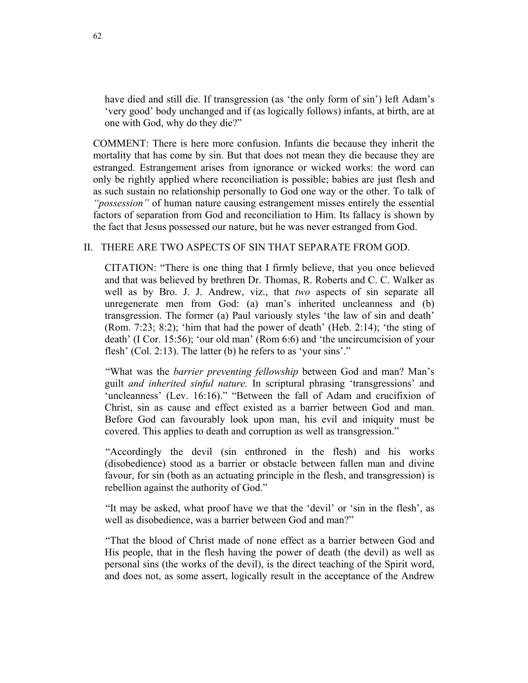have died and still die. If transgression (as 'the only form of sin') left Adam's 'very good' body unchanged and if (as logically follows) infants, at birth, are at one with God, why do they die?"

COMMENT: There is here more confusion. Infants die because they inherit the mortality that has come by sin. But that does not mean they die because they are estranged. Estrangement arises from ignorance or wicked works: the word can only be rightly applied where reconciliation is possible; babies are just flesh and as such sustain no relationship personally to God one way or the other. To talk of *"possession"* of human nature causing estrangement misses entirely the essential factors of separation from God and reconciliation to Him. Its fallacy is shown by the fact that Jesus possessed our nature, but he was never estranged from God.

# II. THERE ARE TWO ASPECTS OF SIN THAT SEPARATE FROM GOD.

CITATION: "There is one thing that I firmly believe, that you once believed and that was believed by brethren Dr. Thomas, R. Roberts and C. C. Walker as well as by Bro. J. J. Andrew, viz., that *two* aspects of sin separate all unregenerate men from God: (a) man's inherited uncleanness and (b) transgression. The former (a) Paul variously styles 'the law of sin and death' (Rom. 7:23; 8:2); 'him that had the power of death' (Heb. 2:14); 'the sting of death' (I Cor. 15:56); 'our old man' (Rom 6:6) and 'the uncircumcision of your flesh' (Col. 2:13). The latter (b) he refers to as 'your sins'."

"What was the *barrier preventing fellowship* between God and man? Man's guilt *and inherited sinful nature.* In scriptural phrasing 'transgressions' and 'uncleanness' (Lev. 16:16)." "Between the fall of Adam and crucifixion of Christ, sin as cause and effect existed as a barrier between God and man. Before God can favourably look upon man, his evil and iniquity must be covered. This applies to death and corruption as well as transgression."

"Accordingly the devil (sin enthroned in the flesh) and his works (disobedience) stood as a barrier or obstacle between fallen man and divine favour, for sin (both as an actuating principle in the flesh, and transgression) is rebellion against the authority of God."

"It may be asked, what proof have we that the 'devil' or 'sin in the flesh', as well as disobedience, was a barrier between God and man?"

"That the blood of Christ made of none effect as a barrier between God and His people, that in the flesh having the power of death (the devil) as well as personal sins (the works of the devil), is the direct teaching of the Spirit word, and does not, as some assert, logically result in the acceptance of the Andrew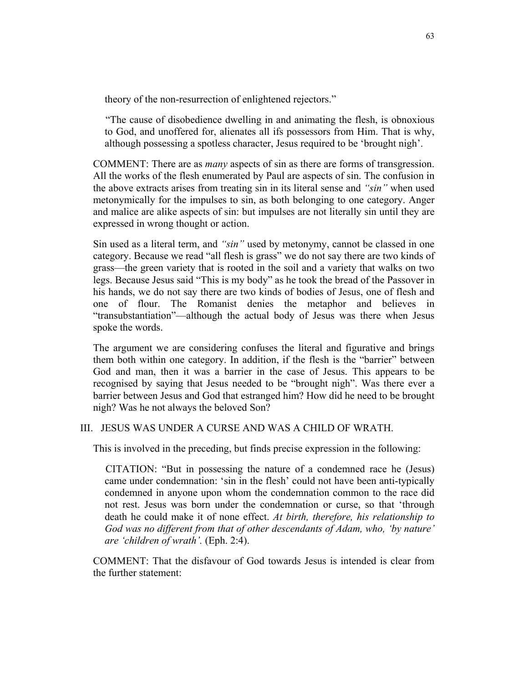theory of the non-resurrection of enlightened rejectors."

"The cause of disobedience dwelling in and animating the flesh, is obnoxious to God, and unoffered for, alienates all ifs possessors from Him. That is why, although possessing a spotless character, Jesus required to be 'brought nigh'.

COMMENT: There are as *many* aspects of sin as there are forms of transgression. All the works of the flesh enumerated by Paul are aspects of sin. The confusion in the above extracts arises from treating sin in its literal sense and *"sin"* when used metonymically for the impulses to sin, as both belonging to one category. Anger and malice are alike aspects of sin: but impulses are not literally sin until they are expressed in wrong thought or action.

Sin used as a literal term, and *"sin"* used by metonymy, cannot be classed in one category. Because we read "all flesh is grass" we do not say there are two kinds of grass—the green variety that is rooted in the soil and a variety that walks on two legs. Because Jesus said "This is my body" as he took the bread of the Passover in his hands, we do not say there are two kinds of bodies of Jesus, one of flesh and one of flour. The Romanist denies the metaphor and believes in "transubstantiation"—although the actual body of Jesus was there when Jesus spoke the words.

The argument we are considering confuses the literal and figurative and brings them both within one category. In addition, if the flesh is the "barrier" between God and man, then it was a barrier in the case of Jesus. This appears to be recognised by saying that Jesus needed to be "brought nigh". Was there ever a barrier between Jesus and God that estranged him? How did he need to be brought nigh? Was he not always the beloved Son?

# III. JESUS WAS UNDER A CURSE AND WAS A CHILD OF WRATH.

This is involved in the preceding, but finds precise expression in the following:

CITATION: "But in possessing the nature of a condemned race he (Jesus) came under condemnation: 'sin in the flesh' could not have been anti-typically condemned in anyone upon whom the condemnation common to the race did not rest. Jesus was born under the condemnation or curse, so that 'through death he could make it of none effect. *At birth, therefore, his relationship to God was no different from that of other descendants of Adam, who, 'by nature' are 'children of wrath'.* (Eph. 2:4).

COMMENT: That the disfavour of God towards Jesus is intended is clear from the further statement: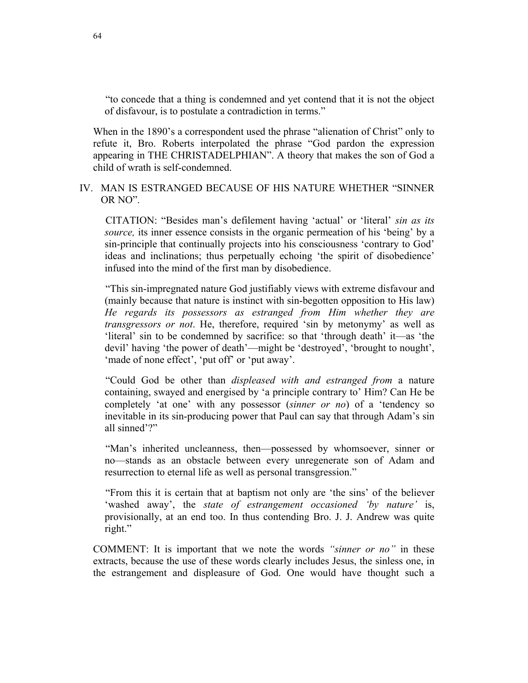"to concede that a thing is condemned and yet contend that it is not the object of disfavour, is to postulate a contradiction in terms."

When in the 1890's a correspondent used the phrase "alienation of Christ" only to refute it, Bro. Roberts interpolated the phrase "God pardon the expression appearing in THE CHRISTADELPHIAN". A theory that makes the son of God a child of wrath is self-condemned.

# IV. MAN IS ESTRANGED BECAUSE OF HIS NATURE WHETHER "SINNER OR NO".

CITATION: "Besides man's defilement having 'actual' or 'literal' *sin as its source,* its inner essence consists in the organic permeation of his 'being' by a sin-principle that continually projects into his consciousness 'contrary to God' ideas and inclinations; thus perpetually echoing 'the spirit of disobedience' infused into the mind of the first man by disobedience.

"This sin-impregnated nature God justifiably views with extreme disfavour and (mainly because that nature is instinct with sin-begotten opposition to His law) *He regards its possessors as estranged from Him whether they are transgressors or not*. He, therefore, required 'sin by metonymy' as well as 'literal' sin to be condemned by sacrifice: so that 'through death' it—as 'the devil' having 'the power of death'—might be 'destroyed', 'brought to nought', 'made of none effect', 'put off' or 'put away'.

"Could God be other than *displeased with and estranged from* a nature containing, swayed and energised by 'a principle contrary to' Him? Can He be completely 'at one' with any possessor (*sinner or no*) of a 'tendency so inevitable in its sin-producing power that Paul can say that through Adam's sin all sinned'?"

"Man's inherited uncleanness, then—possessed by whomsoever, sinner or no—stands as an obstacle between every unregenerate son of Adam and resurrection to eternal life as well as personal transgression."

"From this it is certain that at baptism not only are 'the sins' of the believer 'washed away', the *state of estrangement occasioned 'by nature'* is, provisionally, at an end too. In thus contending Bro. J. J. Andrew was quite right."

COMMENT: It is important that we note the words *"sinner or no"* in these extracts, because the use of these words clearly includes Jesus, the sinless one, in the estrangement and displeasure of God. One would have thought such a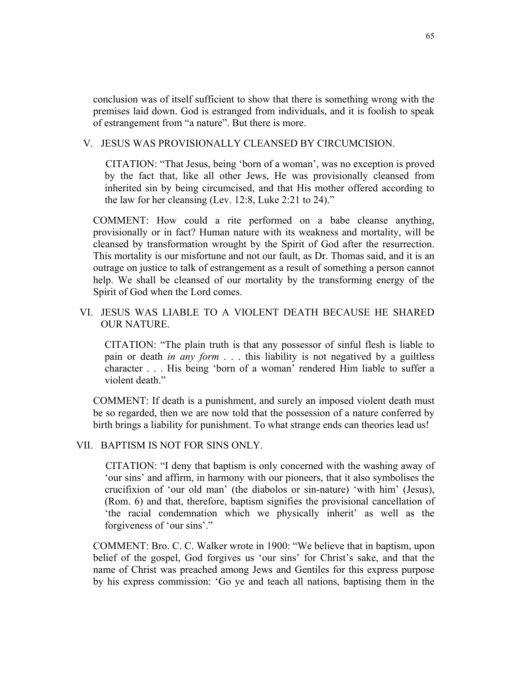conclusion was of itself sufficient to show that there is something wrong with the premises laid down. God is estranged from individuals, and it is foolish to speak of estrangement from "a nature". But there is more.

# V. JESUS WAS PROVISIONALLY CLEANSED BY CIRCUMCISION.

CITATION: "That Jesus, being 'born of a woman', was no exception is proved by the fact that, like all other Jews, He was provisionally cleansed from inherited sin by being circumcised, and that His mother offered according to the law for her cleansing (Lev. 12:8, Luke 2:21 to 24)."

COMMENT: How could a rite performed on a babe cleanse anything, provisionally or in fact? Human nature with its weakness and mortality, will be cleansed by transformation wrought by the Spirit of God after the resurrection. This mortality is our misfortune and not our fault, as Dr. Thomas said, and it is an outrage on justice to talk of estrangement as a result of something a person cannot help. We shall be cleansed of our mortality by the transforming energy of the Spirit of God when the Lord comes.

# VI. JESUS WAS LIABLE TO A VIOLENT DEATH BECAUSE HE SHARED OUR NATURE.

CITATION: "The plain truth is that any possessor of sinful flesh is liable to pain or death *in any form* . . . this liability is not negatived by a guiltless character . . . His being 'born of a woman' rendered Him liable to suffer a violent death."

COMMENT: If death is a punishment, and surely an imposed violent death must be so regarded, then we are now told that the possession of a nature conferred by birth brings a liability for punishment. To what strange ends can theories lead us!

## VII. BAPTISM IS NOT FOR SINS ONLY.

CITATION: "I deny that baptism is only concerned with the washing away of 'our sins' and affirm, in harmony with our pioneers, that it also symbolises the crucifixion of 'our old man' (the diabolos or sin-nature) 'with him' (Jesus), (Rom. 6) and that, therefore, baptism signifies the provisional cancellation of 'the racial condemnation which we physically inherit' as well as the forgiveness of 'our sins'."

COMMENT: Bro. C. C. Walker wrote in 1900: "We believe that in baptism, upon belief of the gospel, God forgives us 'our sins' for Christ's sake, and that the name of Christ was preached among Jews and Gentiles for this express purpose by his express commission: 'Go ye and teach all nations, baptising them in the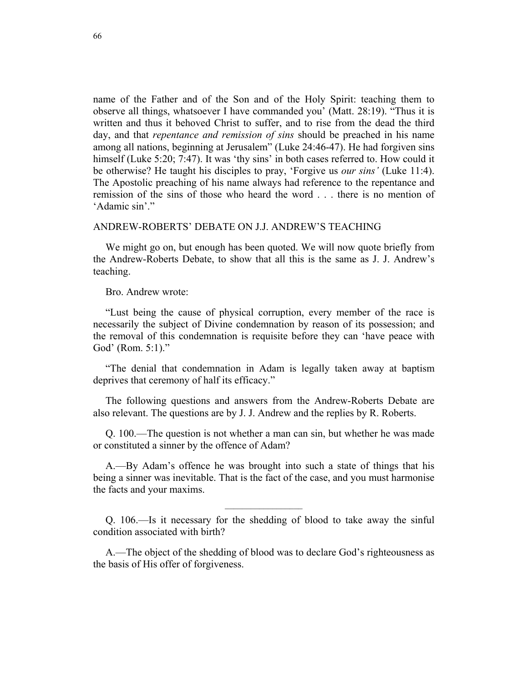name of the Father and of the Son and of the Holy Spirit: teaching them to observe all things, whatsoever I have commanded you' (Matt. 28:19). "Thus it is written and thus it behoved Christ to suffer, and to rise from the dead the third day, and that *repentance and remission of sins* should be preached in his name among all nations, beginning at Jerusalem" (Luke 24:46-47). He had forgiven sins himself (Luke 5:20; 7:47). It was 'thy sins' in both cases referred to. How could it be otherwise? He taught his disciples to pray, 'Forgive us *our sins'* (Luke 11:4). The Apostolic preaching of his name always had reference to the repentance and remission of the sins of those who heard the word . . . there is no mention of 'Adamic sin'."

## ANDREW-ROBERTS' DEBATE ON J.J. ANDREW'S TEACHING

We might go on, but enough has been quoted. We will now quote briefly from the Andrew-Roberts Debate, to show that all this is the same as J. J. Andrew's teaching.

Bro. Andrew wrote:

"Lust being the cause of physical corruption, every member of the race is necessarily the subject of Divine condemnation by reason of its possession; and the removal of this condemnation is requisite before they can 'have peace with God' (Rom. 5:1)."

"The denial that condemnation in Adam is legally taken away at baptism deprives that ceremony of half its efficacy."

The following questions and answers from the Andrew-Roberts Debate are also relevant. The questions are by J. J. Andrew and the replies by R. Roberts.

Q. 100.—The question is not whether a man can sin, but whether he was made or constituted a sinner by the offence of Adam?

A.—By Adam's offence he was brought into such a state of things that his being a sinner was inevitable. That is the fact of the case, and you must harmonise the facts and your maxims.

Q. 106.—Is it necessary for the shedding of blood to take away the sinful condition associated with birth?

A.—The object of the shedding of blood was to declare God's righteousness as the basis of His offer of forgiveness.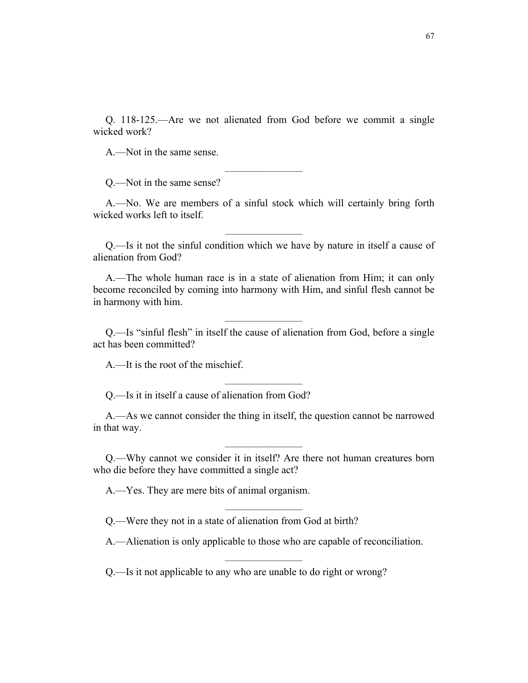Q. 118-125.—Are we not alienated from God before we commit a single wicked work?

A.—Not in the same sense.

Q.—Not in the same sense?

A.—No. We are members of a sinful stock which will certainly bring forth wicked works left to itself.

 $\overline{\phantom{a}}$  , where  $\overline{\phantom{a}}$ 

Q.—Is it not the sinful condition which we have by nature in itself a cause of alienation from God?

 $\overline{\phantom{a}}$  , where  $\overline{\phantom{a}}$ 

A.—The whole human race is in a state of alienation from Him; it can only become reconciled by coming into harmony with Him, and sinful flesh cannot be in harmony with him.

Q.—Is "sinful flesh" in itself the cause of alienation from God, before a single act has been committed?

 $\mathcal{L}_\text{max}$ 

A.—It is the root of the mischief.

Q.—Is it in itself a cause of alienation from God?

A.—As we cannot consider the thing in itself, the question cannot be narrowed in that way.

Q.—Why cannot we consider it in itself? Are there not human creatures born who die before they have committed a single act?

A.—Yes. They are mere bits of animal organism.

Q.—Were they not in a state of alienation from God at birth?

A.—Alienation is only applicable to those who are capable of reconciliation.

 $\overline{\phantom{a}}$  , where  $\overline{\phantom{a}}$ 

Q.—Is it not applicable to any who are unable to do right or wrong?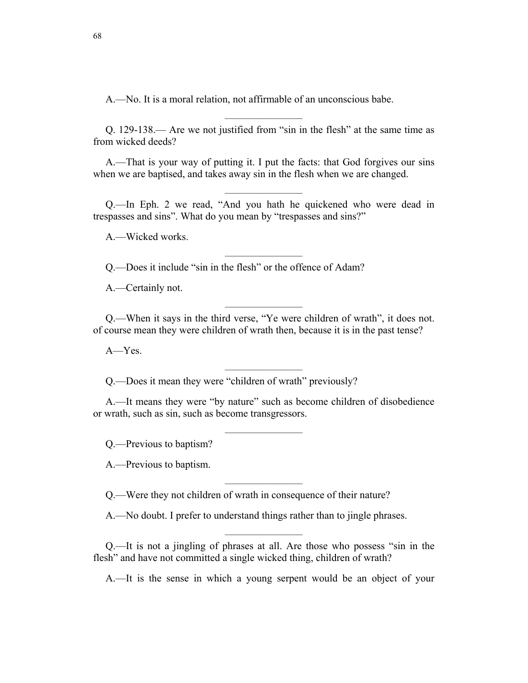A.—No. It is a moral relation, not affirmable of an unconscious babe.

Q. 129-138.— Are we not justified from "sin in the flesh" at the same time as from wicked deeds?

 $\mathcal{L}_\text{max}$ 

A.—That is your way of putting it. I put the facts: that God forgives our sins when we are baptised, and takes away sin in the flesh when we are changed.

Q.—In Eph. 2 we read, "And you hath he quickened who were dead in trespasses and sins". What do you mean by "trespasses and sins?"

 $\overline{\phantom{a}}$  , where  $\overline{\phantom{a}}$ 

A.—Wicked works.

Q.—Does it include "sin in the flesh" or the offence of Adam?

A.—Certainly not.

Q.—When it says in the third verse, "Ye were children of wrath", it does not. of course mean they were children of wrath then, because it is in the past tense?

A—Yes.

Q.—Does it mean they were "children of wrath" previously?

A.—It means they were "by nature" such as become children of disobedience or wrath, such as sin, such as become transgressors.

 $\mathcal{L}_\text{max}$ 

 $\overline{\phantom{a}}$  , where  $\overline{\phantom{a}}$ 

 $\overline{\phantom{a}}$  , where  $\overline{\phantom{a}}$ 

Q.—Previous to baptism?

A.—Previous to baptism.

Q.—Were they not children of wrath in consequence of their nature?

A.—No doubt. I prefer to understand things rather than to jingle phrases.

Q.—It is not a jingling of phrases at all. Are those who possess "sin in the flesh" and have not committed a single wicked thing, children of wrath?

A.—It is the sense in which a young serpent would be an object of your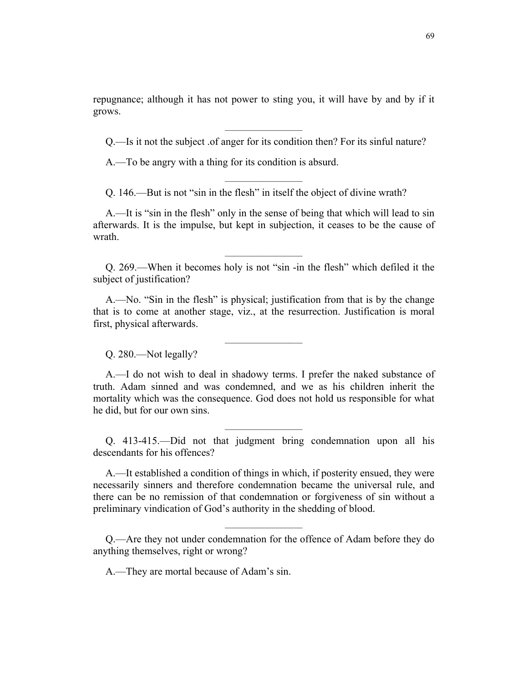repugnance; although it has not power to sting you, it will have by and by if it grows.

Q.—Is it not the subject .of anger for its condition then? For its sinful nature?

 $\overline{\phantom{a}}$  , where  $\overline{\phantom{a}}$ 

A.—To be angry with a thing for its condition is absurd.

Q. 146.—But is not "sin in the flesh" in itself the object of divine wrath?

A.—It is "sin in the flesh" only in the sense of being that which will lead to sin afterwards. It is the impulse, but kept in subjection, it ceases to be the cause of wrath.

Q. 269.—When it becomes holy is not "sin -in the flesh" which defiled it the subject of justification?

 $\overline{\phantom{a}}$  , where  $\overline{\phantom{a}}$ 

A.—No. "Sin in the flesh" is physical; justification from that is by the change that is to come at another stage, viz., at the resurrection. Justification is moral first, physical afterwards.

 $\overline{\phantom{a}}$  , where  $\overline{\phantom{a}}$ 

Q. 280.—Not legally?

A.—I do not wish to deal in shadowy terms. I prefer the naked substance of truth. Adam sinned and was condemned, and we as his children inherit the mortality which was the consequence. God does not hold us responsible for what he did, but for our own sins.

Q. 413-415.—Did not that judgment bring condemnation upon all his descendants for his offences?

 $\overline{\phantom{a}}$  , where  $\overline{\phantom{a}}$ 

A.—It established a condition of things in which, if posterity ensued, they were necessarily sinners and therefore condemnation became the universal rule, and there can be no remission of that condemnation or forgiveness of sin without a preliminary vindication of God's authority in the shedding of blood.

Q.—Are they not under condemnation for the offence of Adam before they do anything themselves, right or wrong?

 $\overline{\phantom{a}}$  , where  $\overline{\phantom{a}}$ 

A.—They are mortal because of Adam's sin.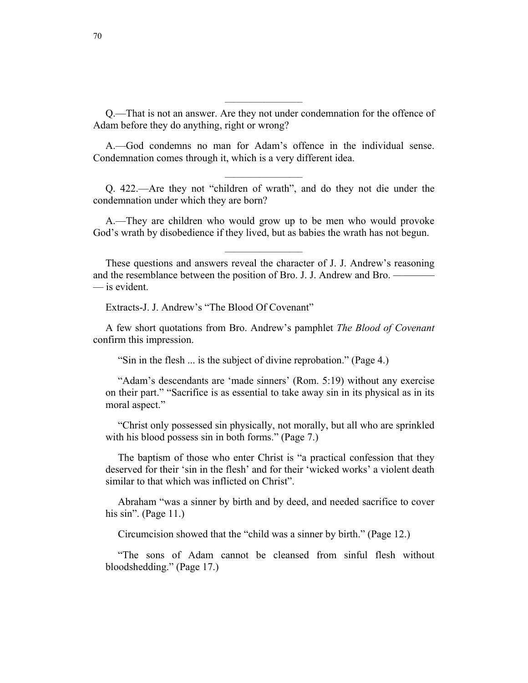Q.—That is not an answer. Are they not under condemnation for the offence of Adam before they do anything, right or wrong?

 $\overline{\phantom{a}}$  , where  $\overline{\phantom{a}}$ 

A.—God condemns no man for Adam's offence in the individual sense. Condemnation comes through it, which is a very different idea.

Q. 422.—Are they not "children of wrath", and do they not die under the condemnation under which they are born?

A.—They are children who would grow up to be men who would provoke God's wrath by disobedience if they lived, but as babies the wrath has not begun.

 $\overline{\phantom{a}}$  , where  $\overline{\phantom{a}}$ 

These questions and answers reveal the character of J. J. Andrew's reasoning and the resemblance between the position of Bro. J. J. Andrew and Bro. — — is evident.

Extracts-J. J. Andrew's "The Blood Of Covenant"

A few short quotations from Bro. Andrew's pamphlet *The Blood of Covenant* confirm this impression.

"Sin in the flesh ... is the subject of divine reprobation." (Page 4.)

"Adam's descendants are 'made sinners' (Rom. 5:19) without any exercise on their part." "Sacrifice is as essential to take away sin in its physical as in its moral aspect."

"Christ only possessed sin physically, not morally, but all who are sprinkled with his blood possess sin in both forms." (Page 7.)

The baptism of those who enter Christ is "a practical confession that they deserved for their 'sin in the flesh' and for their 'wicked works' a violent death similar to that which was inflicted on Christ".

Abraham "was a sinner by birth and by deed, and needed sacrifice to cover his sin". (Page 11.)

Circumcision showed that the "child was a sinner by birth." (Page 12.)

"The sons of Adam cannot be cleansed from sinful flesh without bloodshedding." (Page 17.)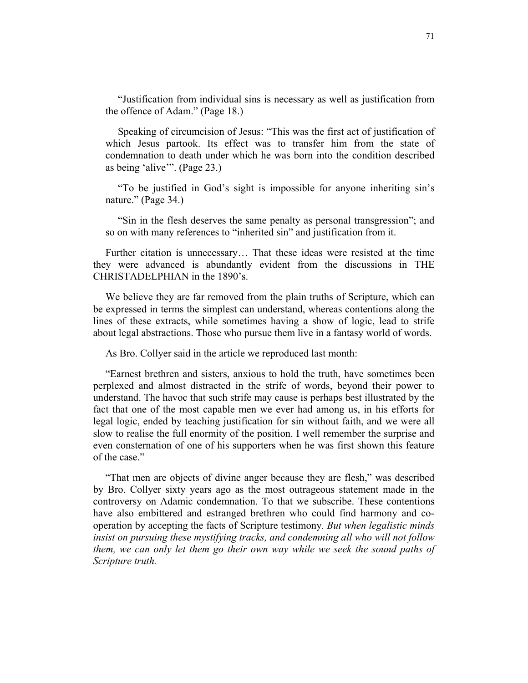"Justification from individual sins is necessary as well as justification from the offence of Adam." (Page 18.)

Speaking of circumcision of Jesus: "This was the first act of justification of which Jesus partook. Its effect was to transfer him from the state of condemnation to death under which he was born into the condition described as being 'alive'". (Page 23.)

"To be justified in God's sight is impossible for anyone inheriting sin's nature." (Page 34.)

"Sin in the flesh deserves the same penalty as personal transgression"; and so on with many references to "inherited sin" and justification from it.

Further citation is unnecessary… That these ideas were resisted at the time they were advanced is abundantly evident from the discussions in THE CHRISTADELPHIAN in the 1890's.

We believe they are far removed from the plain truths of Scripture, which can be expressed in terms the simplest can understand, whereas contentions along the lines of these extracts, while sometimes having a show of logic, lead to strife about legal abstractions. Those who pursue them live in a fantasy world of words.

As Bro. Collyer said in the article we reproduced last month:

"Earnest brethren and sisters, anxious to hold the truth, have sometimes been perplexed and almost distracted in the strife of words, beyond their power to understand. The havoc that such strife may cause is perhaps best illustrated by the fact that one of the most capable men we ever had among us, in his efforts for legal logic, ended by teaching justification for sin without faith, and we were all slow to realise the full enormity of the position. I well remember the surprise and even consternation of one of his supporters when he was first shown this feature of the case."

"That men are objects of divine anger because they are flesh," was described by Bro. Collyer sixty years ago as the most outrageous statement made in the controversy on Adamic condemnation. To that we subscribe. These contentions have also embittered and estranged brethren who could find harmony and cooperation by accepting the facts of Scripture testimony*. But when legalistic minds insist on pursuing these mystifying tracks, and condemning all who will not follow them, we can only let them go their own way while we seek the sound paths of Scripture truth.*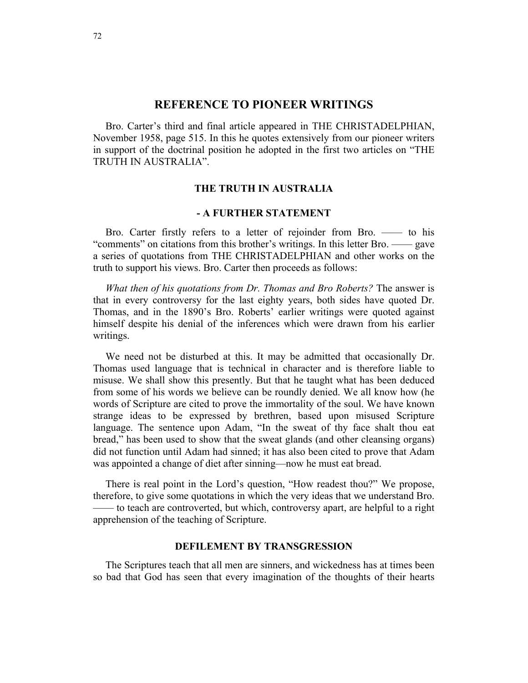# **REFERENCE TO PIONEER WRITINGS**

Bro. Carter's third and final article appeared in THE CHRISTADELPHIAN, November 1958, page 515. In this he quotes extensively from our pioneer writers in support of the doctrinal position he adopted in the first two articles on "THE TRUTH IN AUSTRALIA".

#### **THE TRUTH IN AUSTRALIA**

# **- A FURTHER STATEMENT**

Bro. Carter firstly refers to a letter of rejoinder from Bro. —— to his "comments" on citations from this brother's writings. In this letter Bro. —— gave a series of quotations from THE CHRISTADELPHIAN and other works on the truth to support his views. Bro. Carter then proceeds as follows:

*What then of his quotations from Dr. Thomas and Bro Roberts?* The answer is that in every controversy for the last eighty years, both sides have quoted Dr. Thomas, and in the 1890's Bro. Roberts' earlier writings were quoted against himself despite his denial of the inferences which were drawn from his earlier writings.

We need not be disturbed at this. It may be admitted that occasionally Dr. Thomas used language that is technical in character and is therefore liable to misuse. We shall show this presently. But that he taught what has been deduced from some of his words we believe can be roundly denied. We all know how (he words of Scripture are cited to prove the immortality of the soul. We have known strange ideas to be expressed by brethren, based upon misused Scripture language. The sentence upon Adam, "In the sweat of thy face shalt thou eat bread," has been used to show that the sweat glands (and other cleansing organs) did not function until Adam had sinned; it has also been cited to prove that Adam was appointed a change of diet after sinning—now he must eat bread.

There is real point in the Lord's question, "How readest thou?" We propose, therefore, to give some quotations in which the very ideas that we understand Bro. —— to teach are controverted, but which, controversy apart, are helpful to a right apprehension of the teaching of Scripture.

# **DEFILEMENT BY TRANSGRESSION**

The Scriptures teach that all men are sinners, and wickedness has at times been so bad that God has seen that every imagination of the thoughts of their hearts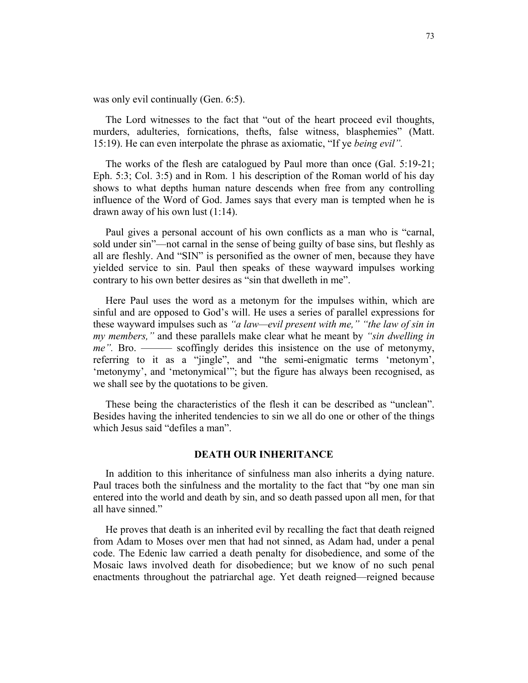was only evil continually (Gen. 6:5).

The Lord witnesses to the fact that "out of the heart proceed evil thoughts, murders, adulteries, fornications, thefts, false witness, blasphemies" (Matt. 15:19). He can even interpolate the phrase as axiomatic, "If ye *being evil".*

The works of the flesh are catalogued by Paul more than once (Gal. 5:19-21; Eph. 5:3; Col. 3:5) and in Rom. 1 his description of the Roman world of his day shows to what depths human nature descends when free from any controlling influence of the Word of God. James says that every man is tempted when he is drawn away of his own lust (1:14).

Paul gives a personal account of his own conflicts as a man who is "carnal, sold under sin"—not carnal in the sense of being guilty of base sins, but fleshly as all are fleshly. And "SIN" is personified as the owner of men, because they have yielded service to sin. Paul then speaks of these wayward impulses working contrary to his own better desires as "sin that dwelleth in me".

Here Paul uses the word as a metonym for the impulses within, which are sinful and are opposed to God's will. He uses a series of parallel expressions for these wayward impulses such as *"a law—evil present with me," "the law of sin in my members,"* and these parallels make clear what he meant by *"sin dwelling in me".* Bro. ——— scoffingly derides this insistence on the use of metonymy, referring to it as a "jingle", and "the semi-enigmatic terms 'metonym', 'metonymy', and 'metonymical'"; but the figure has always been recognised, as we shall see by the quotations to be given.

These being the characteristics of the flesh it can be described as "unclean". Besides having the inherited tendencies to sin we all do one or other of the things which Jesus said "defiles a man".

#### **DEATH OUR INHERITANCE**

In addition to this inheritance of sinfulness man also inherits a dying nature. Paul traces both the sinfulness and the mortality to the fact that "by one man sin entered into the world and death by sin, and so death passed upon all men, for that all have sinned."

He proves that death is an inherited evil by recalling the fact that death reigned from Adam to Moses over men that had not sinned, as Adam had, under a penal code. The Edenic law carried a death penalty for disobedience, and some of the Mosaic laws involved death for disobedience; but we know of no such penal enactments throughout the patriarchal age. Yet death reigned—reigned because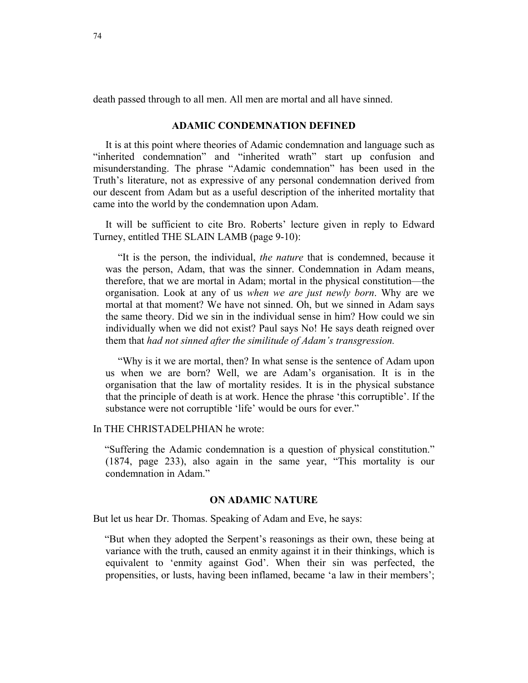death passed through to all men. All men are mortal and all have sinned.

#### **ADAMIC CONDEMNATION DEFINED**

It is at this point where theories of Adamic condemnation and language such as "inherited condemnation" and "inherited wrath" start up confusion and misunderstanding. The phrase "Adamic condemnation" has been used in the Truth's literature, not as expressive of any personal condemnation derived from our descent from Adam but as a useful description of the inherited mortality that came into the world by the condemnation upon Adam.

It will be sufficient to cite Bro. Roberts' lecture given in reply to Edward Turney, entitled THE SLAIN LAMB (page 9-10):

"It is the person, the individual, *the nature* that is condemned, because it was the person, Adam, that was the sinner. Condemnation in Adam means, therefore, that we are mortal in Adam; mortal in the physical constitution—the organisation. Look at any of us *when we are just newly born*. Why are we mortal at that moment? We have not sinned. Oh, but we sinned in Adam says the same theory. Did we sin in the individual sense in him? How could we sin individually when we did not exist? Paul says No! He says death reigned over them that *had not sinned after the similitude of Adam's transgression.* 

"Why is it we are mortal, then? In what sense is the sentence of Adam upon us when we are born? Well, we are Adam's organisation. It is in the organisation that the law of mortality resides. It is in the physical substance that the principle of death is at work. Hence the phrase 'this corruptible'. If the substance were not corruptible 'life' would be ours for ever."

### In THE CHRISTADELPHIAN he wrote:

"Suffering the Adamic condemnation is a question of physical constitution." (1874, page 233), also again in the same year, "This mortality is our condemnation in Adam."

## **ON ADAMIC NATURE**

But let us hear Dr. Thomas. Speaking of Adam and Eve, he says:

"But when they adopted the Serpent's reasonings as their own, these being at variance with the truth, caused an enmity against it in their thinkings, which is equivalent to 'enmity against God'. When their sin was perfected, the propensities, or lusts, having been inflamed, became 'a law in their members';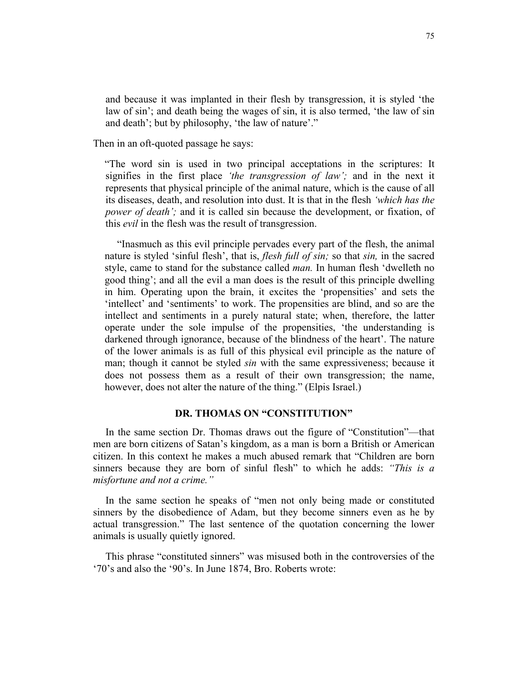and because it was implanted in their flesh by transgression, it is styled 'the law of sin'; and death being the wages of sin, it is also termed, 'the law of sin and death'; but by philosophy, 'the law of nature'."

Then in an oft-quoted passage he says:

"The word sin is used in two principal acceptations in the scriptures: It signifies in the first place *'the transgression of law';* and in the next it represents that physical principle of the animal nature, which is the cause of all its diseases, death, and resolution into dust. It is that in the flesh *'which has the power of death'*; and it is called sin because the development, or fixation, of this *evil* in the flesh was the result of transgression.

"Inasmuch as this evil principle pervades every part of the flesh, the animal nature is styled 'sinful flesh', that is, *flesh full of sin;* so that *sin,* in the sacred style, came to stand for the substance called *man.* In human flesh 'dwelleth no good thing'; and all the evil a man does is the result of this principle dwelling in him. Operating upon the brain, it excites the 'propensities' and sets the 'intellect' and 'sentiments' to work. The propensities are blind, and so are the intellect and sentiments in a purely natural state; when, therefore, the latter operate under the sole impulse of the propensities, 'the understanding is darkened through ignorance, because of the blindness of the heart'. The nature of the lower animals is as full of this physical evil principle as the nature of man; though it cannot be styled *sin* with the same expressiveness; because it does not possess them as a result of their own transgression; the name, however, does not alter the nature of the thing." (Elpis Israel.)

## **DR. THOMAS ON "CONSTITUTION"**

In the same section Dr. Thomas draws out the figure of "Constitution"—that men are born citizens of Satan's kingdom, as a man is born a British or American citizen. In this context he makes a much abused remark that "Children are born sinners because they are born of sinful flesh" to which he adds: *"This is a misfortune and not a crime."* 

In the same section he speaks of "men not only being made or constituted sinners by the disobedience of Adam, but they become sinners even as he by actual transgression." The last sentence of the quotation concerning the lower animals is usually quietly ignored.

This phrase "constituted sinners" was misused both in the controversies of the '70's and also the '90's. In June 1874, Bro. Roberts wrote: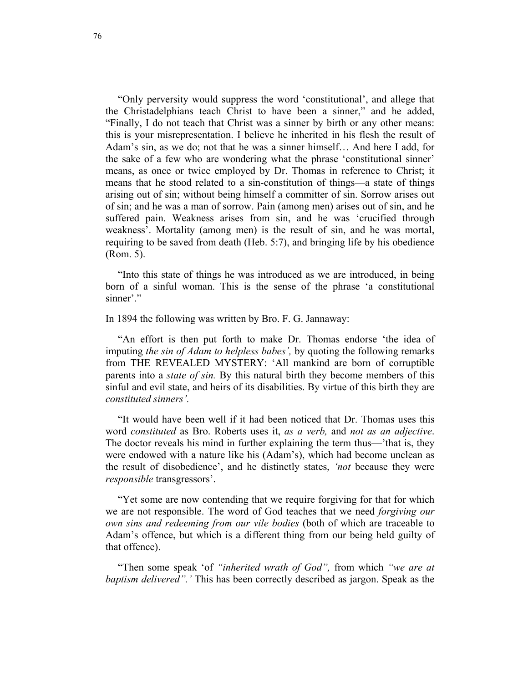"Only perversity would suppress the word 'constitutional', and allege that the Christadelphians teach Christ to have been a sinner," and he added, "Finally, I do not teach that Christ was a sinner by birth or any other means: this is your misrepresentation. I believe he inherited in his flesh the result of Adam's sin, as we do; not that he was a sinner himself… And here I add, for the sake of a few who are wondering what the phrase 'constitutional sinner' means, as once or twice employed by Dr. Thomas in reference to Christ; it means that he stood related to a sin-constitution of things—a state of things arising out of sin; without being himself a committer of sin. Sorrow arises out of sin; and he was a man of sorrow. Pain (among men) arises out of sin, and he suffered pain. Weakness arises from sin, and he was 'crucified through weakness'. Mortality (among men) is the result of sin, and he was mortal, requiring to be saved from death (Heb. 5:7), and bringing life by his obedience (Rom. 5).

"Into this state of things he was introduced as we are introduced, in being born of a sinful woman. This is the sense of the phrase 'a constitutional sinner'."

In 1894 the following was written by Bro. F. G. Jannaway:

"An effort is then put forth to make Dr. Thomas endorse 'the idea of imputing *the sin of Adam to helpless babes',* by quoting the following remarks from THE REVEALED MYSTERY: 'All mankind are born of corruptible parents into a *state of sin.* By this natural birth they become members of this sinful and evil state, and heirs of its disabilities. By virtue of this birth they are *constituted sinners'.* 

"It would have been well if it had been noticed that Dr. Thomas uses this word *constituted* as Bro. Roberts uses it, *as a verb,* and *not as an adjective*. The doctor reveals his mind in further explaining the term thus—'that is, they were endowed with a nature like his (Adam's), which had become unclean as the result of disobedience', and he distinctly states, *'not* because they were *responsible* transgressors'.

"Yet some are now contending that we require forgiving for that for which we are not responsible. The word of God teaches that we need *forgiving our own sins and redeeming from our vile bodies* (both of which are traceable to Adam's offence, but which is a different thing from our being held guilty of that offence).

"Then some speak 'of *"inherited wrath of God",* from which *"we are at baptism delivered".'* This has been correctly described as jargon. Speak as the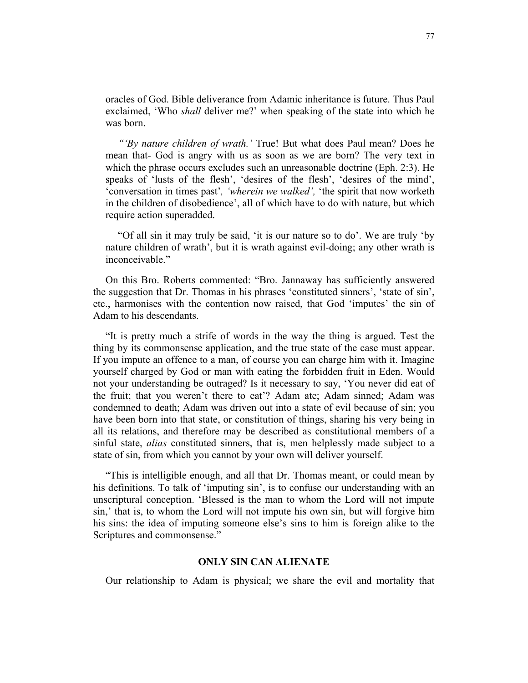oracles of God. Bible deliverance from Adamic inheritance is future. Thus Paul exclaimed, 'Who *shall* deliver me?' when speaking of the state into which he was born.

*"'By nature children of wrath.'* True! But what does Paul mean? Does he mean that- God is angry with us as soon as we are born? The very text in which the phrase occurs excludes such an unreasonable doctrine (Eph. 2:3). He speaks of 'lusts of the flesh', 'desires of the flesh', 'desires of the mind', 'conversation in times past'*, 'wherein we walked',* 'the spirit that now worketh in the children of disobedience', all of which have to do with nature, but which require action superadded.

"Of all sin it may truly be said, 'it is our nature so to do'. We are truly 'by nature children of wrath', but it is wrath against evil-doing; any other wrath is inconceivable."

On this Bro. Roberts commented: "Bro. Jannaway has sufficiently answered the suggestion that Dr. Thomas in his phrases 'constituted sinners', 'state of sin', etc., harmonises with the contention now raised, that God 'imputes' the sin of Adam to his descendants.

"It is pretty much a strife of words in the way the thing is argued. Test the thing by its commonsense application, and the true state of the case must appear. If you impute an offence to a man, of course you can charge him with it. Imagine yourself charged by God or man with eating the forbidden fruit in Eden. Would not your understanding be outraged? Is it necessary to say, 'You never did eat of the fruit; that you weren't there to eat'? Adam ate; Adam sinned; Adam was condemned to death; Adam was driven out into a state of evil because of sin; you have been born into that state, or constitution of things, sharing his very being in all its relations, and therefore may be described as constitutional members of a sinful state, *alias* constituted sinners, that is, men helplessly made subject to a state of sin, from which you cannot by your own will deliver yourself.

"This is intelligible enough, and all that Dr. Thomas meant, or could mean by his definitions. To talk of 'imputing sin', is to confuse our understanding with an unscriptural conception. 'Blessed is the man to whom the Lord will not impute sin,' that is, to whom the Lord will not impute his own sin, but will forgive him his sins: the idea of imputing someone else's sins to him is foreign alike to the Scriptures and commonsense."

## **ONLY SIN CAN ALIENATE**

Our relationship to Adam is physical; we share the evil and mortality that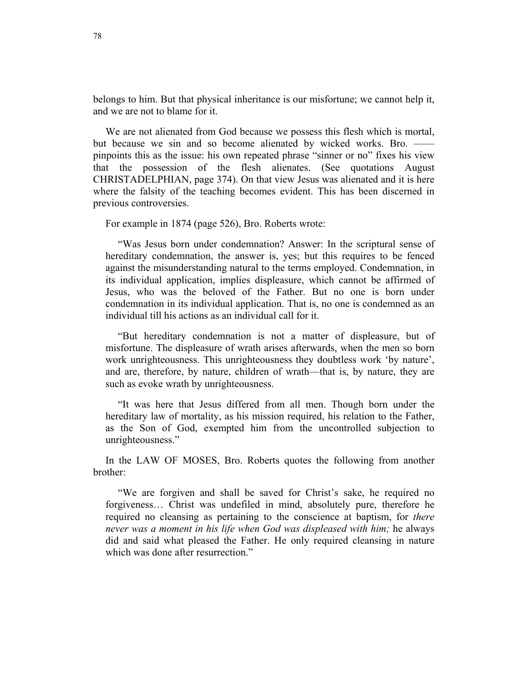belongs to him. But that physical inheritance is our misfortune; we cannot help it, and we are not to blame for it.

We are not alienated from God because we possess this flesh which is mortal, but because we sin and so become alienated by wicked works. Bro. pinpoints this as the issue: his own repeated phrase "sinner or no" fixes his view that the possession of the flesh alienates. (See quotations August CHRISTADELPHIAN, page 374). On that view Jesus was alienated and it is here where the falsity of the teaching becomes evident. This has been discerned in previous controversies.

For example in 1874 (page 526), Bro. Roberts wrote:

"Was Jesus born under condemnation? Answer: In the scriptural sense of hereditary condemnation, the answer is, yes; but this requires to be fenced against the misunderstanding natural to the terms employed. Condemnation, in its individual application, implies displeasure, which cannot be affirmed of Jesus, who was the beloved of the Father. But no one is born under condemnation in its individual application. That is, no one is condemned as an individual till his actions as an individual call for it.

"But hereditary condemnation is not a matter of displeasure, but of misfortune. The displeasure of wrath arises afterwards, when the men so born work unrighteousness. This unrighteousness they doubtless work 'by nature', and are, therefore, by nature, children of wrath—that is, by nature, they are such as evoke wrath by unrighteousness.

"It was here that Jesus differed from all men. Though born under the hereditary law of mortality, as his mission required, his relation to the Father, as the Son of God, exempted him from the uncontrolled subjection to unrighteousness."

In the LAW OF MOSES, Bro. Roberts quotes the following from another brother:

"We are forgiven and shall be saved for Christ's sake, he required no forgiveness… Christ was undefiled in mind, absolutely pure, therefore he required no cleansing as pertaining to the conscience at baptism, for *there never was a moment in his life when God was displeased with him;* he always did and said what pleased the Father. He only required cleansing in nature which was done after resurrection."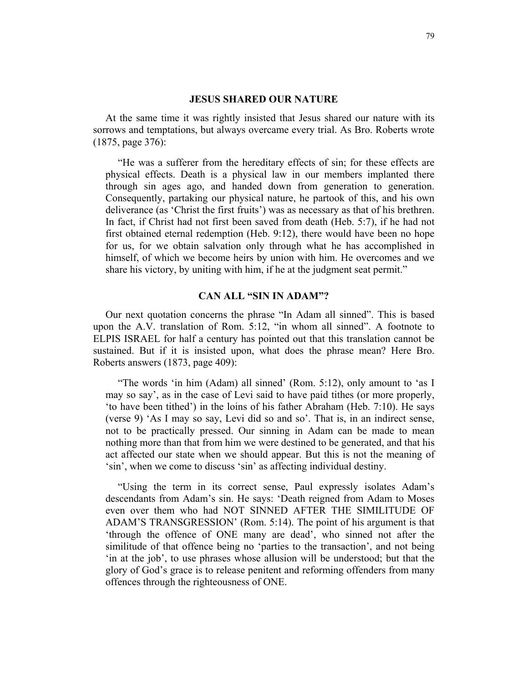#### **JESUS SHARED OUR NATURE**

At the same time it was rightly insisted that Jesus shared our nature with its sorrows and temptations, but always overcame every trial. As Bro. Roberts wrote (1875, page 376):

"He was a sufferer from the hereditary effects of sin; for these effects are physical effects. Death is a physical law in our members implanted there through sin ages ago, and handed down from generation to generation. Consequently, partaking our physical nature, he partook of this, and his own deliverance (as 'Christ the first fruits') was as necessary as that of his brethren. In fact, if Christ had not first been saved from death (Heb. 5:7), if he had not first obtained eternal redemption (Heb. 9:12), there would have been no hope for us, for we obtain salvation only through what he has accomplished in himself, of which we become heirs by union with him. He overcomes and we share his victory, by uniting with him, if he at the judgment seat permit."

#### **CAN ALL "SIN IN ADAM"?**

Our next quotation concerns the phrase "In Adam all sinned". This is based upon the A.V. translation of Rom. 5:12, "in whom all sinned". A footnote to ELPIS ISRAEL for half a century has pointed out that this translation cannot be sustained. But if it is insisted upon, what does the phrase mean? Here Bro. Roberts answers (1873, page 409):

"The words 'in him (Adam) all sinned' (Rom. 5:12), only amount to 'as I may so say', as in the case of Levi said to have paid tithes (or more properly, 'to have been tithed') in the loins of his father Abraham (Heb. 7:10). He says (verse 9) 'As I may so say, Levi did so and so'. That is, in an indirect sense, not to be practically pressed. Our sinning in Adam can be made to mean nothing more than that from him we were destined to be generated, and that his act affected our state when we should appear. But this is not the meaning of 'sin', when we come to discuss 'sin' as affecting individual destiny.

"Using the term in its correct sense, Paul expressly isolates Adam's descendants from Adam's sin. He says: 'Death reigned from Adam to Moses even over them who had NOT SINNED AFTER THE SIMILITUDE OF ADAM'S TRANSGRESSION' (Rom. 5:14). The point of his argument is that 'through the offence of ONE many are dead', who sinned not after the similitude of that offence being no 'parties to the transaction', and not being 'in at the job', to use phrases whose allusion will be understood; but that the glory of God's grace is to release penitent and reforming offenders from many offences through the righteousness of ONE.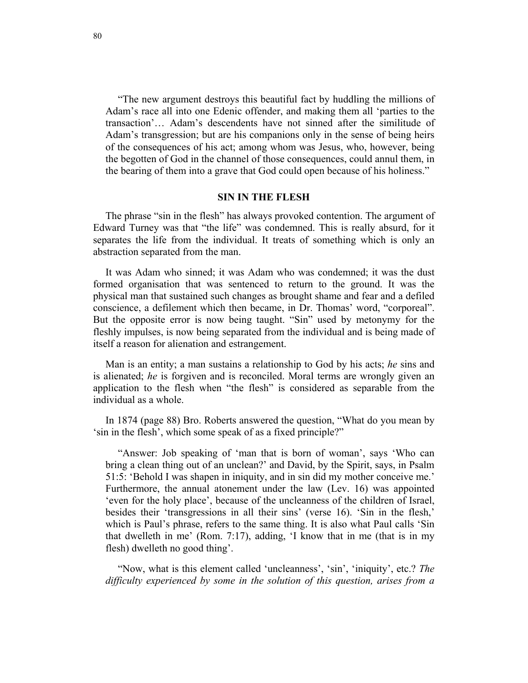"The new argument destroys this beautiful fact by huddling the millions of Adam's race all into one Edenic offender, and making them all 'parties to the transaction'… Adam's descendents have not sinned after the similitude of Adam's transgression; but are his companions only in the sense of being heirs of the consequences of his act; among whom was Jesus, who, however, being the begotten of God in the channel of those consequences, could annul them, in the bearing of them into a grave that God could open because of his holiness."

#### **SIN IN THE FLESH**

The phrase "sin in the flesh" has always provoked contention. The argument of Edward Turney was that "the life" was condemned. This is really absurd, for it separates the life from the individual. It treats of something which is only an abstraction separated from the man.

It was Adam who sinned; it was Adam who was condemned; it was the dust formed organisation that was sentenced to return to the ground. It was the physical man that sustained such changes as brought shame and fear and a defiled conscience, a defilement which then became, in Dr. Thomas' word, "corporeal". But the opposite error is now being taught. "Sin" used by metonymy for the fleshly impulses, is now being separated from the individual and is being made of itself a reason for alienation and estrangement.

Man is an entity; a man sustains a relationship to God by his acts; *he* sins and is alienated; *he* is forgiven and is reconciled. Moral terms are wrongly given an application to the flesh when "the flesh" is considered as separable from the individual as a whole.

In 1874 (page 88) Bro. Roberts answered the question, "What do you mean by 'sin in the flesh', which some speak of as a fixed principle?"

"Answer: Job speaking of 'man that is born of woman', says 'Who can bring a clean thing out of an unclean?' and David, by the Spirit, says, in Psalm 51:5: 'Behold I was shapen in iniquity, and in sin did my mother conceive me.' Furthermore, the annual atonement under the law (Lev. 16) was appointed 'even for the holy place', because of the uncleanness of the children of Israel, besides their 'transgressions in all their sins' (verse 16). 'Sin in the flesh,' which is Paul's phrase, refers to the same thing. It is also what Paul calls 'Sin that dwelleth in me' (Rom. 7:17), adding, 'I know that in me (that is in my flesh) dwelleth no good thing'.

"Now, what is this element called 'uncleanness', 'sin', 'iniquity', etc.? *The difficulty experienced by some in the solution of this question, arises from a*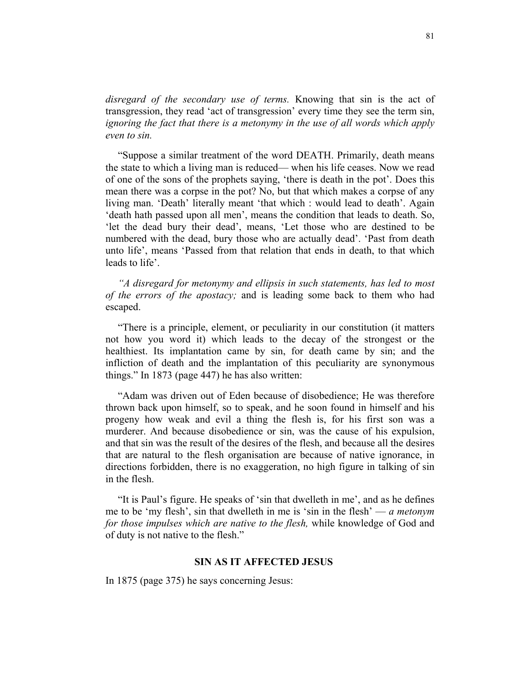*disregard of the secondary use of terms.* Knowing that sin is the act of transgression, they read 'act of transgression' every time they see the term sin, *ignoring the fact that there is a metonymy in the use of all words which apply even to sin.* 

"Suppose a similar treatment of the word DEATH. Primarily, death means the state to which a living man is reduced— when his life ceases. Now we read of one of the sons of the prophets saying, 'there is death in the pot'. Does this mean there was a corpse in the pot? No, but that which makes a corpse of any living man. 'Death' literally meant 'that which : would lead to death'. Again 'death hath passed upon all men', means the condition that leads to death. So, 'let the dead bury their dead', means, 'Let those who are destined to be numbered with the dead, bury those who are actually dead'. 'Past from death unto life', means 'Passed from that relation that ends in death, to that which leads to life'.

*"A disregard for metonymy and ellipsis in such statements, has led to most of the errors of the apostacy;* and is leading some back to them who had escaped.

"There is a principle, element, or peculiarity in our constitution (it matters not how you word it) which leads to the decay of the strongest or the healthiest. Its implantation came by sin, for death came by sin; and the infliction of death and the implantation of this peculiarity are synonymous things." In 1873 (page 447) he has also written:

"Adam was driven out of Eden because of disobedience; He was therefore thrown back upon himself, so to speak, and he soon found in himself and his progeny how weak and evil a thing the flesh is, for his first son was a murderer. And because disobedience or sin, was the cause of his expulsion, and that sin was the result of the desires of the flesh, and because all the desires that are natural to the flesh organisation are because of native ignorance, in directions forbidden, there is no exaggeration, no high figure in talking of sin in the flesh.

"It is Paul's figure. He speaks of 'sin that dwelleth in me', and as he defines me to be 'my flesh', sin that dwelleth in me is 'sin in the flesh' — *a metonym for those impulses which are native to the flesh,* while knowledge of God and of duty is not native to the flesh."

#### **SIN AS IT AFFECTED JESUS**

In 1875 (page 375) he says concerning Jesus: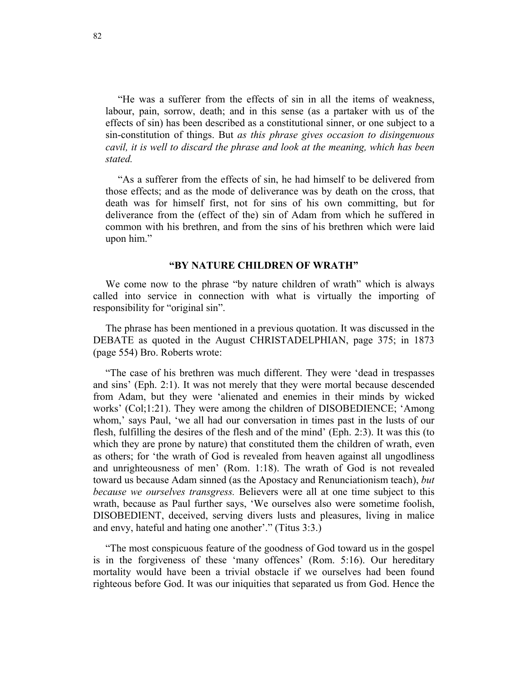"He was a sufferer from the effects of sin in all the items of weakness, labour, pain, sorrow, death; and in this sense (as a partaker with us of the effects of sin) has been described as a constitutional sinner, or one subject to a sin-constitution of things. But *as this phrase gives occasion to disingenuous cavil, it is well to discard the phrase and look at the meaning, which has been stated.* 

"As a sufferer from the effects of sin, he had himself to be delivered from those effects; and as the mode of deliverance was by death on the cross, that death was for himself first, not for sins of his own committing, but for deliverance from the (effect of the) sin of Adam from which he suffered in common with his brethren, and from the sins of his brethren which were laid upon him."

## **"BY NATURE CHILDREN OF WRATH"**

We come now to the phrase "by nature children of wrath" which is always called into service in connection with what is virtually the importing of responsibility for "original sin".

The phrase has been mentioned in a previous quotation. It was discussed in the DEBATE as quoted in the August CHRISTADELPHIAN, page 375; in 1873 (page 554) Bro. Roberts wrote:

"The case of his brethren was much different. They were 'dead in trespasses and sins' (Eph. 2:1). It was not merely that they were mortal because descended from Adam, but they were 'alienated and enemies in their minds by wicked works' (Col;1:21). They were among the children of DISOBEDIENCE; 'Among whom,' says Paul, 'we all had our conversation in times past in the lusts of our flesh, fulfilling the desires of the flesh and of the mind' (Eph. 2:3). It was this (to which they are prone by nature) that constituted them the children of wrath, even as others; for 'the wrath of God is revealed from heaven against all ungodliness and unrighteousness of men' (Rom. 1:18). The wrath of God is not revealed toward us because Adam sinned (as the Apostacy and Renunciationism teach), *but because we ourselves transgress.* Believers were all at one time subject to this wrath, because as Paul further says, 'We ourselves also were sometime foolish, DISOBEDIENT, deceived, serving divers lusts and pleasures, living in malice and envy, hateful and hating one another'." (Titus 3:3.)

"The most conspicuous feature of the goodness of God toward us in the gospel is in the forgiveness of these 'many offences' (Rom. 5:16). Our hereditary mortality would have been a trivial obstacle if we ourselves had been found righteous before God. It was our iniquities that separated us from God. Hence the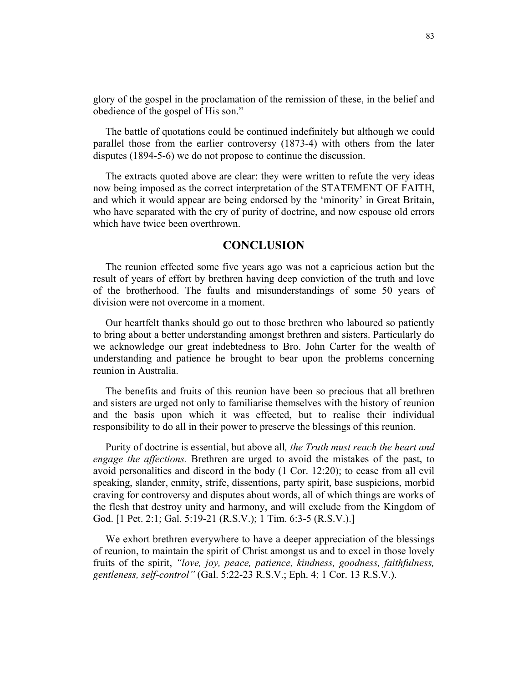glory of the gospel in the proclamation of the remission of these, in the belief and obedience of the gospel of His son."

The battle of quotations could be continued indefinitely but although we could parallel those from the earlier controversy (1873-4) with others from the later disputes (1894-5-6) we do not propose to continue the discussion.

The extracts quoted above are clear: they were written to refute the very ideas now being imposed as the correct interpretation of the STATEMENT OF FAITH, and which it would appear are being endorsed by the 'minority' in Great Britain, who have separated with the cry of purity of doctrine, and now espouse old errors which have twice been overthrown.

## **CONCLUSION**

The reunion effected some five years ago was not a capricious action but the result of years of effort by brethren having deep conviction of the truth and love of the brotherhood. The faults and misunderstandings of some 50 years of division were not overcome in a moment.

Our heartfelt thanks should go out to those brethren who laboured so patiently to bring about a better understanding amongst brethren and sisters. Particularly do we acknowledge our great indebtedness to Bro. John Carter for the wealth of understanding and patience he brought to bear upon the problems concerning reunion in Australia.

The benefits and fruits of this reunion have been so precious that all brethren and sisters are urged not only to familiarise themselves with the history of reunion and the basis upon which it was effected, but to realise their individual responsibility to do all in their power to preserve the blessings of this reunion.

Purity of doctrine is essential, but above all*, the Truth must reach the heart and engage the affections.* Brethren are urged to avoid the mistakes of the past, to avoid personalities and discord in the body (1 Cor. 12:20); to cease from all evil speaking, slander, enmity, strife, dissentions, party spirit, base suspicions, morbid craving for controversy and disputes about words, all of which things are works of the flesh that destroy unity and harmony, and will exclude from the Kingdom of God. [1 Pet. 2:1; Gal. 5:19-21 (R.S.V.); 1 Tim. 6:3-5 (R.S.V.).]

We exhort brethren everywhere to have a deeper appreciation of the blessings of reunion, to maintain the spirit of Christ amongst us and to excel in those lovely fruits of the spirit, *"love, joy, peace, patience, kindness, goodness, faithfulness, gentleness, self-control"* (Gal. 5:22-23 R.S.V.; Eph. 4; 1 Cor. 13 R.S.V.).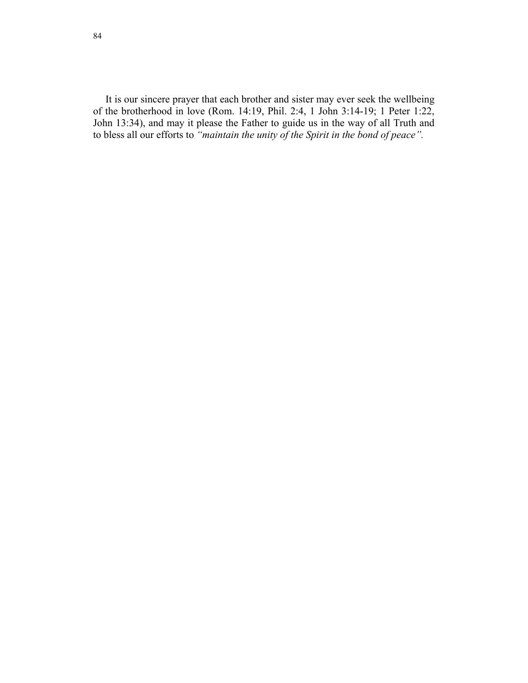It is our sincere prayer that each brother and sister may ever seek the wellbeing of the brotherhood in love (Rom. 14:19, Phil. 2:4, 1 John 3:14-19; 1 Peter 1:22, John 13:34), and may it please the Father to guide us in the way of all Truth and to bless all our efforts to *"maintain the unity of the Spirit in the bond of peace".*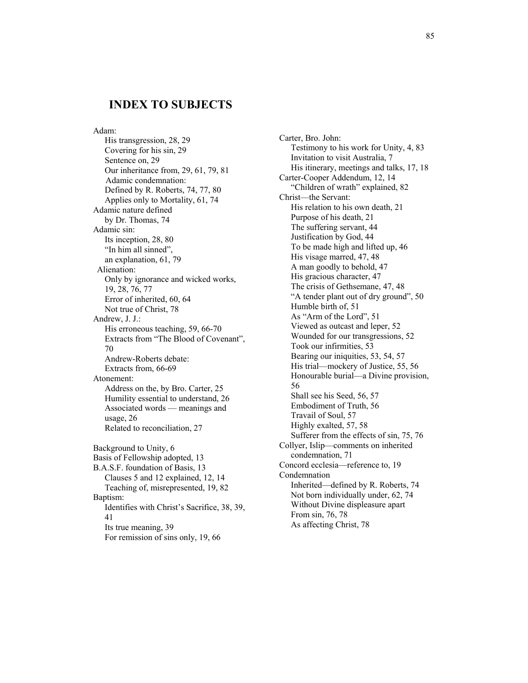## **INDEX TO SUBJECTS**

Adam: His transgression, 28, 29 Covering for his sin, 29 Sentence on, 29 Our inheritance from, 29, 61, 79, 81 Adamic condemnation: Defined by R. Roberts, 74, 77, 80 Applies only to Mortality, 61, 74 Adamic nature defined by Dr. Thomas, 74 Adamic sin: Its inception, 28, 80 "In him all sinned", an explanation, 61, 79 Alienation: Only by ignorance and wicked works, 19, 28, 76, 77 Error of inherited, 60, 64 Not true of Christ, 78 Andrew, J. J.: His erroneous teaching, 59, 66-70 Extracts from "The Blood of Covenant", 70 Andrew-Roberts debate: Extracts from, 66-69 Atonement: Address on the, by Bro. Carter, 25 Humility essential to understand, 26 Associated words — meanings and usage, 26 Related to reconciliation, 27 Background to Unity, 6 Basis of Fellowship adopted, 13 B.A.S.F. foundation of Basis, 13 Clauses 5 and 12 explained, 12, 14 Teaching of, misrepresented, 19, 82 Baptism: Identifies with Christ's Sacrifice, 38, 39, 41 Its true meaning, 39

For remission of sins only, 19, 66

Carter, Bro. John: Testimony to his work for Unity, 4, 83 Invitation to visit Australia, 7 His itinerary, meetings and talks, 17, 18 Carter-Cooper Addendum, 12, 14 "Children of wrath" explained, 82 Christ—the Servant: His relation to his own death, 21 Purpose of his death, 21 The suffering servant, 44 Justification by God, 44 To be made high and lifted up, 46 His visage marred, 47, 48 A man goodly to behold, 47 His gracious character, 47 The crisis of Gethsemane, 47, 48 "A tender plant out of dry ground", 50 Humble birth of, 51 As "Arm of the Lord", 51 Viewed as outcast and leper, 52 Wounded for our transgressions, 52 Took our infirmities, 53 Bearing our iniquities, 53, 54, 57 His trial—mockery of Justice, 55, 56 Honourable burial—a Divine provision, 56 Shall see his Seed, 56, 57 Embodiment of Truth, 56 Travail of Soul, 57 Highly exalted, 57, 58 Sufferer from the effects of sin, 75, 76 Collyer, Islip—comments on inherited condemnation, 71 Concord ecclesia—reference to, 19 Condemnation Inherited—defined by R. Roberts, 74 Not born individually under, 62, 74 Without Divine displeasure apart From sin, 76, 78 As affecting Christ, 78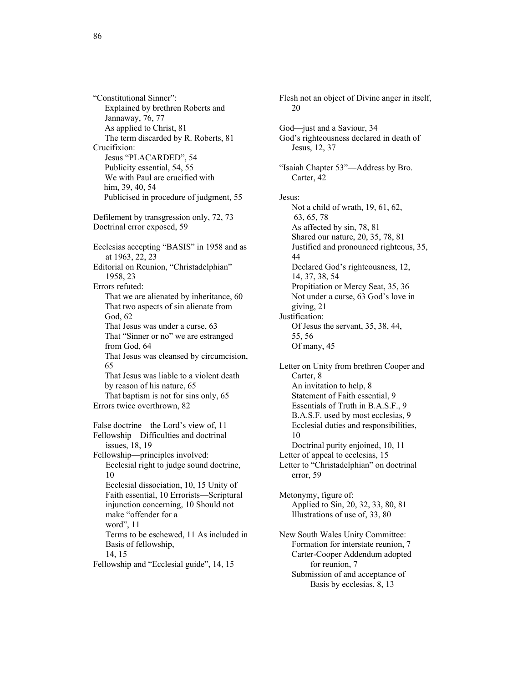"Constitutional Sinner": Explained by brethren Roberts and Jannaway, 76, 77 As applied to Christ, 81 The term discarded by R. Roberts, 81 Crucifixion: Jesus "PLACARDED", 54 Publicity essential, 54, 55 We with Paul are crucified with him, 39, 40, 54 Publicised in procedure of judgment, 55 Defilement by transgression only, 72, 73 Doctrinal error exposed, 59 Ecclesias accepting "BASIS" in 1958 and as at 1963, 22, 23 Editorial on Reunion, "Christadelphian" 1958, 23 Errors refuted: That we are alienated by inheritance, 60 That two aspects of sin alienate from God, 62 That Jesus was under a curse, 63 That "Sinner or no" we are estranged from God, 64 That Jesus was cleansed by circumcision, 65 That Jesus was liable to a violent death by reason of his nature, 65 That baptism is not for sins only, 65 Errors twice overthrown, 82 False doctrine—the Lord's view of, 11 Fellowship—Difficulties and doctrinal issues, 18, 19 Fellowship—principles involved: Ecclesial right to judge sound doctrine, 10 Ecclesial dissociation, 10, 15 Unity of Faith essential, 10 Errorists—Scriptural injunction concerning, 10 Should not make "offender for a word", 11 Terms to be eschewed, 11 As included in Basis of fellowship, 14, 15 Fellowship and "Ecclesial guide", 14, 15

Flesh not an object of Divine anger in itself, 20 God—just and a Saviour, 34 God's righteousness declared in death of Jesus, 12, 37 "Isaiah Chapter 53"—Address by Bro. Carter, 42 Jesus: Not a child of wrath, 19, 61, 62, 63, 65, 78 As affected by sin, 78, 81 Shared our nature, 20, 35, 78, 81 Justified and pronounced righteous, 35, 44 Declared God's righteousness, 12, 14, 37, 38, 54 Propitiation or Mercy Seat, 35, 36 Not under a curse, 63 God's love in giving, 21 Justification: Of Jesus the servant, 35, 38, 44, 55, 56 Of many, 45 Letter on Unity from brethren Cooper and Carter, 8 An invitation to help, 8 Statement of Faith essential, 9 Essentials of Truth in B.A.S.F., 9 B.A.S.F. used by most ecclesias, 9 Ecclesial duties and responsibilities, 10 Doctrinal purity enjoined, 10, 11 Letter of appeal to ecclesias, 15 Letter to "Christadelphian" on doctrinal error, 59 Metonymy, figure of: Applied to Sin, 20, 32, 33, 80, 81 Illustrations of use of, 33, 80 New South Wales Unity Committee: Formation for interstate reunion, 7 Carter-Cooper Addendum adopted for reunion, 7 Submission of and acceptance of Basis by ecclesias, 8, 13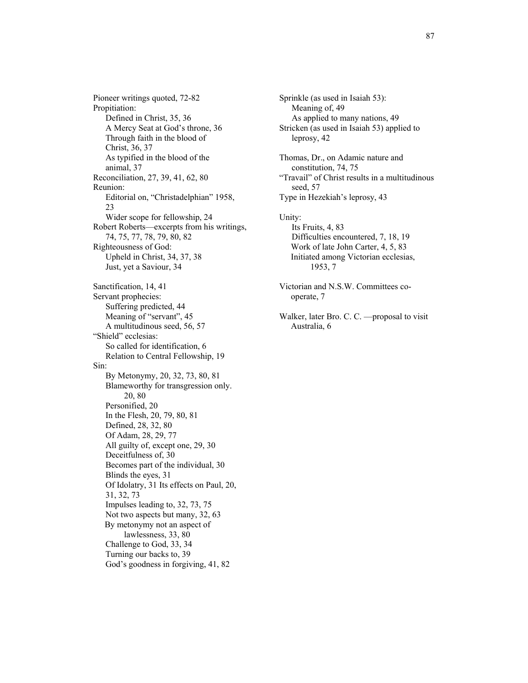Pioneer writings quoted, 72-82 Propitiation: Defined in Christ, 35, 36 A Mercy Seat at God's throne, 36 Through faith in the blood of Christ, 36, 37 As typified in the blood of the animal, 37 Reconciliation, 27, 39, 41, 62, 80 Reunion: Editorial on, "Christadelphian" 1958, 23 Wider scope for fellowship, 24 Robert Roberts—excerpts from his writings, 74, 75, 77, 78, 79, 80, 82 Righteousness of God: Upheld in Christ, 34, 37, 38 Just, yet a Saviour, 34 Sanctification, 14, 41 Servant prophecies: Suffering predicted, 44 Meaning of "servant", 45 A multitudinous seed, 56, 57 "Shield" ecclesias: So called for identification, 6 Relation to Central Fellowship, 19 Sin: By Metonymy, 20, 32, 73, 80, 81 Blameworthy for transgression only. 20, 80 Personified, 20 In the Flesh, 20, 79, 80, 81 Defined, 28, 32, 80 Of Adam, 28, 29, 77 All guilty of, except one, 29, 30 Deceitfulness of, 30 Becomes part of the individual, 30 Blinds the eyes, 31 Of Idolatry, 31 Its effects on Paul, 20, 31, 32, 73 Impulses leading to, 32, 73, 75 Not two aspects but many, 32, 63 By metonymy not an aspect of lawlessness, 33, 80 Challenge to God, 33, 34 Turning our backs to, 39 God's goodness in forgiving, 41, 82

Sprinkle (as used in Isaiah 53): Meaning of, 49 As applied to many nations, 49 Stricken (as used in Isaiah 53) applied to leprosy, 42 Thomas, Dr., on Adamic nature and constitution, 74, 75 "Travail" of Christ results in a multitudinous seed, 57 Type in Hezekiah's leprosy, 43 Unity: Its Fruits, 4, 83 Difficulties encountered, 7, 18, 19 Work of late John Carter, 4, 5, 83 Initiated among Victorian ecclesias, 1953, 7 Victorian and N.S.W. Committees cooperate, 7 Walker, later Bro. C. C. —proposal to visit Australia, 6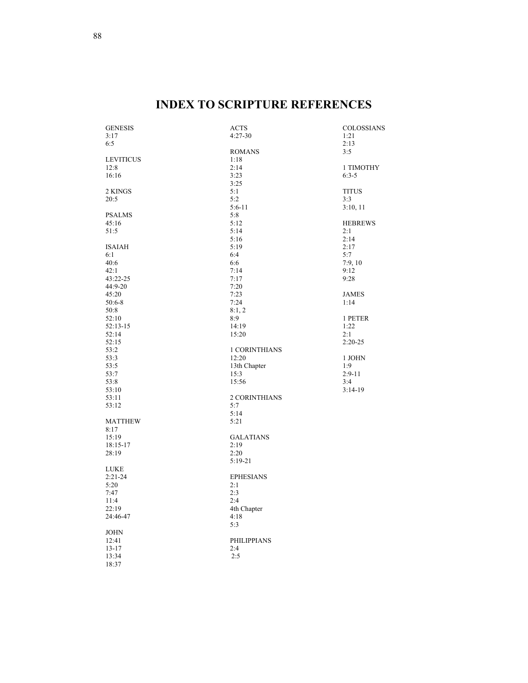# **INDEX TO SCRIPTURE REFERENCES**

| <b>GENESIS</b>   | ACTS               | <b>COLOSSIANS</b> |
|------------------|--------------------|-------------------|
| 3:17             | $4:27-30$          | 1:21              |
| 6:5              |                    | 2:13              |
|                  | <b>ROMANS</b>      | 3:5               |
| <b>LEVITICUS</b> | 1:18               |                   |
| 12:8             | 2:14               | 1 TIMOTHY         |
| 16:16            | 3:23               | $6:3-5$           |
|                  | 3:25               |                   |
| 2 KINGS          | 5:1                | <b>TITUS</b>      |
| 20:5             | 5:2                | 3:3               |
|                  | $5:6-11$           | 3:10, 11          |
| <b>PSALMS</b>    | 5:8                |                   |
| 45:16            | 5:12               | <b>HEBREWS</b>    |
|                  | 5:14               |                   |
| 51:5             |                    | 2:1<br>2:14       |
|                  | 5:16               |                   |
| <b>ISAIAH</b>    | 5:19               | 2:17              |
| 6:1              | 6:4                | 5:7               |
| 40:6             | 6:6                | 7:9,10            |
| 42:1             | 7:14               | 9:12              |
| 43:22-25         | 7:17               | 9:28              |
| 44:9-20          | 7:20               |                   |
| 45:20            | 7:23               | <b>JAMES</b>      |
| $50:6-8$         | 7:24               | 1:14              |
| 50:8             | 8:1, 2             |                   |
| 52:10            | 8:9                | 1 PETER           |
| 52:13-15         | 14:19              | 1:22              |
| 52:14            | 15:20              | 2:1               |
| 52:15            |                    | $2:20-25$         |
| 53:2             | 1 CORINTHIANS      |                   |
| 53:3             | 12:20              | 1 JOHN            |
| 53:5             | 13th Chapter       | 1:9               |
| 53:7             | 15:3               | $2:9-11$          |
| 53:8             | 15:56              | 3:4               |
| 53:10            |                    | $3:14-19$         |
| 53:11            | 2 CORINTHIANS      |                   |
| 53:12            | 5:7                |                   |
|                  | 5:14               |                   |
| <b>MATTHEW</b>   | 5:21               |                   |
| 8:17             |                    |                   |
| 15:19            | <b>GALATIANS</b>   |                   |
| 18:15-17         | 2:19               |                   |
| 28:19            | 2:20               |                   |
|                  | $5:19-21$          |                   |
| <b>LUKE</b>      |                    |                   |
| $2:21-24$        | <b>EPHESIANS</b>   |                   |
| 5:20             | 2:1                |                   |
|                  | 2:3                |                   |
| 7:47             |                    |                   |
| 11:4             | 2:4                |                   |
| 22:19            | 4th Chapter        |                   |
| 24:46-47         | 4:18               |                   |
|                  | 5:3                |                   |
| <b>JOHN</b>      |                    |                   |
| 12:41            | <b>PHILIPPIANS</b> |                   |
| $13 - 17$        | 2:4                |                   |
| 13:34            | 2:5                |                   |
| 18:37            |                    |                   |